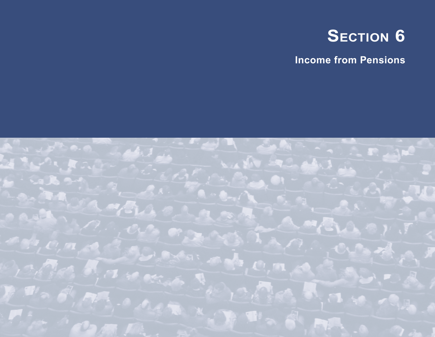

**Income from Pensions**

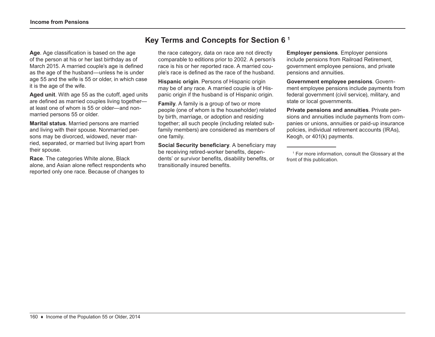# **Key Terms and Concepts for Section 6 1**

**Age**. Age classification is based on the age of the person at his or her last birthday as of March 2015. A married couple's age is defined as the age of the husband—unless he is under age 55 and the wife is 55 or older, in which case it is the age of the wife.

**Aged unit**. With age 55 as the cutoff, aged units are defined as married couples living together at least one of whom is 55 or older—and nonmarried persons 55 or older.

**Marital status**. Married persons are married and living with their spouse. Nonmarried persons may be divorced, widowed, never married, separated, or married but living apart from their spouse.

**Race**. The categories White alone, Black alone, and Asian alone reflect respondents who reported only one race. Because of changes to

the race category, data on race are not directly comparable to editions prior to 2002. A person's race is his or her reported race. A married couple's race is defined as the race of the husband.

**Hispanic origin**. Persons of Hispanic origin may be of any race. A married couple is of Hispanic origin if the husband is of Hispanic origin.

**Family**. A family is a group of two or more people (one of whom is the householder) related by birth, marriage, or adoption and residing together; all such people (including related subfamily members) are considered as members of one family.

**Social Security beneficiary**. A beneficiary may be receiving retired-worker benefits, dependents' or survivor benefits, disability benefits, or transitionally insured benefits.

**Employer pensions**. Employer pensions include pensions from Railroad Retirement, government employee pensions, and private pensions and annuities.

**Government employee pensions**. Government employee pensions include payments from federal government (civil service), military, and state or local governments.

**Private pensions and annuities**. Private pensions and annuities include payments from companies or unions, annuities or paid-up insurance policies, individual retirement accounts (IRAs), Keogh, or 401(k) payments.

1 For more information, consult the Glossary at the front of this publication.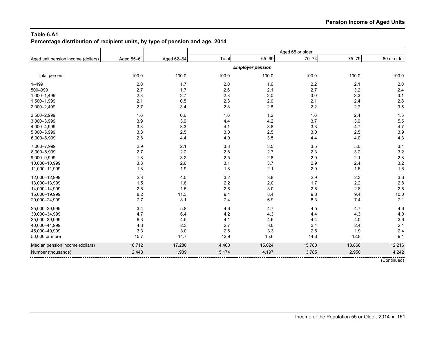# **Table 6.A1 Percentage distribution of recipient units, by type of pension and age, 2014**

|                                    |            |            |        |                         | Aged 65 or older |        |             |
|------------------------------------|------------|------------|--------|-------------------------|------------------|--------|-------------|
| Aged unit pension income (dollars) | Aged 55-61 | Aged 62-64 | Total  | 65-69                   | $70 - 74$        | 75-79  | 80 or older |
|                                    |            |            |        | <b>Employer pension</b> |                  |        |             |
| Total percent                      | 100.0      | 100.0      | 100.0  | 100.0                   | 100.0            | 100.0  | 100.0       |
| $1 - 499$                          | 2.0        | 1.7        | 2.0    | 1.6                     | $2.2\,$          | 2.1    | 2.0         |
| 500-999                            | 2.7        | 1.7        | 2.6    | 2.1                     | 2.7              | 3.2    | 2.4         |
| 1,000-1,499                        | 2.3        | 2.7        | 2.8    | 2.0                     | 3.0              | 3.3    | 3.1         |
| 1,500-1,999                        | 2.1        | 0.5        | 2.3    | 2.0                     | 2.1              | 2.4    | 2.8         |
| 2,000-2,499                        | 2.7        | 3.4        | 2.8    | 2.8                     | 2.2              | 2.7    | 3.5         |
| 2,500-2,999                        | 1.6        | 0.6        | 1.6    | $1.2$                   | 1.6              | 2.4    | 1.5         |
| 3,000-3,999                        | 3.9        | 3.9        | 4.4    | 4.2                     | 3.7              | 3.9    | 5.5         |
| 4,000-4,999                        | 3.3        | 3.3        | 4.1    | 3.8                     | 3.3              | 4.7    | 4.7         |
| 5,000-5,999                        | 3.3        | 2.5        | 3.0    | 2.5                     | 3.0              | 2.5    | 3.9         |
| 6,000-6,999                        | 2.8        | 4.4        | 4.0    | 3.5                     | 4.4              | 4.0    | 4.3         |
| 7,000-7,999                        | 2.9        | 2.1        | 3.8    | 3.5                     | 3.5              | 5.0    | 3.4         |
| 8,000-8,999                        | 2.7        | 2.2        | 2.8    | 2.7                     | 2.3              | 3.2    | 3.2         |
| 9,000-9,999                        | 1.8        | 3.2        | 2.5    | $2.8\,$                 | 2.0              | 2.1    | 2.8         |
| 10,000-10,999                      | 3.3        | 2.6        | 3.1    | 3.7                     | 2.9              | 2.4    | 3.2         |
| 11,000-11,999                      | 1.8        | 1.9        | 1.8    | 2.1                     | 2.0              | 1.6    | 1.6         |
| 12,000-12,999                      | 2.8        | 4.0        | 3.2    | $3.8\,$                 | 2.9              | 2.3    | 3.6         |
| 13,000-13,999                      | 1.5        | 1.8        | 2.2    | 2.0                     | 1.7              | 2.2    | 2.8         |
| 14,000-14,999                      | 2.8        | 1.5        | 2.8    | 3.0                     | 2.8              | 2.8    | 2.8         |
| 15,000-19,999                      | 8.2        | 11.3       | 9.4    | 8.4                     | 9.8              | 9.4    | 10.0        |
| 20,000-24,999                      | 7.7        | 8.1        | 7.4    | $6.9\,$                 | 8.3              | 7.4    | 7.1         |
| 25,000-29,999                      | 3.4        | 5.8        | 4.6    | 4.7                     | 4.5              | 4.7    | 4.6         |
| 30,000-34,999                      | 4.7        | 6.4        | 4.2    | 4.3                     | 4.4              | 4.3    | 4.0         |
| 35,000-39,999                      | 6.3        | 4.5        | 4.1    | 4.6                     | 4.4              | 4.0    | 3.6         |
| 40,000-44,999                      | 4.3        | 2.3        | 2.7    | 3.0                     | 3.4              | 2.4    | 2.1         |
| 45,000-49,999                      | 3.3        | 3.0        | 2.6    | 3.3                     | 2.6              | 1.9    | 2.4         |
| 50,000 or more                     | 15.7       | 14.7       | 12.9   | 15.6                    | 14.3             | 12.8   | 9.1         |
| Median pension income (dollars)    | 16,712     | 17,280     | 14,400 | 15,024                  | 15,780           | 13,868 | 12,216      |
| Number (thousands)                 | 2,443      | 1,939      | 15,174 | 4,197                   | 3,785            | 2,950  | 4,242       |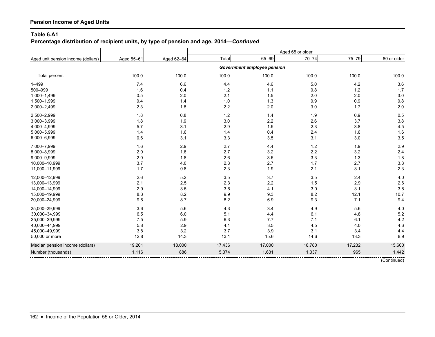# **Percentage distribution of recipient units, by type of pension and age, 2014—***Continued*

|                                    |            |            |        |                             | Aged 65 or older |        |             |
|------------------------------------|------------|------------|--------|-----------------------------|------------------|--------|-------------|
| Aged unit pension income (dollars) | Aged 55-61 | Aged 62-64 | Total  | 65-69                       | $70 - 74$        | 75-79  | 80 or older |
|                                    |            |            |        | Government employee pension |                  |        |             |
| Total percent                      | 100.0      | 100.0      | 100.0  | 100.0                       | 100.0            | 100.0  | 100.0       |
| $1 - 499$                          | 7.4        | 6.6        | 4.4    | 4.6                         | $5.0\,$          | 4.2    | 3.6         |
| 500-999                            | 1.6        | 0.4        | 1.2    | $1.1$                       | 0.8              | $1.2$  | 1.7         |
| 1,000-1,499                        | 0.5        | 2.0        | 2.1    | 1.5                         | 2.0              | 2.0    | 3.0         |
| 1,500-1,999                        | 0.4        | 1.4        | 1.0    | 1.3                         | 0.9              | 0.9    | 0.8         |
| 2,000-2,499                        | 2.3        | 1.8        | 2.2    | 2.0                         | 3.0              | 1.7    | 2.0         |
| 2,500-2,999                        | 1.8        | 0.8        | 1.2    | 1.4                         | 1.9              | 0.9    | 0.5         |
| 3,000-3,999                        | 1.8        | 1.9        | 3.0    | 2.2                         | 2.6              | 3.7    | 3.8         |
| 4,000-4,999                        | 5.7        | 3.1        | 2.9    | 1.5                         | 2.3              | 3.8    | 4.5         |
| 5,000-5,999                        | 1.4        | 1.6        | 1.4    | 0.4                         | 2.4              | 1.6    | 1.6         |
| 6,000-6,999                        | 0.6        | 3.1        | 3.3    | 3.5                         | 3.1              | 3.0    | 3.5         |
| 7,000-7,999                        | 1.6        | 2.9        | 2.7    | 4.4                         | 1.2              | 1.9    | 2.9         |
| 8,000-8,999                        | 2.0        | 1.8        | 2.7    | 3.2                         | 2.2              | 3.2    | 2.4         |
| 9,000-9,999                        | 2.0        | 1.8        | 2.6    | 3.6                         | 3.3              | 1.3    | 1.8         |
| 10,000-10,999                      | 3.7        | 4.0        | 2.8    | 2.7                         | 1.7              | 2.7    | 3.8         |
| 11,000-11,999                      | 1.7        | 0.8        | 2.3    | 1.9                         | 2.1              | 3.1    | 2.3         |
| 12,000-12,999                      | 2.6        | 5.2        | 3.5    | 3.7                         | 3.5              | 2.4    | 4.0         |
| 13,000-13,999                      | 2.1        | 2.5        | 2.3    | 2.2                         | 1.5              | 2.9    | 2.6         |
| 14,000-14,999                      | 2.9        | 3.5        | 3.6    | 4.1                         | 3.0              | 3.1    | 3.8         |
| 15,000-19,999                      | 8.3        | 8.2        | 9.9    | 9.3                         | 8.2              | 12.1   | 10.7        |
| 20,000-24,999                      | 9.6        | 8.7        | 8.2    | 6.9                         | 9.3              | 7.1    | 9.4         |
| 25,000-29,999                      | 3.6        | 5.6        | 4.3    | 3.4                         | 4.9              | 5.6    | 4.0         |
| 30,000-34,999                      | 6.5        | 6.0        | 5.1    | 4.4                         | 6.1              | 4.8    | 5.2         |
| 35,000-39,999                      | 7.5        | 5.9        | 6.3    | 7.7                         | 7.1              | 6.1    | 4.2         |
| 40,000-44,999                      | 5.8        | 2.9        | 4.1    | 3.5                         | 4.5              | 4.0    | 4.6         |
| 45,000-49,999                      | 3.8        | 3.2        | 3.7    | 3.9                         | 3.1              | 3.4    | 4.4         |
| 50,000 or more                     | 12.8       | 14.3       | 13.1   | 15.6                        | 14.6             | 13.3   | 8.9         |
| Median pension income (dollars)    | 19,201     | 18,000     | 17,436 | 17,000                      | 18,780           | 17,232 | 15,600      |
| Number (thousands)                 | 1,116      | 886        | 5,374  | 1,631                       | 1,337            | 965    | 1,442       |
|                                    |            |            |        |                             |                  |        | (Continued) |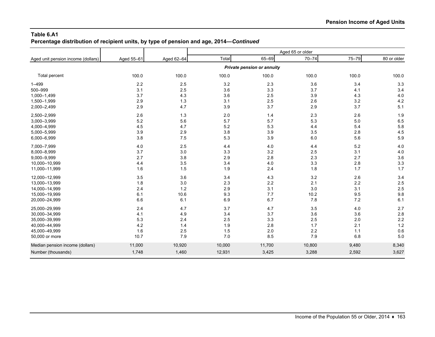### **Table 6.A1 Percentage distribution of recipient units, by type of pension and age, 2014—***Continued*

|                                    |            |            |        |                            | Aged 65 or older |       |             |
|------------------------------------|------------|------------|--------|----------------------------|------------------|-------|-------------|
| Aged unit pension income (dollars) | Aged 55-61 | Aged 62-64 | Total  | 65-69                      | $70 - 74$        | 75-79 | 80 or older |
|                                    |            |            |        | Private pension or annuity |                  |       |             |
| Total percent                      | 100.0      | 100.0      | 100.0  | 100.0                      | 100.0            | 100.0 | 100.0       |
| $1 - 499$                          | $2.2\,$    | 2.5        | 3.2    | 2.3                        | 3.6              | 3.4   | 3.3         |
| 500-999                            | 3.1        | 2.5        | 3.6    | 3.3                        | 3.7              | 4.1   | 3.4         |
| 1,000-1,499                        | 3.7        | 4.3        | 3.6    | 2.5                        | 3.9              | 4.3   | 4.0         |
| 1,500-1,999                        | 2.9        | 1.3        | 3.1    | 2.5                        | 2.6              | 3.2   | 4.2         |
| 2,000-2,499                        | 2.9        | 4.7        | 3.9    | 3.7                        | 2.9              | 3.7   | 5.1         |
| 2,500-2,999                        | 2.6        | 1.3        | 2.0    | 1.4                        | 2.3              | 2.6   | 1.9         |
| 3,000-3,999                        | 5.2        | 5.6        | 5.7    | 5.7                        | 5.3              | 5.0   | 6.5         |
| 4,000-4,999                        | 4.5        | 4.7        | 5.2    | 5.3                        | 4.4              | 5.4   | 5.8         |
| 5,000-5,999                        | 3.9        | 2.9        | 3.8    | 3.9                        | 3.5              | 2.8   | 4.5         |
| 6,000-6,999                        | 3.8        | 7.5        | 5.3    | 3.9                        | 6.0              | 5.6   | 5.9         |
| 7,000-7,999                        | $4.0$      | 2.5        | 4.4    | 4.0                        | 4.4              | 5.2   | 4.0         |
| 8,000-8,999                        | 3.7        | 3.0        | 3.3    | 3.2                        | 2.5              | 3.1   | 4.0         |
| 9,000-9,999                        | 2.7        | 3.8        | 2.9    | 2.8                        | 2.3              | 2.7   | 3.6         |
| 10,000-10,999                      | 4.4        | 3.5        | 3.4    | 4.0                        | 3.3              | 2.8   | 3.3         |
| 11,000-11,999                      | 1.6        | 1.5        | 1.9    | 2.4                        | 1.8              | 1.7   | 1.7         |
| 12,000-12,999                      | 3.5        | 3.6        | 3.4    | 4.3                        | 3.2              | 2.6   | 3.4         |
| 13,000-13,999                      | 1.8        | 3.0        | 2.3    | 2.2                        | 2.1              | 2.2   | 2.5         |
| 14,000-14,999                      | 2.4        | $1.2$      | 2.9    | 3.1                        | 3.0              | 3.1   | 2.5         |
| 15,000-19,999                      | 6.1        | 10.6       | 9.3    | 7.7                        | 10.2             | 9.5   | 9.8         |
| 20,000-24,999                      | 6.6        | 6.1        | 6.9    | 6.7                        | 7.8              | 7.2   | 6.1         |
| 25,000-29,999                      | 2.4        | 4.7        | 3.7    | 4.7                        | 3.5              | 4.0   | 2.7         |
| 30,000-34,999                      | 4.1        | 4.9        | 3.4    | 3.7                        | 3.6              | 3.6   | 2.8         |
| 35,000-39,999                      | 5.3        | 2.4        | 2.5    | 3.3                        | 2.5              | 2.0   | 2.2         |
| 40,000-44,999                      | 4.2        | 1.4        | 1.9    | 2.8                        | 1.7              | 2.1   | 1.2         |
| 45,000-49,999                      | 1.6        | 2.5        | 1.5    | 2.0                        | 2.2              | 1.1   | 0.6         |
| 50,000 or more                     | 10.7       | 7.9        | 7.0    | 8.5                        | 7.9              | 6.8   | 5.0         |
| Median pension income (dollars)    | 11,000     | 10,920     | 10,000 | 11,700                     | 10,800           | 9,480 | 8,340       |
| Number (thousands)                 | 1,748      | 1,460      | 12,931 | 3,425                      | 3,288            | 2,592 | 3,627       |
|                                    |            |            |        |                            |                  |       |             |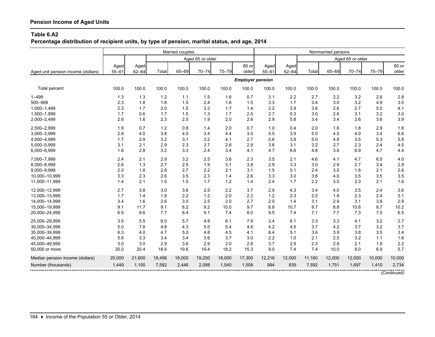**Percentage distribution of recipient units, by type of pension, marital status, and age, 2014**

|                                    |           |           |        | Married couples |                  |           |                         |           |           |        | Nonmarried persons |                  |        |             |
|------------------------------------|-----------|-----------|--------|-----------------|------------------|-----------|-------------------------|-----------|-----------|--------|--------------------|------------------|--------|-------------|
|                                    |           |           |        |                 | Aged 65 or older |           |                         |           |           |        |                    | Aged 65 or older |        |             |
|                                    | Aged      | Aged      |        |                 |                  |           | 80 or                   | Aged      | Aged      |        |                    |                  |        | 80 or       |
| Aged unit pension income (dollars) | $55 - 61$ | $62 - 64$ | Total  | 65-69           | $70 - 74$        | $75 - 79$ | older                   | $55 - 61$ | $62 - 64$ | Total  | 65-69              | $70 - 74$        | 75-79  | older       |
|                                    |           |           |        |                 |                  |           | <b>Employer pension</b> |           |           |        |                    |                  |        |             |
| Total percent                      | 100.0     | 100.0     | 100.0  | 100.0           | 100.0            | 100.0     | 100.0                   | 100.0     | 100.0     | 100.0  | 100.0              | 100.0            | 100.0  | 100.0       |
| $1 - 499$                          | 1.3       | 1.3       | 1.2    | 1.1             | 1.5              | 1.6       | 0.7                     | 3.1       | 2.2       | 2.7    | 2.2                | 3.2              | 2.6    | 2.8         |
| 500-999                            | 2.3       | 1.8       | 1.8    | 1.5             | 2.4              | 1.6       | 1.5                     | 3.3       | 1.7       | 3.4    | 3.0                | 3.2              | 4.9    | 3.0         |
| 1,000-1,499                        | 2.3       | 1.7       | 2.0    | 1.5             | 3.3              | 1.7       | 1.4                     | 2.2       | 3.9       | 3.6    | 2.6                | 2.7              | 5.0    | 4.1         |
| 1,500-1,999                        | 1.7       | 0.6       | 1.7    | 1.5             | 1.3              | 1.7       | 2.5                     | 2.7       | 0.3       | 3.0    | 2.6                | 3.1              | 3.2    | 3.0         |
| 2,000-2,499                        | 2.6       | 1.6       | 2.3    | 2.5             | 1.9              | 2.0       | 2.8                     | 2.9       | 5.8       | 3.4    | 3.4                | 2.6              | 3.6    | 3.9         |
| 2,500-2,999                        | 1.9       | 0.7       | 1.2    | 0.8             | 1.4              | 2.0       | 0.7                     | 1.0       | 0.4       | 2.0    | 1.6                | 1.8              | 2.9    | 1.8         |
| 3,000-3,999                        | 2.9       | 4.0       | 3.8    | 4.0             | 3.4              | 4.4       | 3.5                     | 5.5       | 3.9       | 5.0    | 4.5                | 4.0              | 3.4    | 6.6         |
| 4,000-4,999                        | 1.7       | 2.9       | 3.2    | 3.1             | 3.2              | 4.1       | 2.7                     | 5.6       | 3.9       | 5.0    | 4.8                | 3.5              | 5.3    | 5.8         |
| 5,000-5,999                        | 3.1       | 2.1       | 2.9    | 2.3             | 3.7              | 2.6       | 2.9                     | 3.6       | 3.1       | 3.2    | 2.7                | 2.3              | 2.4    | 4.5         |
| 6,000-6,999                        | 1.6       | 2.8       | 3.2    | 3.3             | 2.4              | 3.4       | 4.1                     | 4.7       | 6.6       | 4.8    | 3.6                | 6.9              | 4.7    | 4.4         |
| 7.000-7.999                        | 2.4       | 2.1       | 2.9    | 3.2             | 2.5              | 3.6       | 2.3                     | 3.5       | 2.1       | 4.6    | 4.1                | 4.7              | 6.5    | 4.0         |
| 8,000-8,999                        | 2.6       | 1.3       | 2.7    | 2.5             | 1.9              | 3.1       | 3.8                     | 2.9       | 3.3       | 3.0    | 2.9                | 2.7              | 3.4    | 2.9         |
| 9,000-9,999                        | 2.0       | 1.8       | 2.6    | 2.7             | 2.2              | 2.1       | 3.1                     | 1.5       | 5.1       | 2.4    | 3.0                | 1.8              | 2.1    | 2.6         |
| 10,000-10,999                      | 3.3       | 2.3       | 2.6    | 3.5             | 2.3              | 1.4       | 2.6                     | 3.3       | 3.0       | 3.6    | 4.0                | 3.5              | 3.5    | 3.5         |
| 11,000-11,999                      | 1.4       | 2.1       | 1.5    | 1.5             | 1.7              | 1.2       | 1.4                     | 2.4       | 1.7       | 2.2    | 3.0                | 2.3              | 2.1    | 1.6         |
| 12,000-12,999                      | 2.7       | 3.8       | 3.0    | 3.6             | 2.5              | 2.2       | 3.7                     | 2.9       | 4.3       | 3.4    | 4.0                | 3.5              | 2.4    | 3.6         |
| 13,000-13,999                      | 1.7       | 1.4       | 1.8    | 2.2             | 1.2              | 2.0       | 2.2                     | 1.2       | 2.3       | 2.5    | 1.8                | 2.3              | 2.4    | 3.1         |
| 14,000-14,999                      | 3.4       | 1.6       | 2.6    | 3.0             | 2.5              | 2.0       | 2.7                     | 2.0       | 1.4       | 3.1    | 2.9                | 3.1              | 3.8    | 2.9         |
| 15,000-19,999                      | 9.1       | 11.7      | 9.1    | 8.2             | 9.2              | 10.0      | 9.7                     | 6.8       | 10.7      | 9.7    | 8.8                | 10.6             | 8.7    | 10.2        |
| 20,000-24,999                      | 6.5       | 8.6       | 7.7    | 6.4             | 9.1              | 7.4       | 8.0                     | 9.5       | 7.4       | 7.1    | 7.7                | 7.3              | 7.5    | 6.5         |
| 25,000-29,999                      | 3.5       | 5.5       | 6.0    | 5.7             | 4.8              | 6.1       | 7.9                     | 3.4       | 6.1       | 3.3    | 3.3                | 4.1              | 3.2    | 2.7         |
| 30,000-34,999                      | 5.0       | 7.8       | 4.8    | 4.3             | 5.0              | 5.4       | 4.6                     | 4.2       | 4.5       | 3.7    | 4.2                | 3.7              | 3.2    | 3.7         |
| 35,000-39,999                      | 6.3       | 4.0       | 4.7    | 5.0             | 4.8              | 4.5       | 4.1                     | 6.4       | 5.1       | 3.6    | 3.9                | 3.8              | 3.5    | 3.4         |
| 40,000-44,999                      | 5.8       | 3.3       | 3.4    | 3.4             | 3.6              | 3.7       | 3.0                     | 2.2       | 1.0       | 2.1    | 2.5                | 3.2              | 1.1    | 1.6         |
| 45.000-49.999                      | 3.0       | 3.0       | 2.9    | 3.6             | 2.9              | 2.0       | 2.8                     | 3.7       | 2.9       | 2.3    | 2.8                | 2.1              | 1.9    | 2.2         |
| 50,000 or more                     | 20.0      | 20.4      | 18.4   | 19.6            | 19.4             | 18.2      | 15.3                    | 9.5       | 7.4       | 7.4    | 10.0               | 8.0              | 6.9    | 5.7         |
| Median pension income (dollars)    | 20,000    | 21,600    | 18,456 | 18,000          | 19,200           | 18,000    | 17,300                  | 12,216    | 12,000    | 11,160 | 12,000             | 12,000           | 10,000 | 10,000      |
| Number (thousands)                 | 1,449     | 1,100     | 7,582  | 2,446           | 2,088            | 1,540     | 1,508                   | 994       | 839       | 7,592  | 1,751              | 1,697            | 1,410  | 2,734       |
|                                    |           |           |        |                 |                  |           |                         |           |           |        |                    |                  |        | (Continued) |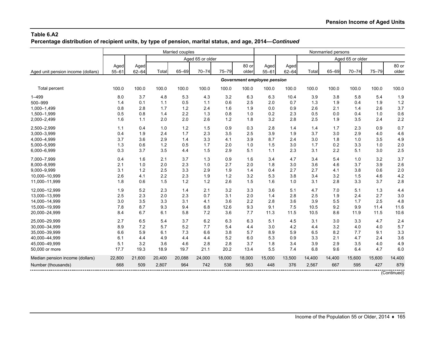**Percentage distribution of recipient units, by type of pension, marital status, and age, 2014—***Continued*

|                                    |                   |                   |        | Married couples |                  |           |                |                             |                   |        | Nonmarried persons |                  |           |                |
|------------------------------------|-------------------|-------------------|--------|-----------------|------------------|-----------|----------------|-----------------------------|-------------------|--------|--------------------|------------------|-----------|----------------|
|                                    |                   |                   |        |                 | Aged 65 or older |           |                |                             |                   |        |                    | Aged 65 or older |           |                |
| Aged unit pension income (dollars) | Aged<br>$55 - 61$ | Aged<br>$62 - 64$ | Total  | 65-69           | $70 - 74$        | $75 - 79$ | 80 or<br>older | Aged<br>$55 - 61$           | Aged<br>$62 - 64$ | Total  | 65-69              | $70 - 74$        | $75 - 79$ | 80 or<br>older |
|                                    |                   |                   |        |                 |                  |           |                | Government employee pension |                   |        |                    |                  |           |                |
| Total percent                      | 100.0             | 100.0             | 100.0  | 100.0           | 100.0            | 100.0     | 100.0          | 100.0                       | 100.0             | 100.0  | 100.0              | 100.0            | 100.0     | 100.0          |
| $1 - 499$                          | 8.0               | 3.7               | 4.8    | 5.3             | 4.3              | 3.2       | 6.3            | 6.3                         | 10.4              | 3.9    | 3.8                | 5.8              | 5.4       | 1.9            |
| 500-999                            | 1.4               | 0.1               | 1.1    | 0.5             | 1.1              | 0.6       | 2.5            | 2.0                         | 0.7               | 1.3    | 1.9                | 0.4              | 1.9       | 1.2            |
| 1,000-1,499                        | 0.8               | 2.8               | 1.7    | 1.2             | 2.4              | 1.6       | 1.9            | 0.0                         | 0.9               | 2.6    | 2.1                | 1.4              | 2.6       | 3.7            |
| 1,500-1,999                        | 0.5               | 0.8               | 1.4    | 2.2             | 1.3              | 0.8       | 1.0            | 0.2                         | 2.3               | 0.5    | 0.0                | 0.4              | 1.0       | 0.6            |
| 2,000-2,499                        | 1.6               | 1.1               | 2.0    | 2.0             | 2.6              | $1.2$     | 1.8            | 3.2                         | 2.8               | 2.5    | 1.9                | 3.5              | 2.4       | 2.2            |
| 2,500-2,999                        | 1.1               | 0.4               | 1.0    | 1.2             | 1.5              | 0.9       | 0.3            | 2.8                         | 1.4               | 1.4    | 1.7                | 2.3              | 0.9       | 0.7            |
| 3,000-3,999                        | 0.4               | 1.9               | 2.4    | 1.7             | 2.3              | 3.5       | 2.5            | 3.9                         | 1.9               | 3.7    | 3.0                | 2.9              | 4.0       | 4.6            |
| 4,000-4,999                        | 3.7               | 3.6               | 2.9    | 1.4             | 3.3              | 4.1       | 3.9            | 8.7                         | 2.4               | 3.0    | 1.8                | 1.0              | 3.5       | 4.9            |
| 5,000-5,999                        | 1.3               | 0.6               | 1.2    | 0.5             | 1.7              | 2.0       | 1.0            | 1.5                         | 3.0               | 1.7    | 0.2                | 3.3              | 1.0       | 2.0            |
| 6,000-6,999                        | 0.3               | 3.7               | 3.5    | 4.4             | 1.5              | 2.9       | 5.1            | 1.1                         | 2.3               | 3.1    | 2.2                | 5.1              | 3.0       | 2.5            |
| 7,000-7,999                        | 0.4               | 1.6               | 2.1    | 3.7             | 1.3              | 0.9       | 1.6            | 3.4                         | 4.7               | 3.4    | 5.4                | 1.0              | 3.2       | 3.7            |
| 8,000-8,999                        | 2.1               | 1.0               | 2.0    | 2.3             | 1.0              | 2.7       | 2.0            | 1.8                         | 3.0               | 3.6    | 4.6                | 3.7              | 3.9       | 2.6            |
| 9,000-9,999                        | 3.1               | 1.2               | 2.5    | 3.3             | 2.9              | 1.9       | 1.4            | 0.4                         | 2.7               | 2.7    | 4.1                | 3.8              | 0.6       | 2.0            |
| 10,000-10,999                      | 2.6               | 4.1               | 2.2    | 2.3             | 1.9              | 1.2       | 3.2            | 5.3                         | 3.8               | 3.4    | 3.2                | 1.5              | 4.6       | 4.2            |
| 11,000-11,999                      | 1.8               | 0.6               | 1.5    | 1.2             | 1.2              | 2.6       | 1.5            | 1.6                         | 1.0               | 3.1    | 2.8                | 3.3              | 3.7       | 2.8            |
| 12,000-12,999                      | 1.9               | 5.2               | 2.3    | 1.4             | 2.1              | 3.2       | 3.3            | 3.6                         | 5.1               | 4.7    | 7.0                | 5.1              | 1.3       | 4.4            |
| 13,000-13,999                      | 2.5               | 2.3               | 2.0    | 2.3             | 0.7              | 3.1       | 2.0            | 1.4                         | 2.8               | 2.5    | 1.9                | 2.4              | 2.7       | 3.0            |
| 14,000-14,999                      | 3.0               | 3.5               | 3.3    | 3.1             | 4.1              | 3.6       | 2.2            | 2.8                         | 3.6               | 3.9    | 5.5                | 1.7              | 2.5       | 4.8            |
| 15,000-19,999                      | 7.8               | 8.7               | 9.3    | 9.4             | 6.8              | 12.6      | 9.3            | 9.1                         | 7.5               | 10.5   | 9.2                | 9.9              | 11.4      | 11.6           |
| 20,000-24,999                      | 8.4               | 6.7               | 6.1    | 5.8             | 7.2              | 3.6       | 7.7            | 11.3                        | 11.5              | 10.5   | 8.6                | 11.9             | 11.5      | 10.6           |
| 25,000-29,999                      | 2.7               | 6.5               | 5.4    | 3.7             | 6.2              | 6.3       | 6.3            | 5.1                         | 4.5               | 3.1    | 3.0                | 3.3              | 4.7       | 2.4            |
| 30,000-34,999                      | 8.9               | 7.2               | 5.7    | 5.2             | 7.7              | 5.4       | 4.4            | 3.0                         | 4.2               | 4.4    | 3.2                | 4.0              | 4.0       | 5.7            |
| 35,000-39,999                      | 6.6               | 5.9               | 6.1    | 7.3             | 6.6              | 3.8       | 5.7            | 8.9                         | 5.9               | 6.5    | 8.2                | 7.7              | 9.1       | 3.3            |
| 40,000-44,999                      | 6.1               | 4.4               | 4.9    | 4.4             | 4.4              | 5.2       | 6.0            | 5.3                         | 0.9               | 3.3    | 2.1                | 4.7              | 2.4       | 3.6            |
| 45.000-49.999                      | 5.1               | 3.2               | 3.6    | 4.6             | 2.8              | 2.8       | 3.7            | 1.8                         | 3.4               | 3.9    | 2.9                | 3.5              | 4.0       | 4.9            |
| 50,000 or more                     | 17.7              | 19.3              | 18.9   | 19.7            | 21.1             | 20.2      | 13.4           | 5.5                         | 7.4               | 6.8    | 9.6                | 6.4              | 4.7       | 6.0            |
| Median pension income (dollars)    | 22,800            | 21,600            | 20,400 | 20,088          | 24,000           | 18,000    | 18,000         | 15,000                      | 13,500            | 14,400 | 14,400             | 15,600           | 15,600    | 14,400         |
| Number (thousands)                 | 668               | 509               | 2,807  | 964             | 742              | 538       | 563            | 448                         | 376               | 2,567  | 667                | 595              | 427       | 879            |
|                                    |                   |                   |        |                 |                  |           |                |                             |                   |        |                    |                  |           | (Continued)    |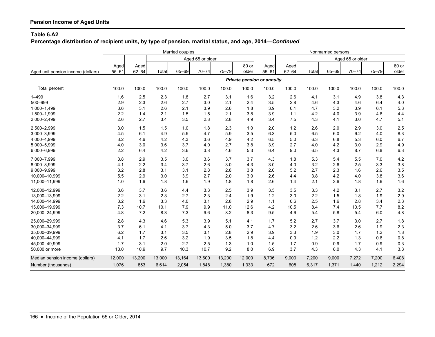**Percentage distribution of recipient units, by type of pension, marital status, and age, 2014—***Continued*

|                                    |                   |                   |        | Married couples |                  |        |                |                            |                   |       | Nonmarried persons |                  |           |                |
|------------------------------------|-------------------|-------------------|--------|-----------------|------------------|--------|----------------|----------------------------|-------------------|-------|--------------------|------------------|-----------|----------------|
|                                    |                   |                   |        |                 | Aged 65 or older |        |                |                            |                   |       |                    | Aged 65 or older |           |                |
| Aged unit pension income (dollars) | Aged<br>$55 - 61$ | Aged<br>$62 - 64$ | Total  | 65-69           | $70 - 74$        | 75-79  | 80 or<br>older | Aged<br>$55 - 61$          | Aged<br>$62 - 64$ | Total | 65-69              | $70 - 74$        | $75 - 79$ | 80 or<br>older |
|                                    |                   |                   |        |                 |                  |        |                | Private pension or annuity |                   |       |                    |                  |           |                |
| Total percent                      | 100.0             | 100.0             | 100.0  | 100.0           | 100.0            | 100.0  | 100.0          | 100.0                      | 100.0             | 100.0 | 100.0              | 100.0            | 100.0     | 100.0          |
| $1 - 499$                          | 1.6               | 2.5               | 2.3    | 1.8             | 2.7              | 3.1    | 1.6            | 3.2                        | 2.6               | 4.1   | 3.1                | 4.9              | 3.8       | 4.3            |
| 500-999                            | 2.9               | 2.3               | 2.6    | 2.7             | 3.0              | 2.1    | 2.4            | 3.5                        | 2.8               | 4.6   | 4.3                | 4.6              | 6.4       | 4.0            |
| 1,000-1,499                        | 3.6               | 3.1               | 2.6    | 2.1             | 3.9              | 2.6    | 1.8            | 3.9                        | 6.1               | 4.7   | 3.2                | 3.9              | 6.1       | 5.3            |
| 1,500-1,999                        | 2.2               | 1.4               | 2.1    | 1.5             | 1.5              | 2.1    | 3.8            | 3.9                        | 1.1               | 4.2   | 4.0                | 3.9              | 4.6       | 4.4            |
| 2,000-2,499                        | 2.6               | 2.7               | 3.4    | 3.5             | 2.8              | 2.8    | 4.9            | 3.4                        | 7.5               | 4.3   | 4.1                | 3.0              | 4.7       | 5.1            |
| 2,500-2,999                        | 3.0               | 1.5               | 1.5    | 1.0             | 1.8              | 2.3    | 1.0            | 2.0                        | 1.2               | 2.6   | 2.0                | 2.9              | 3.0       | 2.5            |
| 3,000-3,999                        | 4.5               | 6.1               | 4.9    | 5.5             | 4.7              | 5.9    | 3.5            | 6.3                        | 5.0               | 6.5   | 6.0                | 6.2              | 4.0       | 8.3            |
| 4,000-4,999                        | 3.2               | 4.6               | 4.2    | 4.3             | 3.6              | 4.9    | 4.2            | 6.5                        | 5.0               | 6.3   | 6.8                | 5.3              | 6.0       | 6.7            |
| 5,000-5,999                        | 4.0               | 3.0               | 3.6    | 3.7             | 4.0              | 2.7    | 3.8            | 3.9                        | 2.7               | 4.0   | 4.2                | 3.0              | 2.9       | 4.9            |
| 6,000-6,999                        | 2.2               | 6.4               | 4.2    | 3.6             | 3.8              | 4.6    | 5.3            | 6.4                        | 9.0               | 6.5   | 4.3                | 8.7              | 6.8       | 6.3            |
| 7,000-7,999                        | 3.8               | 2.9               | 3.5    | 3.0             | 3.6              | 3.7    | 3.7            | 4.3                        | 1.8               | 5.3   | 5.4                | 5.5              | 7.0       | 4.2            |
| 8,000-8,999                        | 4.1               | 2.2               | 3.4    | 3.7             | 2.6              | 3.0    | 4.3            | 3.0                        | 4.0               | 3.2   | 2.6                | 2.5              | 3.3       | 3.8            |
| 9,000-9,999                        | 3.2               | 2.8               | 3.1    | 3.1             | 2.8              | 2.8    | 3.8            | 2.0                        | 5.2               | 2.7   | 2.3                | 1.6              | 2.6       | 3.5            |
| 10,000-10,999                      | 5.5               | 2.9               | 3.0    | 3.9             | 2.7              | 2.0    | 3.0            | 2.6                        | 4.4               | 3.8   | 4.2                | 4.0              | 3.8       | 3.6            |
| 11,000-11,999                      | 1.0               | 1.6               | 1.8    | 1.6             | 1.9              | 1.8    | 1.8            | 2.6                        | 1.4               | 2.1   | 3.6                | 1.8              | 1.6       | 1.6            |
| 12,000-12,999                      | 3.6               | 3.7               | 3.6    | 4.4             | 3.3              | 2.5    | 3.9            | 3.5                        | 3.5               | 3.3   | 4.2                | 3.1              | 2.7       | 3.2            |
| 13,000-13,999                      | 2.2               | 3.1               | 2.3    | 2.7             | 2.3              | 2.4    | 1.9            | 1.2                        | 3.0               | 2.2   | 1.5                | 1.8              | 1.9       | 2.9            |
| 14,000-14,999                      | 3.2               | 1.6               | 3.3    | 4.0             | 3.1              | 2.8    | 2.9            | 1.1                        | 0.6               | 2.5   | 1.6                | 2.8              | 3.4       | 2.3            |
| 15.000-19.999                      | 7.3               | 10.7              | 10.1   | 7.9             | 9.9              | 11.0   | 12.6           | 4.2                        | 10.5              | 8.4   | 7.4                | 10.5             | 7.7       | 8.2            |
| 20,000-24,999                      | 4.8               | 7.2               | 8.3    | 7.3             | 9.6              | 8.2    | 8.3            | 9.5                        | 4.6               | 5.4   | 5.8                | 5.4              | 6.0       | 4.8            |
| 25,000-29,999                      | 2.8               | 4.3               | 4.6    | 5.3             | 3.9              | 5.1    | 4.1            | 1.7                        | 5.2               | 2.7   | 3.7                | 3.0              | 2.7       | 1.8            |
| 30,000-34,999                      | 3.7               | 6.1               | 4.1    | 3.7             | 4.3              | 5.0    | 3.7            | 4.7                        | 3.2               | 2.6   | 3.6                | 2.6              | 1.9       | 2.3            |
| 35,000-39,999                      | 6.2               | 1.7               | 3.1    | 3.5             | 3.1              | 2.8    | 2.9            | 3.9                        | 3.3               | 1.9   | 3.0                | 1.7              | 1.2       | 1.8            |
| 40,000-44,999                      | 4.1               | 1.7               | 2.6    | 3.2             | 1.9              | 3.5    | 1.8            | 4.4                        | 0.9               | 1.2   | 2.2                | 1.3              | 0.6       | 0.8            |
| 45,000-49,999                      | 1.7               | 3.1               | 2.0    | 2.7             | 2.5              | 1.3    | 1.0            | 1.5                        | 1.7               | 0.9   | 0.9                | 1.7              | 0.9       | 0.3            |
| 50,000 or more                     | 13.0              | 10.9              | 9.7    | 10.3            | 10.7             | 9.2    | 8.0            | 6.9                        | 3.7               | 4.3   | 6.0                | 4.3              | 4.1       | 3.3            |
| Median pension income (dollars)    | 12,000            | 13,200            | 13,000 | 13,164          | 13,600           | 13,200 | 12,000         | 8,736                      | 9,000             | 7,200 | 9,000              | 7,272            | 7,200     | 6,408          |
| Number (thousands)                 | 1,076             | 853               | 6,614  | 2,054           | 1,848            | 1,380  | 1,333          | 672                        | 608               | 6,317 | 1,371              | 1,440            | 1,212     | 2,294          |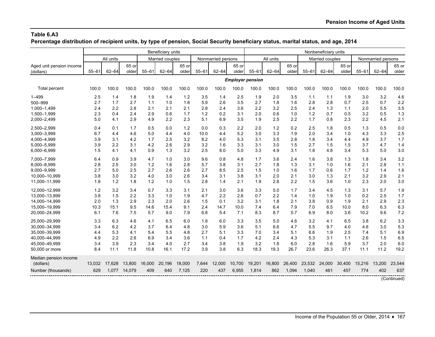**Percentage distribution of recipient units, by type of pension, Social Security beneficiary status, marital status, and age, 2014**

|                          |           |           |              |           | Beneficiary units |        |           |                    |                         |           |           |        |           | Nonbeneficiary units |        |           |                    |             |
|--------------------------|-----------|-----------|--------------|-----------|-------------------|--------|-----------|--------------------|-------------------------|-----------|-----------|--------|-----------|----------------------|--------|-----------|--------------------|-------------|
|                          |           | All units |              |           | Married couples   |        |           | Nonmarried persons |                         |           | All units |        |           | Married couples      |        |           | Nonmarried persons |             |
| Aged unit pension income |           |           | 65 or        |           |                   | 65 or  |           |                    | 65 or                   |           |           | 65 or  |           |                      | 65 or  |           |                    | 65 or       |
| (dollars)                | $55 - 61$ | $62 - 64$ | older        | $55 - 61$ | $62 - 64$         | older  | $55 - 61$ | $62 - 64$          | older                   | $55 - 61$ | $62 - 64$ | older  | $55 - 61$ | $62 - 64$            | older  | $55 - 61$ | $62 - 64$          | older       |
|                          |           |           |              |           |                   |        |           |                    | <b>Employer pension</b> |           |           |        |           |                      |        |           |                    |             |
| Total percent            | 100.0     | 100.0     | 100.0        | 100.0     | 100.0             | 100.0  | 100.0     | 100.0              | 100.0                   | 100.0     | 100.0     | 100.0  | 100.0     | 100.0                | 100.0  | 100.0     | 100.0              | 100.0       |
| $1 - 499$                | 2.5       | 1.4       | 1.8          | 1.9       | 1.4               | 1.2    | 3.5       | 1.4                | 2.5                     | 1.9       | 2.0       | 3.5    | 1.1       | 1.1                  | 1.9    | 3.0       | 3.2                | 4.6         |
| 500-999                  | 2.7       | 1.7       | 2.7          | 1.1       | 1.0               | 1.8    | 5.9       | 2.6                | 3.5                     | 2.7       | 1.8       | 1.6    | 2.8       | 2.8                  | 0.7    | 2.5       | 0.7                | 2.2         |
| 1.000-1.499              | 2.4       | 2.2       | 2.8          | 2.1       | 2.1               | 2.1    | 2.8       | 2.4                | 3.6                     | 2.2       | 3.2       | 2.5    | 2.4       | 1.3                  | 1.1    | 2.0       | 5.5                | 3.5         |
| 1,500-1,999              | 2.3       | 0.4       | 2.4          | 2.9       | 0.6               | 1.7    | 1.2       | 0.2                | 3.1                     | 2.0       | 0.6       | 1.0    | 1.2       | 0.7                  | 0.5    | 3.2       | 0.5                | 1.3         |
| 2,000-2,499              | 5.0       | 4.1       | 2.9          | 4.9       | 2.2               | 2.3    | 5.1       | 6.9                | 3.5                     | 1.9       | 2.5       | 2.2    | 1.7       | 0.8                  | 2.3    | 2.2       | 4.5                | 2.1         |
| 2,500-2,999              | 0.4       | 0.1       | 1.7          | 0.5       | 0.0               | 1.2    | 0.0       | 0.3                | 2.2                     | 2.0       | 1.2       | 0.2    | 2.5       | 1.8                  | 0.5    | 1.3       | 0.5                | 0.0         |
| 3,000-3,999              | 6.7       | 4.4       | 4.6          | 5.0       | 4.4               | 4.0    | 10.0      | 4.4                | 5.2                     | 3.0       | 3.3       | 1.9    | 2.0       | 3.4                  | 1.0    | 4.3       | 3.3                | 2.5         |
| 4,000-4,999              | 3.9       | 3.1       | 4.2          | 1.7       | 2.5               | 3.2    | 8.2       | 4.0                | 5.3                     | 3.1       | 3.5       | 2.8    | 1.8       | 3.4                  | 4.4    | 4.9       | 3.7                | 1.7         |
| 5,000-5,999              | 3.9       | 2.2       | 3.1          | 4.2       | 2.6               | 2.9    | 3.2       | 1.6                | 3.3                     | 3.1       | 3.0       | 1.5    | 2.7       | 1.5                  | 1.5    | 3.7       | 4.7                | 1.4         |
| 6,000-6,999              | 1.5       | 4.1       | 4.1          | 0.9       | 1.3               | 3.2    | 2.5       | 8.0                | 5.0                     | 3.3       | 4.9       | 3.1    | 1.8       | 4.8                  | 3.4    | 5.3       | 5.0                | 3.0         |
| 7,000-7,999              | 6.4       | 0.9       | 3.9          | 4.7       | 1.0               | 3.0    | 9.6       | 0.8                | 4.8                     | 1.7       | 3.6       | 2.4    | 1.6       | 3.8                  | 1.3    | 1.8       | 3.4                | 3.2         |
| 8.000-8.999              | 2.8       | 2.5       | 3.0          | 1.2       | 1.6               | 2.8    | 5.7       | 3.8                | 3.1                     | 2.7       | 1.8       | 1.3    | 3.1       | 1.0                  | 1.6    | 2.1       | 2.8                | 1.1         |
| 9,000-9,999              | 2.7       | 5.0       | 2.5          | 2.7       | 2.6               | 2.6    | 2.7       | 8.5                | 2.5                     | 1.5       | 1.0       | 1.6    | 1.7       | 0.6                  | 1.7    | 1.2       | 1.4                | 1.6         |
| 10.000-10.999            | 3.8       | 3.0       | 3.2          | 4.0       | 3.0               | 2.6    | 3.4       | 3.1                | 3.8                     | 3.1       | 2.0       | 2.1    | 3.0       | 1.3                  | 2.1    | 3.2       | 2.9                | 2.1         |
| 11,000-11,999            | 1.8       | 1.2       | 1.8          | 1.2       | 1.0               | 1.5    | 2.8       | 1.4                | 2.1                     | 1.9       | 2.8       | 2.2    | 1.5       | 3.6                  | 1.0    | 2.3       | 2.0                | 3.0         |
| 12,000-12,999            | 1.2       | 3.2       | 3.4          | 0.7       | 3.3               | 3.1    | 2.1       | 3.0                | 3.6                     | 3.3       | 5.0       | 1.7    | 3.4       | 4.5                  | 1.3    | 3.1       | 5.7                | 1.9         |
| 13,000-13,999            | 3.8       | 1.5       | 2.2          | 3.3       | 1.0               | 1.9    | 4.7       | 2.2                | 2.6                     | 0.7       | 2.2       | 1.4    | 1.0       | 1.9                  | 1.0    | 0.2       | 2.5                | 1.7         |
| 14,000-14,999            | 2.0       | 1.3       | 2.9          | 2.3       | 2.0               | 2.6    | 1.5       | 0.1                | 3.2                     | 3.1       | 1.8       | 2.1    | 3.8       | 0.9                  | 1.9    | 2.1       | 2.9                | 2.3         |
| 15,000-19,999            | 10.3      | 15.1      | 9.5          | 14.6      | 15.4              | 9.1    | 2.4       | 14.7               | 10.0                    | 7.4       | 6.4       | 7.9    | 7.0       | 6.5                  | 10.0   | 8.0       | 6.3                | 6.3         |
| 20,000-24,999            | 6.1       | 7.6       | 7.5          | 5.7       | 9.0               | 7.9    | 6.8       | 5.4                | 7.1                     | 8.3       | 8.7       | 5.7    | 6.9       | 8.0                  | 3.6    | 10.2      | 9.6                | 7.2         |
| 25,000-29,999            | 3.3       | 6.3       | 4.6          | 4.1       | 6.5               | 6.0    | 1.8       | 6.0                | 3.3                     | 3.5       | 5.0       | 4.6    | 3.2       | 4.1                  | 6.5    | 3.8       | 6.2                | 3.3         |
| 30,000-34,999            | 3.4       | 6.2       | 4.2          | 3.7       | 6.4               | 4.8    | 3.0       | 5.9                | 3.6                     | 5.1       | 6.6       | 4.7    | 5.5       | 9.7                  | 4.0    | 4.6       | 3.0                | 5.3         |
| 35,000-39,999            | 4.4       | 5.3       | 4.1          | 5.4       | 5.5               | 4.8    | 2.7       | 5.1                | 3.3                     | 7.0       | 3.4       | 5.1    | 6.6       | 1.9                  | 2.5    | 7.4       | 5.1                | 6.9         |
| 40,000-44,999            | 4.9       | 2.2       | 2.6          | 6.9       | 3.4               | 3.6    | 1.1       | 0.4                | 1.7                     | 4.2       | 2.4       | 4.3    | 5.3       | 3.1                  | 1.1    | 2.6       | 1.5                | 6.5         |
| 45.000-49.999            | 3.4       | 3.9       | 2.3          | 3.4       | 4.0               | 2.7    | 3.4       | 3.8                | 1.9                     | 3.2       | 1.8       | 6.0    | 2.8       | 1.6                  | 5.9    | 3.7       | 2.0                | 6.0         |
| 50,000 or more           | 8.4       | 11.1      | 11.8         | 10.8      | 16.1              | 17.2   | 3.9       | 3.8                | 6.3                     | 18.3      | 19.3      | 26.7   | 23.6      | 26.3                 | 37.1   | 11.1      | 11.2               | 19.2        |
| Median pension income    |           |           |              |           |                   |        |           |                    |                         |           |           |        |           |                      |        |           |                    |             |
| (dollars)                | 13,032    | 17,628    | 13,800       | 16,000    | 20,196            | 18,000 | 7,644     | 12.000             | 10,700                  | 19,201    | 16,800    | 26,400 | 23,532    | 24,000               | 30,400 | 15,216    | 13,200             | 23,544      |
| Number (thousands)       | 629       |           | 1,077 14,079 | 409       | 640               | 7,125  | 220       | 437                | 6,955                   | 1,814     | 862       | 1,094  | 1,040     | 461                  | 457    | 774       | 402                | 637         |
|                          |           |           |              |           |                   |        |           |                    |                         |           |           |        |           |                      |        |           |                    | (Continued) |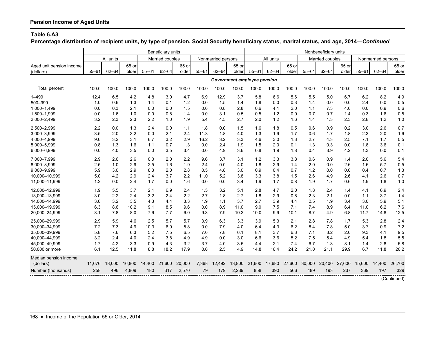**Percentage distribution of recipient units, by type of pension, Social Security beneficiary status, marital status, and age, 2014—***Continued*

| All units<br>Married couples<br>All units<br>Married couples<br>Nonmarried persons<br>Nonmarried persons<br>65 or<br>65 or<br>65 or<br>65 or<br>65 or<br>65 or<br>$55 - 61$<br>$62 - 64$<br>$55 - 61$<br>$62 - 64$<br>older<br>$55 - 61$<br>$62 - 64$<br>$55 - 61$<br>$62 - 64$<br>older<br>$55 - 61$<br>$62 - 64$<br>older<br>$55 - 61$<br>$62 - 64$<br>older<br>older<br>older<br>(dollars)<br>Government employee pension<br>100.0<br>100.0<br>100.0<br>100.0<br>100.0<br>100.0<br>100.0<br>100.0<br>100.0<br>100.0<br>100.0<br>100.0<br>100.0<br>100.0<br>100.0<br>100.0<br>100.0<br>100.0<br>Total percent<br>4.2<br>14.8<br>3.0<br>6.9<br>12.9<br>3.7<br>5.6<br>5.5<br>6.2<br>8.2<br>4.9<br>12.4<br>6.5<br>4.7<br>5.8<br>6.6<br>5.0<br>6.7<br>1.3<br>1.2<br>1.5<br>0.3<br>0.0<br>0.0<br>0.5<br>500-999<br>1.0<br>0.6<br>1.4<br>0.1<br>0.0<br>1.4<br>1.8<br>0.0<br>1.4<br>0.0<br>2.4<br>0.3<br>2.1<br>0.0<br>0.0<br>1.5<br>0.0<br>0.8<br>2.8<br>0.6<br>2.0<br>1.1<br>7.3<br>0.0<br>0.9<br>0.6<br>1,000-1,499<br>0.0<br>4.1<br>4.0<br>1.0<br>0.5<br>0.7<br>0.7<br>1.6<br>0.5<br>1.500-1.999<br>1.6<br>0.0<br>0.8<br>0.0<br>3.1<br>0.5<br>0.9<br>0.3<br>0.0<br>1.4<br>1.2<br>1.4<br>2.7<br>1.0<br>2.3<br>2.3<br>2.2<br>1.0<br>5.4<br>4.5<br>2.0<br>1.2<br>1.6<br>1.4<br>1.3<br>2.8<br>1.2<br>3.2<br>1.9<br>2.3<br>2,500-2,999<br>2.2<br>0.0<br>1.3<br>2.4<br>0.0<br>1.8<br>0.0<br>1.5<br>1.6<br>1.8<br>0.5<br>0.6<br>0.9<br>0.2<br>3.0<br>2.6<br>0.7<br>1.1<br>3.2<br>1.6<br>3,000-3,999<br>3.5<br>2.0<br>0.0<br>2.1<br>2.4<br>11.3<br>1.8<br>4.0<br>1.3<br>1.9<br>1.7<br>0.6<br>1.7<br>1.8<br>2.3<br>2.0<br>3.2<br>0.5<br>4,000-4,999<br>9.6<br>3.2<br>3.1<br>6.7<br>3.2<br>2.9<br>16.2<br>3.3<br>4.6<br>3.0<br>1.3<br>2.7<br>4.3<br>2.5<br>7.1<br>1.7<br>1.6<br>1.1<br>0.7<br>0.0<br>2.4<br>1.9<br>2.0<br>0.1<br>1.3<br>0.3<br>1.8<br>3.6<br>0.1<br>5,000-5,999<br>0.8<br>1.3<br>1.3<br>1.5<br>0.0<br>3.5<br>3.5<br>3.6<br>1.3<br>0.1<br>4.0<br>0.0<br>0.0<br>4.9<br>0.8<br>1.9<br>1.8<br>0.4<br>3.9<br>4.2<br>0.0<br>0.0<br>3.4<br>2.6<br>1.2<br>3.8<br>0.6<br>5.6<br>5.4<br>2.9<br>2.6<br>0.0<br>2.0<br>2.2<br>9.6<br>3.7<br>3.1<br>3.3<br>0.9<br>2.0<br>1.4<br>2.5<br>2.9<br>2.5<br>1.6<br>0.0<br>2.9<br>2.0<br>5.7<br>0.5<br>8.000-8.999<br>1.0<br>1.9<br>2.4<br>4.0<br>1.8<br>1.4<br>0.0<br>2.6<br>1.6<br>2.9<br>8.3<br>0.5<br>4.8<br>0.7<br>1.2<br>0.7<br>1.3<br>5.9<br>3.0<br>2.0<br>2.8<br>3.0<br>0.9<br>0.4<br>0.0<br>0.0<br>0.4<br>9,000-9,999<br>2.9<br>5.2<br>1.5<br>2.6<br>4.9<br>0.7<br>10,000-10,999<br>4.2<br>2.4<br>3.7<br>2.2<br>11.0<br>3.8<br>3.3<br>3.8<br>2.6<br>4.1<br>2.6<br>5.0<br>2.4<br>1.7<br>0.0<br>0.0<br>0.0<br>3.4<br>1.7<br>0.8<br>1.9<br>1.7<br>1.9<br>1.8<br>1.0<br>11,000-11,999<br>1.2<br>0.0<br>1.6<br>1.9<br>0.6<br>12,000-12,999<br>1.9<br>5.5<br>3.7<br>2.1<br>6.9<br>1.5<br>3.2<br>5.1<br>2.8<br>4.7<br>2.0<br>1.8<br>2.4<br>6.9<br>2.4<br>2.4<br>4.1<br>1.4<br>3.2<br>2.7<br>3.7<br>2.2<br>2.4<br>2.2<br>2.7<br>1.8<br>2.9<br>0.8<br>2.3<br>2.1<br>1.4<br>13,000-13,999<br>3.0<br>2.4<br>1.8<br>0.0<br>1.1<br>3.5<br>1.1<br>3.7<br>2.5<br>5.9<br>5.1<br>3.2<br>4.3<br>3.3<br>1.9<br>2.7<br>3.9<br>4.4<br>1.9<br>3.0<br>14,000-14,999<br>3.6<br>4.4<br>3.4<br>6.2<br>7.6<br>10.2<br>0.0<br>8.9<br>9.0<br>7.5<br>7.1<br>7.4<br>8.9<br>15,000-19,999<br>6.3<br>8.6<br>9.1<br>8.5<br>9.6<br>11.0<br>6.4<br>11.0<br>7.9<br>20,000-24,999<br>7.8<br>8.0<br>7.6<br>9.3<br>10.2<br>9.9<br>10.1<br>8.7<br>4.9<br>6.8<br>11.7<br>14.8<br>12.5<br>8.1<br>7.7<br>6.0<br>10.0<br>2.9<br>2.5<br>2.8<br>25,000-29,999<br>5.9<br>4.6<br>5.7<br>5.7<br>3.9<br>6.3<br>3.3<br>3.9<br>5.3<br>2.1<br>7.8<br>5.3<br>2.8<br>2.4<br>1.7<br>10.3<br>7.2<br>30,000-34,999<br>7.2<br>7.3<br>4.9<br>6.9<br>5.8<br>0.0<br>7.9<br>4.0<br>4.3<br>6.2<br>8.4<br>7.8<br>5.0<br>3.7<br>0.9<br>6.4<br>9.5<br>6.3<br>5.2<br>7.5<br>7.8<br>6.3<br>7.1<br>3.2<br>9.3<br>35,000-39,999<br>5.8<br>7.6<br>6.5<br>7.0<br>6.1<br>8.1<br>3.7<br>2.0<br>4.1<br>5.2<br>7.5<br>5.5<br>3.2<br>2.4<br>4.0<br>2.4<br>3.8<br>4.9<br>0.0<br>3.0<br>6.6<br>3.6<br>4.9<br>5.4<br>1.8<br>4.9<br>5.4<br>7.4<br>2.8<br>1.7<br>3.3<br>0.9<br>4.3<br>3.7<br>2.1<br>6.7<br>1.3<br>6.8<br>45.000-49.999<br>4.2<br>3.2<br>4.0<br>3.5<br>4.4<br>8.1<br>1.4<br>50,000 or more<br>6.1<br>12.5<br>11.8<br>8.8<br>18.2<br>17.9<br>0.0<br>2.5<br>4.9<br>24.2<br>21.0<br>21.1<br>29.9<br>6.7<br>11.8<br>20.2<br>14.8<br>16.4<br>Median pension income<br>16,800<br>27,600<br>30,000<br>27,600<br>14.400<br>11,076<br>18,000<br>14,400<br>21,600<br>20,000<br>7,368<br>12,492<br>13,800<br>21,600<br>17,680<br>20,400<br>15,600<br>26,700<br>(dollars)<br>4,809<br>2,239<br>858<br>390<br>566<br>489<br>197<br>329<br>Number (thousands)<br>258<br>496<br>180<br>2,570<br>79<br>179<br>193<br>237<br>369<br>317<br>(Continued) |                          | Beneficiary units<br>Nonbeneficiary units |  |  |  |  |  |  |  |  |  |  |  |  |  |
|----------------------------------------------------------------------------------------------------------------------------------------------------------------------------------------------------------------------------------------------------------------------------------------------------------------------------------------------------------------------------------------------------------------------------------------------------------------------------------------------------------------------------------------------------------------------------------------------------------------------------------------------------------------------------------------------------------------------------------------------------------------------------------------------------------------------------------------------------------------------------------------------------------------------------------------------------------------------------------------------------------------------------------------------------------------------------------------------------------------------------------------------------------------------------------------------------------------------------------------------------------------------------------------------------------------------------------------------------------------------------------------------------------------------------------------------------------------------------------------------------------------------------------------------------------------------------------------------------------------------------------------------------------------------------------------------------------------------------------------------------------------------------------------------------------------------------------------------------------------------------------------------------------------------------------------------------------------------------------------------------------------------------------------------------------------------------------------------------------------------------------------------------------------------------------------------------------------------------------------------------------------------------------------------------------------------------------------------------------------------------------------------------------------------------------------------------------------------------------------------------------------------------------------------------------------------------------------------------------------------------------------------------------------------------------------------------------------------------------------------------------------------------------------------------------------------------------------------------------------------------------------------------------------------------------------------------------------------------------------------------------------------------------------------------------------------------------------------------------------------------------------------------------------------------------------------------------------------------------------------------------------------------------------------------------------------------------------------------------------------------------------------------------------------------------------------------------------------------------------------------------------------------------------------------------------------------------------------------------------------------------------------------------------------------------------------------------------------------------------------------------------------------------------------------------------------------------------------------------------------------------------------------------------------------------------------------------------------------------------------------------------------------------------------------------------------------------------------------------------------------------------------------------------------------------------------------------------------------------------------------------------------------------------------------------------------------------------------------------------------------------------------------------------------------------------------------------------------------------------------------------------------------------------------------------------------------------------------------------------------------------------------------------------------------------------------------------------------------------------------------------------------------------------------------------|--------------------------|-------------------------------------------|--|--|--|--|--|--|--|--|--|--|--|--|--|
|                                                                                                                                                                                                                                                                                                                                                                                                                                                                                                                                                                                                                                                                                                                                                                                                                                                                                                                                                                                                                                                                                                                                                                                                                                                                                                                                                                                                                                                                                                                                                                                                                                                                                                                                                                                                                                                                                                                                                                                                                                                                                                                                                                                                                                                                                                                                                                                                                                                                                                                                                                                                                                                                                                                                                                                                                                                                                                                                                                                                                                                                                                                                                                                                                                                                                                                                                                                                                                                                                                                                                                                                                                                                                                                                                                                                                                                                                                                                                                                                                                                                                                                                                                                                                                                                                                                                                                                                                                                                                                                                                                                                                                                                                                                                                                                                          |                          |                                           |  |  |  |  |  |  |  |  |  |  |  |  |  |
|                                                                                                                                                                                                                                                                                                                                                                                                                                                                                                                                                                                                                                                                                                                                                                                                                                                                                                                                                                                                                                                                                                                                                                                                                                                                                                                                                                                                                                                                                                                                                                                                                                                                                                                                                                                                                                                                                                                                                                                                                                                                                                                                                                                                                                                                                                                                                                                                                                                                                                                                                                                                                                                                                                                                                                                                                                                                                                                                                                                                                                                                                                                                                                                                                                                                                                                                                                                                                                                                                                                                                                                                                                                                                                                                                                                                                                                                                                                                                                                                                                                                                                                                                                                                                                                                                                                                                                                                                                                                                                                                                                                                                                                                                                                                                                                                          | Aged unit pension income |                                           |  |  |  |  |  |  |  |  |  |  |  |  |  |
|                                                                                                                                                                                                                                                                                                                                                                                                                                                                                                                                                                                                                                                                                                                                                                                                                                                                                                                                                                                                                                                                                                                                                                                                                                                                                                                                                                                                                                                                                                                                                                                                                                                                                                                                                                                                                                                                                                                                                                                                                                                                                                                                                                                                                                                                                                                                                                                                                                                                                                                                                                                                                                                                                                                                                                                                                                                                                                                                                                                                                                                                                                                                                                                                                                                                                                                                                                                                                                                                                                                                                                                                                                                                                                                                                                                                                                                                                                                                                                                                                                                                                                                                                                                                                                                                                                                                                                                                                                                                                                                                                                                                                                                                                                                                                                                                          |                          |                                           |  |  |  |  |  |  |  |  |  |  |  |  |  |
|                                                                                                                                                                                                                                                                                                                                                                                                                                                                                                                                                                                                                                                                                                                                                                                                                                                                                                                                                                                                                                                                                                                                                                                                                                                                                                                                                                                                                                                                                                                                                                                                                                                                                                                                                                                                                                                                                                                                                                                                                                                                                                                                                                                                                                                                                                                                                                                                                                                                                                                                                                                                                                                                                                                                                                                                                                                                                                                                                                                                                                                                                                                                                                                                                                                                                                                                                                                                                                                                                                                                                                                                                                                                                                                                                                                                                                                                                                                                                                                                                                                                                                                                                                                                                                                                                                                                                                                                                                                                                                                                                                                                                                                                                                                                                                                                          |                          |                                           |  |  |  |  |  |  |  |  |  |  |  |  |  |
|                                                                                                                                                                                                                                                                                                                                                                                                                                                                                                                                                                                                                                                                                                                                                                                                                                                                                                                                                                                                                                                                                                                                                                                                                                                                                                                                                                                                                                                                                                                                                                                                                                                                                                                                                                                                                                                                                                                                                                                                                                                                                                                                                                                                                                                                                                                                                                                                                                                                                                                                                                                                                                                                                                                                                                                                                                                                                                                                                                                                                                                                                                                                                                                                                                                                                                                                                                                                                                                                                                                                                                                                                                                                                                                                                                                                                                                                                                                                                                                                                                                                                                                                                                                                                                                                                                                                                                                                                                                                                                                                                                                                                                                                                                                                                                                                          |                          |                                           |  |  |  |  |  |  |  |  |  |  |  |  |  |
|                                                                                                                                                                                                                                                                                                                                                                                                                                                                                                                                                                                                                                                                                                                                                                                                                                                                                                                                                                                                                                                                                                                                                                                                                                                                                                                                                                                                                                                                                                                                                                                                                                                                                                                                                                                                                                                                                                                                                                                                                                                                                                                                                                                                                                                                                                                                                                                                                                                                                                                                                                                                                                                                                                                                                                                                                                                                                                                                                                                                                                                                                                                                                                                                                                                                                                                                                                                                                                                                                                                                                                                                                                                                                                                                                                                                                                                                                                                                                                                                                                                                                                                                                                                                                                                                                                                                                                                                                                                                                                                                                                                                                                                                                                                                                                                                          | $1 - 499$                |                                           |  |  |  |  |  |  |  |  |  |  |  |  |  |
|                                                                                                                                                                                                                                                                                                                                                                                                                                                                                                                                                                                                                                                                                                                                                                                                                                                                                                                                                                                                                                                                                                                                                                                                                                                                                                                                                                                                                                                                                                                                                                                                                                                                                                                                                                                                                                                                                                                                                                                                                                                                                                                                                                                                                                                                                                                                                                                                                                                                                                                                                                                                                                                                                                                                                                                                                                                                                                                                                                                                                                                                                                                                                                                                                                                                                                                                                                                                                                                                                                                                                                                                                                                                                                                                                                                                                                                                                                                                                                                                                                                                                                                                                                                                                                                                                                                                                                                                                                                                                                                                                                                                                                                                                                                                                                                                          |                          |                                           |  |  |  |  |  |  |  |  |  |  |  |  |  |
|                                                                                                                                                                                                                                                                                                                                                                                                                                                                                                                                                                                                                                                                                                                                                                                                                                                                                                                                                                                                                                                                                                                                                                                                                                                                                                                                                                                                                                                                                                                                                                                                                                                                                                                                                                                                                                                                                                                                                                                                                                                                                                                                                                                                                                                                                                                                                                                                                                                                                                                                                                                                                                                                                                                                                                                                                                                                                                                                                                                                                                                                                                                                                                                                                                                                                                                                                                                                                                                                                                                                                                                                                                                                                                                                                                                                                                                                                                                                                                                                                                                                                                                                                                                                                                                                                                                                                                                                                                                                                                                                                                                                                                                                                                                                                                                                          |                          |                                           |  |  |  |  |  |  |  |  |  |  |  |  |  |
|                                                                                                                                                                                                                                                                                                                                                                                                                                                                                                                                                                                                                                                                                                                                                                                                                                                                                                                                                                                                                                                                                                                                                                                                                                                                                                                                                                                                                                                                                                                                                                                                                                                                                                                                                                                                                                                                                                                                                                                                                                                                                                                                                                                                                                                                                                                                                                                                                                                                                                                                                                                                                                                                                                                                                                                                                                                                                                                                                                                                                                                                                                                                                                                                                                                                                                                                                                                                                                                                                                                                                                                                                                                                                                                                                                                                                                                                                                                                                                                                                                                                                                                                                                                                                                                                                                                                                                                                                                                                                                                                                                                                                                                                                                                                                                                                          |                          |                                           |  |  |  |  |  |  |  |  |  |  |  |  |  |
|                                                                                                                                                                                                                                                                                                                                                                                                                                                                                                                                                                                                                                                                                                                                                                                                                                                                                                                                                                                                                                                                                                                                                                                                                                                                                                                                                                                                                                                                                                                                                                                                                                                                                                                                                                                                                                                                                                                                                                                                                                                                                                                                                                                                                                                                                                                                                                                                                                                                                                                                                                                                                                                                                                                                                                                                                                                                                                                                                                                                                                                                                                                                                                                                                                                                                                                                                                                                                                                                                                                                                                                                                                                                                                                                                                                                                                                                                                                                                                                                                                                                                                                                                                                                                                                                                                                                                                                                                                                                                                                                                                                                                                                                                                                                                                                                          | 2,000-2,499              |                                           |  |  |  |  |  |  |  |  |  |  |  |  |  |
|                                                                                                                                                                                                                                                                                                                                                                                                                                                                                                                                                                                                                                                                                                                                                                                                                                                                                                                                                                                                                                                                                                                                                                                                                                                                                                                                                                                                                                                                                                                                                                                                                                                                                                                                                                                                                                                                                                                                                                                                                                                                                                                                                                                                                                                                                                                                                                                                                                                                                                                                                                                                                                                                                                                                                                                                                                                                                                                                                                                                                                                                                                                                                                                                                                                                                                                                                                                                                                                                                                                                                                                                                                                                                                                                                                                                                                                                                                                                                                                                                                                                                                                                                                                                                                                                                                                                                                                                                                                                                                                                                                                                                                                                                                                                                                                                          |                          |                                           |  |  |  |  |  |  |  |  |  |  |  |  |  |
|                                                                                                                                                                                                                                                                                                                                                                                                                                                                                                                                                                                                                                                                                                                                                                                                                                                                                                                                                                                                                                                                                                                                                                                                                                                                                                                                                                                                                                                                                                                                                                                                                                                                                                                                                                                                                                                                                                                                                                                                                                                                                                                                                                                                                                                                                                                                                                                                                                                                                                                                                                                                                                                                                                                                                                                                                                                                                                                                                                                                                                                                                                                                                                                                                                                                                                                                                                                                                                                                                                                                                                                                                                                                                                                                                                                                                                                                                                                                                                                                                                                                                                                                                                                                                                                                                                                                                                                                                                                                                                                                                                                                                                                                                                                                                                                                          |                          |                                           |  |  |  |  |  |  |  |  |  |  |  |  |  |
|                                                                                                                                                                                                                                                                                                                                                                                                                                                                                                                                                                                                                                                                                                                                                                                                                                                                                                                                                                                                                                                                                                                                                                                                                                                                                                                                                                                                                                                                                                                                                                                                                                                                                                                                                                                                                                                                                                                                                                                                                                                                                                                                                                                                                                                                                                                                                                                                                                                                                                                                                                                                                                                                                                                                                                                                                                                                                                                                                                                                                                                                                                                                                                                                                                                                                                                                                                                                                                                                                                                                                                                                                                                                                                                                                                                                                                                                                                                                                                                                                                                                                                                                                                                                                                                                                                                                                                                                                                                                                                                                                                                                                                                                                                                                                                                                          |                          |                                           |  |  |  |  |  |  |  |  |  |  |  |  |  |
|                                                                                                                                                                                                                                                                                                                                                                                                                                                                                                                                                                                                                                                                                                                                                                                                                                                                                                                                                                                                                                                                                                                                                                                                                                                                                                                                                                                                                                                                                                                                                                                                                                                                                                                                                                                                                                                                                                                                                                                                                                                                                                                                                                                                                                                                                                                                                                                                                                                                                                                                                                                                                                                                                                                                                                                                                                                                                                                                                                                                                                                                                                                                                                                                                                                                                                                                                                                                                                                                                                                                                                                                                                                                                                                                                                                                                                                                                                                                                                                                                                                                                                                                                                                                                                                                                                                                                                                                                                                                                                                                                                                                                                                                                                                                                                                                          |                          |                                           |  |  |  |  |  |  |  |  |  |  |  |  |  |
|                                                                                                                                                                                                                                                                                                                                                                                                                                                                                                                                                                                                                                                                                                                                                                                                                                                                                                                                                                                                                                                                                                                                                                                                                                                                                                                                                                                                                                                                                                                                                                                                                                                                                                                                                                                                                                                                                                                                                                                                                                                                                                                                                                                                                                                                                                                                                                                                                                                                                                                                                                                                                                                                                                                                                                                                                                                                                                                                                                                                                                                                                                                                                                                                                                                                                                                                                                                                                                                                                                                                                                                                                                                                                                                                                                                                                                                                                                                                                                                                                                                                                                                                                                                                                                                                                                                                                                                                                                                                                                                                                                                                                                                                                                                                                                                                          | 6,000-6,999              |                                           |  |  |  |  |  |  |  |  |  |  |  |  |  |
|                                                                                                                                                                                                                                                                                                                                                                                                                                                                                                                                                                                                                                                                                                                                                                                                                                                                                                                                                                                                                                                                                                                                                                                                                                                                                                                                                                                                                                                                                                                                                                                                                                                                                                                                                                                                                                                                                                                                                                                                                                                                                                                                                                                                                                                                                                                                                                                                                                                                                                                                                                                                                                                                                                                                                                                                                                                                                                                                                                                                                                                                                                                                                                                                                                                                                                                                                                                                                                                                                                                                                                                                                                                                                                                                                                                                                                                                                                                                                                                                                                                                                                                                                                                                                                                                                                                                                                                                                                                                                                                                                                                                                                                                                                                                                                                                          | 7,000-7,999              |                                           |  |  |  |  |  |  |  |  |  |  |  |  |  |
|                                                                                                                                                                                                                                                                                                                                                                                                                                                                                                                                                                                                                                                                                                                                                                                                                                                                                                                                                                                                                                                                                                                                                                                                                                                                                                                                                                                                                                                                                                                                                                                                                                                                                                                                                                                                                                                                                                                                                                                                                                                                                                                                                                                                                                                                                                                                                                                                                                                                                                                                                                                                                                                                                                                                                                                                                                                                                                                                                                                                                                                                                                                                                                                                                                                                                                                                                                                                                                                                                                                                                                                                                                                                                                                                                                                                                                                                                                                                                                                                                                                                                                                                                                                                                                                                                                                                                                                                                                                                                                                                                                                                                                                                                                                                                                                                          |                          |                                           |  |  |  |  |  |  |  |  |  |  |  |  |  |
|                                                                                                                                                                                                                                                                                                                                                                                                                                                                                                                                                                                                                                                                                                                                                                                                                                                                                                                                                                                                                                                                                                                                                                                                                                                                                                                                                                                                                                                                                                                                                                                                                                                                                                                                                                                                                                                                                                                                                                                                                                                                                                                                                                                                                                                                                                                                                                                                                                                                                                                                                                                                                                                                                                                                                                                                                                                                                                                                                                                                                                                                                                                                                                                                                                                                                                                                                                                                                                                                                                                                                                                                                                                                                                                                                                                                                                                                                                                                                                                                                                                                                                                                                                                                                                                                                                                                                                                                                                                                                                                                                                                                                                                                                                                                                                                                          |                          |                                           |  |  |  |  |  |  |  |  |  |  |  |  |  |
|                                                                                                                                                                                                                                                                                                                                                                                                                                                                                                                                                                                                                                                                                                                                                                                                                                                                                                                                                                                                                                                                                                                                                                                                                                                                                                                                                                                                                                                                                                                                                                                                                                                                                                                                                                                                                                                                                                                                                                                                                                                                                                                                                                                                                                                                                                                                                                                                                                                                                                                                                                                                                                                                                                                                                                                                                                                                                                                                                                                                                                                                                                                                                                                                                                                                                                                                                                                                                                                                                                                                                                                                                                                                                                                                                                                                                                                                                                                                                                                                                                                                                                                                                                                                                                                                                                                                                                                                                                                                                                                                                                                                                                                                                                                                                                                                          |                          |                                           |  |  |  |  |  |  |  |  |  |  |  |  |  |
|                                                                                                                                                                                                                                                                                                                                                                                                                                                                                                                                                                                                                                                                                                                                                                                                                                                                                                                                                                                                                                                                                                                                                                                                                                                                                                                                                                                                                                                                                                                                                                                                                                                                                                                                                                                                                                                                                                                                                                                                                                                                                                                                                                                                                                                                                                                                                                                                                                                                                                                                                                                                                                                                                                                                                                                                                                                                                                                                                                                                                                                                                                                                                                                                                                                                                                                                                                                                                                                                                                                                                                                                                                                                                                                                                                                                                                                                                                                                                                                                                                                                                                                                                                                                                                                                                                                                                                                                                                                                                                                                                                                                                                                                                                                                                                                                          |                          |                                           |  |  |  |  |  |  |  |  |  |  |  |  |  |
|                                                                                                                                                                                                                                                                                                                                                                                                                                                                                                                                                                                                                                                                                                                                                                                                                                                                                                                                                                                                                                                                                                                                                                                                                                                                                                                                                                                                                                                                                                                                                                                                                                                                                                                                                                                                                                                                                                                                                                                                                                                                                                                                                                                                                                                                                                                                                                                                                                                                                                                                                                                                                                                                                                                                                                                                                                                                                                                                                                                                                                                                                                                                                                                                                                                                                                                                                                                                                                                                                                                                                                                                                                                                                                                                                                                                                                                                                                                                                                                                                                                                                                                                                                                                                                                                                                                                                                                                                                                                                                                                                                                                                                                                                                                                                                                                          |                          |                                           |  |  |  |  |  |  |  |  |  |  |  |  |  |
|                                                                                                                                                                                                                                                                                                                                                                                                                                                                                                                                                                                                                                                                                                                                                                                                                                                                                                                                                                                                                                                                                                                                                                                                                                                                                                                                                                                                                                                                                                                                                                                                                                                                                                                                                                                                                                                                                                                                                                                                                                                                                                                                                                                                                                                                                                                                                                                                                                                                                                                                                                                                                                                                                                                                                                                                                                                                                                                                                                                                                                                                                                                                                                                                                                                                                                                                                                                                                                                                                                                                                                                                                                                                                                                                                                                                                                                                                                                                                                                                                                                                                                                                                                                                                                                                                                                                                                                                                                                                                                                                                                                                                                                                                                                                                                                                          |                          |                                           |  |  |  |  |  |  |  |  |  |  |  |  |  |
|                                                                                                                                                                                                                                                                                                                                                                                                                                                                                                                                                                                                                                                                                                                                                                                                                                                                                                                                                                                                                                                                                                                                                                                                                                                                                                                                                                                                                                                                                                                                                                                                                                                                                                                                                                                                                                                                                                                                                                                                                                                                                                                                                                                                                                                                                                                                                                                                                                                                                                                                                                                                                                                                                                                                                                                                                                                                                                                                                                                                                                                                                                                                                                                                                                                                                                                                                                                                                                                                                                                                                                                                                                                                                                                                                                                                                                                                                                                                                                                                                                                                                                                                                                                                                                                                                                                                                                                                                                                                                                                                                                                                                                                                                                                                                                                                          |                          |                                           |  |  |  |  |  |  |  |  |  |  |  |  |  |
|                                                                                                                                                                                                                                                                                                                                                                                                                                                                                                                                                                                                                                                                                                                                                                                                                                                                                                                                                                                                                                                                                                                                                                                                                                                                                                                                                                                                                                                                                                                                                                                                                                                                                                                                                                                                                                                                                                                                                                                                                                                                                                                                                                                                                                                                                                                                                                                                                                                                                                                                                                                                                                                                                                                                                                                                                                                                                                                                                                                                                                                                                                                                                                                                                                                                                                                                                                                                                                                                                                                                                                                                                                                                                                                                                                                                                                                                                                                                                                                                                                                                                                                                                                                                                                                                                                                                                                                                                                                                                                                                                                                                                                                                                                                                                                                                          |                          |                                           |  |  |  |  |  |  |  |  |  |  |  |  |  |
|                                                                                                                                                                                                                                                                                                                                                                                                                                                                                                                                                                                                                                                                                                                                                                                                                                                                                                                                                                                                                                                                                                                                                                                                                                                                                                                                                                                                                                                                                                                                                                                                                                                                                                                                                                                                                                                                                                                                                                                                                                                                                                                                                                                                                                                                                                                                                                                                                                                                                                                                                                                                                                                                                                                                                                                                                                                                                                                                                                                                                                                                                                                                                                                                                                                                                                                                                                                                                                                                                                                                                                                                                                                                                                                                                                                                                                                                                                                                                                                                                                                                                                                                                                                                                                                                                                                                                                                                                                                                                                                                                                                                                                                                                                                                                                                                          |                          |                                           |  |  |  |  |  |  |  |  |  |  |  |  |  |
|                                                                                                                                                                                                                                                                                                                                                                                                                                                                                                                                                                                                                                                                                                                                                                                                                                                                                                                                                                                                                                                                                                                                                                                                                                                                                                                                                                                                                                                                                                                                                                                                                                                                                                                                                                                                                                                                                                                                                                                                                                                                                                                                                                                                                                                                                                                                                                                                                                                                                                                                                                                                                                                                                                                                                                                                                                                                                                                                                                                                                                                                                                                                                                                                                                                                                                                                                                                                                                                                                                                                                                                                                                                                                                                                                                                                                                                                                                                                                                                                                                                                                                                                                                                                                                                                                                                                                                                                                                                                                                                                                                                                                                                                                                                                                                                                          |                          |                                           |  |  |  |  |  |  |  |  |  |  |  |  |  |
|                                                                                                                                                                                                                                                                                                                                                                                                                                                                                                                                                                                                                                                                                                                                                                                                                                                                                                                                                                                                                                                                                                                                                                                                                                                                                                                                                                                                                                                                                                                                                                                                                                                                                                                                                                                                                                                                                                                                                                                                                                                                                                                                                                                                                                                                                                                                                                                                                                                                                                                                                                                                                                                                                                                                                                                                                                                                                                                                                                                                                                                                                                                                                                                                                                                                                                                                                                                                                                                                                                                                                                                                                                                                                                                                                                                                                                                                                                                                                                                                                                                                                                                                                                                                                                                                                                                                                                                                                                                                                                                                                                                                                                                                                                                                                                                                          |                          |                                           |  |  |  |  |  |  |  |  |  |  |  |  |  |
|                                                                                                                                                                                                                                                                                                                                                                                                                                                                                                                                                                                                                                                                                                                                                                                                                                                                                                                                                                                                                                                                                                                                                                                                                                                                                                                                                                                                                                                                                                                                                                                                                                                                                                                                                                                                                                                                                                                                                                                                                                                                                                                                                                                                                                                                                                                                                                                                                                                                                                                                                                                                                                                                                                                                                                                                                                                                                                                                                                                                                                                                                                                                                                                                                                                                                                                                                                                                                                                                                                                                                                                                                                                                                                                                                                                                                                                                                                                                                                                                                                                                                                                                                                                                                                                                                                                                                                                                                                                                                                                                                                                                                                                                                                                                                                                                          |                          |                                           |  |  |  |  |  |  |  |  |  |  |  |  |  |
|                                                                                                                                                                                                                                                                                                                                                                                                                                                                                                                                                                                                                                                                                                                                                                                                                                                                                                                                                                                                                                                                                                                                                                                                                                                                                                                                                                                                                                                                                                                                                                                                                                                                                                                                                                                                                                                                                                                                                                                                                                                                                                                                                                                                                                                                                                                                                                                                                                                                                                                                                                                                                                                                                                                                                                                                                                                                                                                                                                                                                                                                                                                                                                                                                                                                                                                                                                                                                                                                                                                                                                                                                                                                                                                                                                                                                                                                                                                                                                                                                                                                                                                                                                                                                                                                                                                                                                                                                                                                                                                                                                                                                                                                                                                                                                                                          | 40,000-44,999            |                                           |  |  |  |  |  |  |  |  |  |  |  |  |  |
|                                                                                                                                                                                                                                                                                                                                                                                                                                                                                                                                                                                                                                                                                                                                                                                                                                                                                                                                                                                                                                                                                                                                                                                                                                                                                                                                                                                                                                                                                                                                                                                                                                                                                                                                                                                                                                                                                                                                                                                                                                                                                                                                                                                                                                                                                                                                                                                                                                                                                                                                                                                                                                                                                                                                                                                                                                                                                                                                                                                                                                                                                                                                                                                                                                                                                                                                                                                                                                                                                                                                                                                                                                                                                                                                                                                                                                                                                                                                                                                                                                                                                                                                                                                                                                                                                                                                                                                                                                                                                                                                                                                                                                                                                                                                                                                                          |                          |                                           |  |  |  |  |  |  |  |  |  |  |  |  |  |
|                                                                                                                                                                                                                                                                                                                                                                                                                                                                                                                                                                                                                                                                                                                                                                                                                                                                                                                                                                                                                                                                                                                                                                                                                                                                                                                                                                                                                                                                                                                                                                                                                                                                                                                                                                                                                                                                                                                                                                                                                                                                                                                                                                                                                                                                                                                                                                                                                                                                                                                                                                                                                                                                                                                                                                                                                                                                                                                                                                                                                                                                                                                                                                                                                                                                                                                                                                                                                                                                                                                                                                                                                                                                                                                                                                                                                                                                                                                                                                                                                                                                                                                                                                                                                                                                                                                                                                                                                                                                                                                                                                                                                                                                                                                                                                                                          |                          |                                           |  |  |  |  |  |  |  |  |  |  |  |  |  |
|                                                                                                                                                                                                                                                                                                                                                                                                                                                                                                                                                                                                                                                                                                                                                                                                                                                                                                                                                                                                                                                                                                                                                                                                                                                                                                                                                                                                                                                                                                                                                                                                                                                                                                                                                                                                                                                                                                                                                                                                                                                                                                                                                                                                                                                                                                                                                                                                                                                                                                                                                                                                                                                                                                                                                                                                                                                                                                                                                                                                                                                                                                                                                                                                                                                                                                                                                                                                                                                                                                                                                                                                                                                                                                                                                                                                                                                                                                                                                                                                                                                                                                                                                                                                                                                                                                                                                                                                                                                                                                                                                                                                                                                                                                                                                                                                          |                          |                                           |  |  |  |  |  |  |  |  |  |  |  |  |  |
|                                                                                                                                                                                                                                                                                                                                                                                                                                                                                                                                                                                                                                                                                                                                                                                                                                                                                                                                                                                                                                                                                                                                                                                                                                                                                                                                                                                                                                                                                                                                                                                                                                                                                                                                                                                                                                                                                                                                                                                                                                                                                                                                                                                                                                                                                                                                                                                                                                                                                                                                                                                                                                                                                                                                                                                                                                                                                                                                                                                                                                                                                                                                                                                                                                                                                                                                                                                                                                                                                                                                                                                                                                                                                                                                                                                                                                                                                                                                                                                                                                                                                                                                                                                                                                                                                                                                                                                                                                                                                                                                                                                                                                                                                                                                                                                                          |                          |                                           |  |  |  |  |  |  |  |  |  |  |  |  |  |
|                                                                                                                                                                                                                                                                                                                                                                                                                                                                                                                                                                                                                                                                                                                                                                                                                                                                                                                                                                                                                                                                                                                                                                                                                                                                                                                                                                                                                                                                                                                                                                                                                                                                                                                                                                                                                                                                                                                                                                                                                                                                                                                                                                                                                                                                                                                                                                                                                                                                                                                                                                                                                                                                                                                                                                                                                                                                                                                                                                                                                                                                                                                                                                                                                                                                                                                                                                                                                                                                                                                                                                                                                                                                                                                                                                                                                                                                                                                                                                                                                                                                                                                                                                                                                                                                                                                                                                                                                                                                                                                                                                                                                                                                                                                                                                                                          |                          |                                           |  |  |  |  |  |  |  |  |  |  |  |  |  |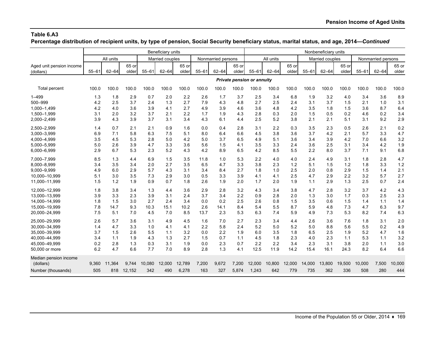**Percentage distribution of recipient units, by type of pension, Social Security beneficiary status, marital status, and age, 2014—***Continued*

|                          |           |           |        |           | Beneficiary units |        |           |                    |       |                            |           |        |           | Nonbeneficiary units |        |           |                    |        |
|--------------------------|-----------|-----------|--------|-----------|-------------------|--------|-----------|--------------------|-------|----------------------------|-----------|--------|-----------|----------------------|--------|-----------|--------------------|--------|
|                          |           | All units |        |           | Married couples   |        |           | Nonmarried persons |       |                            | All units |        |           | Married couples      |        |           | Nonmarried persons |        |
| Aged unit pension income |           |           | 65 or  |           |                   | 65 or  |           |                    | 65 or |                            |           | 65 or  |           |                      | 65 or  |           |                    | 65 or  |
| (dollars)                | $55 - 61$ | $62 - 64$ | older  | $55 - 61$ | $62 - 64$         | older  | $55 - 61$ | $62 - 64$          | older | $55 - 61$                  | $62 - 64$ | older  | $55 - 61$ | $62 - 64$            | older  | $55 - 61$ | $62 - 64$          | older  |
|                          |           |           |        |           |                   |        |           |                    |       | Private pension or annuity |           |        |           |                      |        |           |                    |        |
| Total percent            | 100.0     | 100.0     | 100.0  | 100.0     | 100.0             | 100.0  | 100.0     | 100.0              | 100.0 | 100.0                      | 100.0     | 100.0  | 100.0     | 100.0                | 100.0  | 100.0     | 100.0              | 100.0  |
| $1 - 499$                | 1.3       | 1.8       | 2.9    | 0.7       | 2.0               | 2.2    | 2.6       | 1.7                | 3.7   | 2.5                        | 3.4       | 6.8    | 1.9       | 3.2                  | 4.0    | 3.4       | 3.6                | 8.9    |
| 500-999                  | 4.2       | 2.5       | 3.7    | 2.4       | 1.3               | 2.7    | 7.9       | 4.3                | 4.8   | 2.7                        | 2.5       | 2.4    | 3.1       | 3.7                  | 1.5    | 2.1       | 1.0                | 3.1    |
| 1,000-1,499              | 4.2       | 4.0       | 3.6    | 3.9       | 4.1               | 2.7    | 4.9       | 3.9                | 4.6   | 3.6                        | 4.8       | 4.2    | 3.5       | 1.8                  | 1.5    | 3.6       | 8.7                | 6.4    |
| 1,500-1,999              | 3.1       | 2.0       | 3.2    | 3.7       | 2.1               | 2.2    | 1.7       | 1.9                | 4.3   | 2.8                        | 0.3       | 2.0    | 1.5       | 0.5                  | 0.2    | 4.6       | 0.2                | 3.4    |
| 2,000-2,499              | 3.9       | 4.3       | 3.9    | 3.7       | 3.1               | 3.4    | 4.3       | 6.1                | 4.4   | 2.5                        | 5.2       | 3.8    | 2.1       | 2.1                  | 5.1    | 3.1       | 9.2                | 2.9    |
| 2,500-2,999              | 1.4       | 0.7       | 2.1    | 2.1       | 0.9               | 1.6    | 0.0       | 0.4                | 2.8   | 3.1                        | 2.2       | 0.3    | 3.5       | 2.3                  | 0.5    | 2.6       | 2.1                | 0.2    |
| 3,000-3,999              | 6.9       | 7.1       | 5.8    | 6.3       | 7.5               | 5.1    | 8.0       | 6.4                | 6.6   | 4.5                        | 3.8       | 3.6    | 3.7       | 4.2                  | 2.1    | 5.7       | 3.3                | 4.7    |
| 4,000-4,999              | 3.5       | 4.5       | 5.3    | 2.8       | 5.0               | 4.2    | 5.0       | 3.7                | 6.5   | 4.9                        | 5.1       | 3.6    | 3.4       | 3.9                  | 4.2    | 7.0       | 6.6                | 3.2    |
| 5,000-5,999              | 5.0       | 2.6       | 3.9    | 4.7       | 3.3               | 3.6    | 5.6       | 1.5                | 4.1   | 3.5                        | 3.3       | 2.4    | 3.6       | 2.5                  | 3.1    | 3.4       | 4.2                | 1.9    |
| 6,000-6,999              | 2.9       | 6.7       | 5.3    | 2.3       | 5.2               | 4.3    | 4.2       | 8.9                | 6.5   | 4.2                        | 8.5       | 5.5    | 2.2       | 8.0                  | 3.7    | 7.1       | 9.1                | 6.8    |
| 7.000-7.999              | 8.5       | 1.3       | 4.4    | 6.9       | 1.5               | 3.5    | 11.8      | 1.0                | 5.3   | 2.2                        | 4.0       | 4.0    | 2.4       | 4.9                  | 3.1    | 1.8       | 2.8                | 4.7    |
| 8,000-8,999              | 3.4       | 3.5       | 3.4    | 2.0       | 2.7               | 3.5    | 6.5       | 4.7                | 3.3   | 3.8                        | 2.3       | 1.2    | 5.1       | 1.5                  | 1.2    | 1.8       | 3.3                | 1.2    |
| 9,000-9,999              | 4.9       | 6.0       | 2.9    | 5.7       | 4.3               | 3.1    | 3.4       | 8.4                | 2.7   | 1.8                        | 1.0       | 2.5    | 2.0       | 0.8                  | 2.9    | 1.5       | 1.4                | 2.1    |
| 10.000-10.999            | 5.1       | 3.0       | 3.5    | 7.3       | 2.9               | 3.0    | 0.5       | 3.3                | 3.9   | 4.1                        | 4.1       | 2.5    | 4.7       | 2.9                  | 2.2    | 3.2       | 5.7                | 2.7    |
| 11,000-11,999            | 1.5       | 1.2       | 1.9    | 0.9       | 0.7               | 1.8    | 2.6       | 1.9                | 2.0   | 1.7                        | 2.0       | 1.9    | 1.1       | 2.9                  | 1.3    | 2.5       | 0.7                | 2.4    |
| 12.000-12.999            | 1.8       | 3.8       | 3.4    | 1.3       | 4.4               | 3.6    | 2.9       | 2.8                | 3.2   | 4.3                        | 3.4       | 3.8    | 4.7       | 2.8                  | 3.2    | 3.7       | 4.2                | 4.3    |
| 13,000-13,999            | 3.9       | 3.3       | 2.3    | 3.9       | 3.1               | 2.4    | 3.7       | 3.4                | 2.2   | 0.9                        | 2.8       | 2.0    | 1.3       | 3.0                  | 1.7    | 0.3       | 2.5                | 2.3    |
| 14,000-14,999            | 1.8       | 1.5       | 3.0    | 2.7       | 2.4               | 3.4    | 0.0       | 0.2                | 2.5   | 2.6                        | 0.8       | 1.5    | 3.5       | 0.6                  | 1.5    | 1.4       | 1.1                | 1.4    |
| 15,000-19,999            | 7.8       | 14.7      | 9.3    | 10.3      | 15.1              | 10.2   | 2.6       | 14.1               | 8.4   | 5.4                        | 5.5       | 8.7    | 5.9       | 4.8                  | 7.3    | 4.7       | 6.3                | 9.7    |
| 20,000-24,999            | 7.5       | 5.1       | 7.0    | 4.5       | 7.0               | 8.5    | 13.7      | 2.3                | 5.3   | 6.3                        | 7.4       | 5.9    | 4.9       | 7.3                  | 5.3    | 8.2       | 7.4                | 6.3    |
| 25,000-29,999            | 2.6       | 5.7       | 3.6    | 3.1       | 4.9               | 4.5    | 1.6       | 7.0                | 2.7   | 2.3                        | 3.4       | 4.4    | 2.6       | 3.6                  | 7.6    | 1.8       | 3.1                | 2.0    |
| 30.000-34.999            | 1.4       | 4.7       | 3.3    | 1.0       | 4.1               | 4.1    | 2.2       | 5.8                | 2.4   | 5.2                        | 5.0       | 5.2    | 5.0       | 8.8                  | 5.6    | 5.5       | 0.2                | 4.9    |
| 35.000-39.999            | 3.7       | 1.5       | 2.6    | 5.5       | 1.1               | 3.2    | 0.0       | 2.2                | 1.9   | 6.0                        | 3.5       | 1.8    | 6.5       | 2.5                  | 1.9    | 5.2       | 4.7                | 1.6    |
| 40,000-44,999            | 3.4       | 1.1       | 1.9    | 4.3       | 1.3               | 2.7    | 1.5       | 0.7                | 1.1   | 4.5                        | 1.8       | 2.3    | 4.0       | 2.3                  | 1.1    | 5.3       | 1.1                | 3.2    |
| 45,000-49,999            | 0.2       | 2.8       | 1.3    | 0.3       | 3.1               | 1.9    | 0.0       | 2.3                | 0.7   | 2.2                        | 2.2       | 3.4    | 2.3       | 3.1                  | 3.8    | 2.0       | 1.1                | 3.0    |
| 50,000 or more           | 6.2       | 4.7       | 6.6    | 7.7       | 7.0               | 8.9    | 2.8       | 1.3                | 4.1   | 12.5                       | 11.9      | 14.2   | 15.4      | 16.1                 | 24.3   | 8.2       | 6.4                | 6.6    |
| Median pension income    |           |           |        |           |                   |        |           |                    |       |                            |           |        |           |                      |        |           |                    |        |
| (dollars)                | 9,360     | 11,364    | 9,744  | 10,080    | 12,000            | 12,789 | 7,200     | 9,672              | 7,200 | 12,000                     | 10,800    | 12,000 | 14,000    | 13,800               | 19,500 | 10,000    | 7,500              | 10,000 |
| Number (thousands)       | 505       | 818       | 12,152 | 342       | 490               | 6,278  | 163       | 327                | 5,874 | 1,243                      | 642       | 779    | 735       | 362                  | 336    | 508       | 280                | 444    |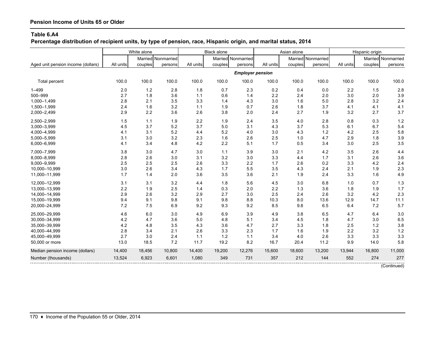**Percentage distribution of recipient units, by type of pension, race, Hispanic origin, and marital status, 2014**

|                                    |           | White alone |                    |           | Black alone |                         |           | Asian alone |                    |           | Hispanic origin |                    |
|------------------------------------|-----------|-------------|--------------------|-----------|-------------|-------------------------|-----------|-------------|--------------------|-----------|-----------------|--------------------|
|                                    |           |             | Married Nonmarried |           |             | Married Nonmarried      |           |             | Married Nonmarried |           |                 | Married Nonmarried |
| Aged unit pension income (dollars) | All units | couples     | persons            | All units | couples     | persons                 | All units | couples     | persons            | All units | couples         | persons            |
|                                    |           |             |                    |           |             | <b>Employer pension</b> |           |             |                    |           |                 |                    |
| <b>Total percent</b>               | 100.0     | 100.0       | 100.0              | 100.0     | 100.0       | 100.0                   | 100.0     | 100.0       | 100.0              | 100.0     | 100.0           | 100.0              |
| $1 - 499$                          | 2.0       | $1.2$       | 2.8                | 1.8       | 0.7         | 2.3                     | 0.2       | 0.4         | 0.0                | 2.2       | 1.5             | 2.8                |
| 500-999                            | 2.7       | 1.8         | 3.6                | 1.1       | 0.6         | 1.4                     | 2.2       | 2.4         | 2.0                | 3.0       | 2.0             | 3.9                |
| 1,000-1,499                        | 2.8       | 2.1         | 3.5                | 3.3       | 1.4         | 4.3                     | 3.0       | 1.6         | 5.0                | 2.8       | 3.2             | 2.4                |
| 1,500-1,999                        | 2.4       | 1.6         | 3.2                | 1.1       | 1.9         | 0.7                     | 2.6       | 1.8         | 3.7                | 4.1       | 4.1             | 4.1                |
| 2,000-2,499                        | 2.9       | 2.2         | 3.6                | 2.6       | 3.8         | 2.0                     | 2.4       | 2.7         | 1.9                | 3.2       | 2.7             | 3.7                |
| 2,500-2,999                        | 1.5       | 1.1         | 1.9                | 2.2       | 1.9         | 2.4                     | 3.5       | 4.0         | 2.8                | 0.8       | 0.3             | 1.2                |
| 3,000-3,999                        | 4.5       | 3.7         | 5.2                | 3.7       | 5.0         | 3.1                     | 4.3       | 3.7         | 5.3                | 6.1       | 6.7             | 5.4                |
| 4,000-4,999                        | 4.1       | 3.1         | 5.2                | 4.4       | 5.2         | 4.0                     | 3.0       | 4.3         | 1.2                | 4.2       | 2.5             | 5.8                |
| 5,000-5,999                        | 3.1       | 3.0         | 3.2                | 2.3       | 1.6         | 2.6                     | 2.5       | 1.0         | 4.7                | 2.9       | 1.8             | 3.9                |
| 6,000-6,999                        | 4.1       | 3.4         | 4.8                | 4.2       | 2.2         | 5.1                     | 1.7       | 0.5         | 3.4                | 3.0       | 2.5             | 3.5                |
| 7,000-7,999                        | 3.8       | 3.0         | 4.7                | 3.0       | 1.1         | 3.9                     | 3.0       | 2.1         | 4.2                | 3.5       | 2.6             | 4.4                |
| 8,000-8,999                        | 2.8       | 2.6         | 3.0                | 3.1       | 3.2         | 3.0                     | 3.3       | 4.4         | 1.7                | 3.1       | 2.6             | 3.6                |
| 9,000-9,999                        | 2.5       | 2.5         | 2.5                | 2.6       | 3.3         | 2.2                     | 1.7       | 2.6         | 0.2                | 3.3       | 4.2             | 2.4                |
| 10,000-10,999                      | 3.0       | 2.6         | 3.4                | 4.3       | 1.7         | 5.5                     | 3.5       | 4.3         | 2.4                | 2.1       | 1.9             | 2.3                |
| 11,000-11,999                      | 1.7       | 1.4         | 2.0                | 3.6       | 3.5         | 3.6                     | 2.1       | 1.9         | 2.4                | 3.3       | 1.6             | 4.9                |
| 12,000-12,999                      | 3.1       | 3.1         | 3.2                | 4.4       | 1.8         | 5.6                     | 4.5       | 3.0         | 6.8                | 1.0       | 0.7             | 1.3                |
| 13,000-13,999                      | 2.2       | 1.9         | 2.5                | 1.4       | 0.3         | 2.0                     | 2.2       | 1.3         | 3.6                | 1.8       | 1.9             | 1.7                |
| 14,000-14,999                      | 2.9       | 2.6         | 3.2                | 2.9       | 2.7         | 3.0                     | 2.5       | 2.4         | 2.6                | 3.2       | 4.2             | 2.3                |
| 15,000-19,999                      | 9.4       | 9.1         | 9.8                | 9.1       | 9.8         | 8.8                     | 10.3      | 8.0         | 13.6               | 12.9      | 14.7            | 11.1               |
| 20,000-24,999                      | 7.2       | 7.5         | 6.9                | 9.2       | 9.3         | 9.2                     | 8.5       | 9.8         | 6.5                | 6.4       | 7.2             | 5.7                |
| 25,000-29,999                      | 4.6       | 6.0         | 3.0                | 4.9       | 6.9         | 3.9                     | 4.9       | 3.8         | 6.5                | 4.7       | 6.4             | 3.0                |
| 30,000-34,999                      | 4.2       | 4.7         | 3.6                | 5.0       | 4.8         | 5.1                     | 3.4       | 4.5         | 1.8                | 4.7       | 3.0             | 6.5                |
| 35,000-39,999                      | 4.2       | 4.8         | 3.5                | 4.3       | 3.6         | 4.7                     | 2.7       | 3.3         | 1.8                | 2.5       | 1.2             | 3.8                |
| 40,000-44,999                      | 2.8       | 3.4         | 2.1                | 2.6       | 3.3         | 2.3                     | 1.7       | 1.6         | 1.9                | 2.2       | 3.2             | 1.2                |
| 45,000-49,999                      | 2.7       | 3.0         | 2.4                | 1.1       | 1.2         | 1.1                     | 3.4       | 4.0         | 2.6                | 3.3       | 3.3             | 3.3                |
| 50,000 or more                     | 13.0      | 18.5        | 7.2                | 11.7      | 19.2        | 8.2                     | 16.7      | 20.4        | 11.2               | 9.9       | 14.0            | 5.8                |
| Median pension income (dollars)    | 14,400    | 18,456      | 10,800             | 14,400    | 19,200      | 12,276                  | 15,600    | 18,600      | 13,200             | 13,944    | 16,800          | 11,000             |
| Number (thousands)                 | 13,524    | 6,923       | 6,601              | 1,080     | 349         | 731                     | 357       | 212         | 144                | 552       | 274             | 277                |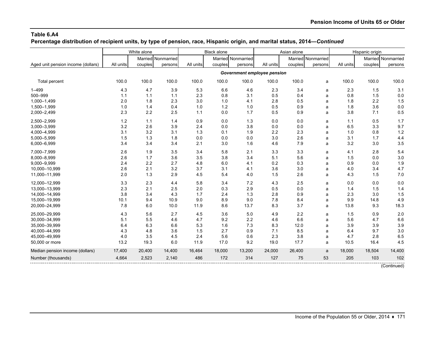**Percentage distribution of recipient units, by type of pension, race, Hispanic origin, and marital status, 2014—***Continued*

|                                    |           | White alone        |         |           | <b>Black alone</b> |                    |                             | Asian alone |                    |           | Hispanic origin |                    |
|------------------------------------|-----------|--------------------|---------|-----------|--------------------|--------------------|-----------------------------|-------------|--------------------|-----------|-----------------|--------------------|
|                                    |           | Married Nonmarried |         |           |                    | Married Nonmarried |                             |             | Married Nonmarried |           |                 | Married Nonmarried |
| Aged unit pension income (dollars) | All units | couples            | persons | All units | couples            | persons            | All units                   | couples     | persons            | All units | couples         | persons            |
|                                    |           |                    |         |           |                    |                    | Government employee pension |             |                    |           |                 |                    |
| <b>Total percent</b>               | 100.0     | 100.0              | 100.0   | 100.0     | 100.0              | 100.0              | 100.0                       | 100.0       | a                  | 100.0     | 100.0           | 100.0              |
| $1 - 499$                          | 4.3       | 4.7                | 3.9     | 5.3       | 6.6                | 4.6                | 2.3                         | 3.4         | a                  | 2.3       | 1.5             | 3.1                |
| 500-999                            | 1.1       | 1.1                | 1.1     | 2.3       | 0.8                | 3.1                | 0.5                         | 0.4         | a                  | 0.8       | 1.5             | 0.0                |
| 1,000-1,499                        | 2.0       | 1.8                | 2.3     | 3.0       | 1.0                | 4.1                | 2.8                         | 0.5         | a                  | 1.8       | 2.2             | 1.5                |
| 1,500-1,999                        | 1.0       | 1.4                | 0.4     | 1.0       | 1.2                | 1.0                | 0.5                         | 0.9         | a                  | 1.8       | 3.6             | 0.0                |
| 2,000-2,499                        | 2.3       | 2.2                | 2.5     | 1.1       | 0.0                | 1.7                | 0.5                         | 0.9         | a                  | 3.8       | 7.1             | 0.5                |
| 2,500-2,999                        | 1.2       | 1.1                | 1.4     | 0.9       | 0.0                | 1.3                | 0.0                         | 0.0         | a                  | 1.1       | 0.5             | 1.7                |
| 3,000-3,999                        | 3.2       | 2.6                | 3.9     | 2.4       | 0.0                | 3.8                | 0.0                         | 0.0         | a                  | 6.5       | 3.3             | 9.7                |
| 4,000-4,999                        | 3.1       | 3.2                | 3.1     | 1.3       | 0.1                | 1.9                | 2.2                         | 2.3         | a                  | 1.0       | 0.8             | 1.2                |
| 5,000-5,999                        | 1.5       | 1.3                | 1.8     | 0.0       | 0.0                | 0.0                | 3.0                         | 2.6         | a                  | 3.1       | 1.7             | 4.4                |
| 6,000-6,999                        | 3.4       | 3.4                | 3.4     | 2.1       | 3.0                | 1.6                | 4.6                         | 7.9         | a                  | 3.2       | 3.0             | 3.5                |
| 7,000-7,999                        | 2.6       | 1.9                | 3.5     | 3.4       | 5.8                | 2.1                | 3.3                         | 3.3         | a                  | 4.1       | 2.8             | 5.4                |
| 8,000-8,999                        | 2.6       | 1.7                | 3.6     | 3.5       | 3.8                | 3.4                | 5.1                         | 5.6         | a                  | 1.5       | 0.0             | 3.0                |
| 9,000-9,999                        | 2.4       | 2.2                | 2.7     | 4.8       | 6.0                | 4.1                | 0.2                         | 0.3         | a                  | 0.9       | 0.0             | 1.9                |
| 10,000-10,999                      | 2.6       | 2.1                | 3.2     | 3.7       | 3.1                | 4.1                | 3.6                         | 3.0         | a                  | 4.0       | 3.4             | 4.7                |
| 11,000-11,999                      | 2.0       | 1.3                | 2.9     | 4.5       | 5.4                | 4.0                | 1.5                         | 2.6         | a                  | 4.3       | 1.5             | 7.0                |
| 12,000-12,999                      | 3.3       | 2.3                | 4.4     | 5.8       | 3.4                | 7.2                | 4.3                         | 2.5         | a                  | 0.0       | 0.0             | 0.0                |
| 13,000-13,999                      | 2.3       | 2.1                | 2.5     | 2.0       | 0.3                | 2.9                | 0.5                         | 0.0         | a                  | 1.4       | 1.5             | 1.4                |
| 14,000-14,999                      | 3.8       | 3.4                | 4.3     | 1.7       | 2.4                | 1.3                | 2.8                         | 0.9         | a                  | 2.3       | 3.0             | 1.5                |
| 15,000-19,999                      | 10.1      | 9.4                | 10.9    | 9.0       | 8.9                | 9.0                | 7.8                         | 8.4         | a                  | 9.9       | 14.8            | 4.9                |
| 20,000-24,999                      | 7.8       | 6.0                | 10.0    | 11.9      | 8.6                | 13.7               | 8.3                         | 3.7         | a                  | 13.8      | 9.3             | 18.3               |
| 25.000-29.999                      | 4.3       | 5.6                | 2.7     | 4.5       | 3.6                | 5.0                | 4.9                         | 2.2         | a                  | 1.5       | 0.9             | 2.0                |
| 30,000-34,999                      | 5.1       | 5.5                | 4.6     | 4.7       | 9.2                | 2.2                | 4.6                         | 6.6         | a                  | 5.6       | 4.7             | 6.6                |
| 35,000-39,999                      | 6.4       | 6.3                | 6.6     | 5.3       | 1.6                | 7.3                | 8.3                         | 12.0        | a                  | 3.9       | 3.9             | 3.9                |
| 40,000-44,999                      | 4.3       | 4.8                | 3.6     | 1.5       | 2.7                | 0.9                | 7.1                         | 8.5         | a                  | 6.4       | 9.7             | 3.0                |
| 45,000-49,999                      | 4.0       | 3.5                | 4.5     | 2.4       | 5.6                | 0.6                | 2.3                         | 3.8         | a                  | 4.7       | 2.8             | 6.5                |
| 50,000 or more                     | 13.2      | 19.3               | 6.0     | 11.9      | 17.0               | 9.2                | 19.0                        | 17.7        | a                  | 10.5      | 16.4            | 4.5                |
| Median pension income (dollars)    | 17,400    | 20,400             | 14,400  | 16,464    | 18,000             | 13,200             | 24,000                      | 26,400      | a                  | 18,000    | 18,504          | 14,400             |
| Number (thousands)                 | 4,664     | 2,523              | 2,140   | 486       | 172                | 314                | 127                         | 75          | 53                 | 205       | 103             | 102                |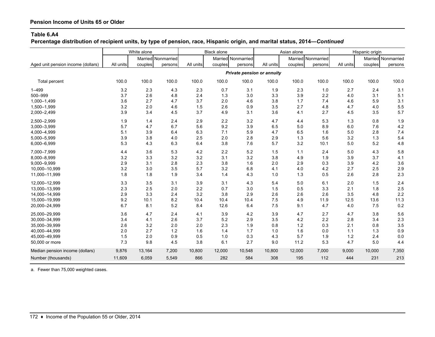**Percentage distribution of recipient units, by type of pension, race, Hispanic origin, and marital status, 2014—***Continued*

|                                    |           | White alone |                    |           | <b>Black alone</b> |                    |                                   | Asian alone |                    |           | Hispanic origin |                    |
|------------------------------------|-----------|-------------|--------------------|-----------|--------------------|--------------------|-----------------------------------|-------------|--------------------|-----------|-----------------|--------------------|
|                                    |           |             | Married Nonmarried |           |                    | Married Nonmarried |                                   |             | Married Nonmarried |           |                 | Married Nonmarried |
| Aged unit pension income (dollars) | All units | couples     | persons            | All units | couples            | persons            | All units                         | couples     | persons            | All units | couples         | persons            |
|                                    |           |             |                    |           |                    |                    | <b>Private pension or annuity</b> |             |                    |           |                 |                    |
| Total percent                      | 100.0     | 100.0       | 100.0              | 100.0     | 100.0              | 100.0              | 100.0                             | 100.0       | 100.0              | 100.0     | 100.0           | 100.0              |
| $1 - 499$                          | 3.2       | 2.3         | 4.3                | 2.3       | 0.7                | 3.1                | 1.9                               | 2.3         | 1.0                | 2.7       | 2.4             | 3.1                |
| 500-999                            | 3.7       | 2.6         | 4.8                | 2.4       | 1.3                | 3.0                | 3.3                               | 3.9         | 2.2                | 4.0       | 3.1             | 5.1                |
| 1,000-1,499                        | 3.6       | 2.7         | 4.7                | 3.7       | 2.0                | 4.6                | 3.8                               | 1.7         | 7.4                | 4.6       | 5.9             | 3.1                |
| 1,500-1,999                        | 3.2       | 2.0         | 4.6                | 1.5       | 2.6                | 0.9                | 3.5                               | 2.7         | 4.8                | 4.7       | 4.0             | 5.5                |
| 2,000-2,499                        | 3.9       | 3.4         | 4.5                | 3.7       | 4.9                | 3.1                | 3.6                               | 4.1         | 2.7                | 4.5       | 3.5             | 5.7                |
| 2,500-2,999                        | 1.9       | 1.4         | 2.4                | 2.9       | 2.2                | 3.2                | 4.7                               | 4.4         | 5.3                | 1.3       | 0.8             | 1.9                |
| 3,000-3,999                        | 5.7       | 4.7         | 6.7                | 5.6       | 9.2                | 3.9                | 6.5                               | 5.0         | 8.9                | 6.0       | 7.6             | 4.2                |
| 4,000-4,999                        | 5.1       | 3.9         | 6.4                | 6.3       | 7.1                | 5.9                | 4.7                               | 6.5         | 1.6                | 5.0       | 2.8             | 7.4                |
| 5,000-5,999                        | 3.9       | 3.8         | 4.0                | 2.5       | 2.0                | 2.8                | 2.9                               | 1.3         | 5.6                | 3.2       | 1.3             | 5.4                |
| 6,000-6,999                        | 5.3       | 4.3         | 6.3                | 6.4       | 3.8                | 7.6                | 5.7                               | 3.2         | 10.1               | 5.0       | 5.2             | 4.8                |
| 7,000-7,999                        | 4.4       | 3.6         | 5.3                | 4.2       | 2.2                | 5.2                | 1.5                               | 1.1         | 2.4                | 5.0       | 4.3             | 5.8                |
| 8,000-8,999                        | 3.2       | 3.3         | 3.2                | 3.2       | 3.1                | 3.2                | 3.8                               | 4.9         | 1.9                | 3.9       | 3.7             | 4.1                |
| 9,000-9,999                        | 2.9       | 3.1         | 2.8                | 2.3       | 3.8                | 1.6                | 2.0                               | 2.9         | 0.3                | 3.9       | 4.2             | 3.6                |
| 10,000-10,999                      | 3.2       | 3.0         | 3.5                | 5.7       | 3.2                | 6.8                | 4.1                               | 4.0         | 4.2                | 2.7       | 2.5             | 2.9                |
| 11,000-11,999                      | 1.8       | 1.8         | 1.9                | 3.4       | 1.4                | 4.3                | 1.0                               | 1.3         | 0.5                | 2.6       | 2.8             | 2.3                |
| 12,000-12,999                      | 3.3       | 3.5         | 3.1                | 3.9       | 3.1                | 4.3                | 5.4                               | 5.0         | 6.1                | 2.0       | 1.5             | 2.4                |
| 13,000-13,999                      | 2.3       | 2.5         | 2.0                | 2.2       | 0.7                | 3.0                | 1.5                               | 0.5         | 3.3                | 2.1       | 1.8             | 2.5                |
| 14,000-14,999                      | 2.9       | 3.3         | 2.4                | 3.2       | 3.8                | 2.9                | 2.6                               | 2.6         | 2.6                | 3.5       | 4.8             | 2.2                |
| 15,000-19,999                      | 9.2       | 10.1        | 8.2                | 10.4      | 10.4               | 10.4               | 7.5                               | 4.9         | 11.9               | 12.5      | 13.6            | 11.3               |
| 20,000-24,999                      | 6.7       | 8.1         | 5.2                | 8.4       | 12.6               | 6.4                | 7.5                               | 9.1         | 4.7                | 4.0       | 7.5             | 0.2                |
| 25,000-29,999                      | 3.6       | 4.7         | 2.4                | 4.1       | 3.9                | 4.2                | 3.9                               | 4.7         | 2.7                | 4.7       | 3.8             | 5.6                |
| 30,000-34,999                      | 3.4       | 4.1         | 2.6                | 3.7       | 5.2                | 2.9                | 3.5                               | 4.2         | 2.2                | 2.8       | 3.4             | 2.3                |
| 35,000-39,999                      | 2.6       | 3.2         | 2.0                | 2.0       | 2.3                | 1.9                | 0.8                               | 1.2         | 0.3                | 2.1       | 0.8             | 3.5                |
| 40,000-44,999                      | 2.0       | 2.7         | 1.2                | 1.6       | 1.4                | 1.7                | 1.0                               | 1.6         | 0.0                | 1.1       | 1.3             | 0.9                |
| 45,000-49,999                      | 1.5       | 2.0         | 0.9                | 0.5       | 1.0                | 0.3                | 4.3                               | 5.7         | 1.9                | 1.2       | 2.4             | 0.0                |
| 50,000 or more                     | 7.3       | 9.8         | 4.5                | 3.8       | 6.1                | 2.7                | 9.0                               | 11.2        | 5.3                | 4.7       | 5.0             | 4.4                |
| Median pension income (dollars)    | 9,876     | 13,164      | 7,200              | 10,800    | 12,000             | 10,548             | 10,800                            | 12,000      | 7,000              | 9,000     | 10,000          | 7,350              |
| Number (thousands)                 | 11,609    | 6,059       | 5,549              | 866       | 282                | 584                | 308                               | 195         | 112                | 444       | 231             | 213                |

a. Fewer than 75,000 weighted cases.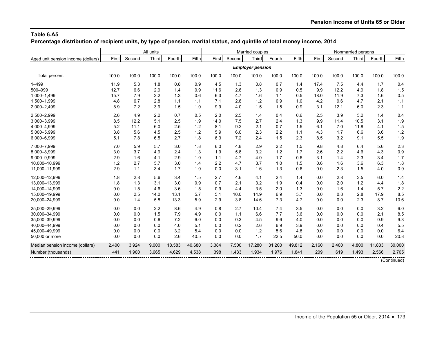**Percentage distribution of recipient units, by type of pension, marital status, and quintile of total money income, 2014**

|                                    |       |        | All units |        |        |       |        | Married couples         |        |        |       |        | Nonmarried persons |        |             |
|------------------------------------|-------|--------|-----------|--------|--------|-------|--------|-------------------------|--------|--------|-------|--------|--------------------|--------|-------------|
| Aged unit pension income (dollars) | First | Second | Third     | Fourth | Fifth  | First | Second | Third                   | Fourth | Fifth  | First | Second | Third              | Fourth | Fifth       |
|                                    |       |        |           |        |        |       |        | <b>Employer pension</b> |        |        |       |        |                    |        |             |
| Total percent                      | 100.0 | 100.0  | 100.0     | 100.0  | 100.0  | 100.0 | 100.0  | 100.0                   | 100.0  | 100.0  | 100.0 | 100.0  | 100.0              | 100.0  | 100.0       |
| $1 - 499$                          | 11.9  | 5.3    | 1.8       | 0.8    | 0.9    | 4.5   | 1.3    | 0.8                     | 0.7    | 1.4    | 17.4  | 7.5    | 4.4                | 1.7    | 0.4         |
| 500-999                            | 12.7  | 6.6    | 2.9       | 1.4    | 0.9    | 11.6  | 2.6    | 1.3                     | 0.9    | 0.5    | 9.9   | 12.2   | 4.9                | 1.8    | 1.5         |
| 1,000-1,499                        | 15.7  | 7.9    | 3.2       | 1.3    | 0.6    | 6.3   | 4.7    | 1.6                     | 1.1    | 0.5    | 18.0  | 11.9   | 7.3                | 1.6    | 0.5         |
| 1,500-1,999                        | 4.8   | 6.7    | 2.8       | 1.1    | 1.1    | 7.1   | 2.8    | 1.2                     | 0.9    | 1.0    | 4.2   | 9.6    | 4.7                | 2.1    | 1.1         |
| 2,000-2,499                        | 8.9   | 7.2    | 3.9       | 1.5    | 1.0    | 9.9   | 4.0    | 1.5                     | 1.5    | 0.9    | 3.1   | 12.1   | 6.0                | 2.3    | 1.1         |
| 2,500-2,999                        | 2.6   | 4.9    | 2.2       | 0.7    | 0.5    | 2.0   | 2.5    | 1.4                     | 0.4    | 0.6    | 2.5   | 3.9    | 5.2                | 1.4    | 0.4         |
| 3,000-3,999                        | 8.5   | 12.2   | 5.1       | 2.5    | 1.9    | 14.0  | 7.5    | 2.7                     | 2.4    | 1.3    | 9.9   | 11.4   | 10.5               | 3.1    | 1.9         |
| 4,000-4,999                        | 5.2   | 11.1   | 6.0       | 2.5    | 1.2    | 8.1   | 9.2    | 2.1                     | 0.7    | 1.5    | 6.1   | 7.0    | 11.8               | 4.1    | 1.5         |
| 5,000-5,999                        | 3.8   | 5.6    | 4.5       | 2.5    | 1.2    | 5.9   | 6.0    | 2.3                     | 2.2    | 1.1    | 4.3   | 1.7    | 6.6                | 3.6    | 1.2         |
| 6,000-6,999                        | 5.1   | 7.8    | 6.5       | 2.7    | 1.8    | 6.3   | 7.2    | 2.4                     | 1.5    | 2.3    | 8.5   | 3.2    | 9.1                | 5.5    | 1.9         |
| 7,000-7,999                        | 7.0   | 5.9    | 5.7       | 3.0    | 1.8    | 6.0   | 4.8    | 2.9                     | 2.2    | 1.5    | 9.8   | 4.8    | 6.4                | 5.6    | 2.3         |
| 8,000-8,999                        | 3.0   | 3.7    | 4.9       | 2.4    | 1.3    | 1.9   | 5.8    | 3.2                     | 1.2    | 1.7    | 2.6   | 2.2    | 4.6                | 4.3    | 0.9         |
| 9,000-9,999                        | 2.9   | 1.6    | 4.1       | 2.9    | 1.0    | 1.1   | 4.7    | 4.0                     | 1.7    | 0.6    | 3.1   | 1.4    | 2.3                | 3.4    | 1.7         |
| 10,000-10,999                      | 1.2   | 2.7    | 5.7       | 3.0    | 1.4    | 2.2   | 4.7    | 3.7                     | 1.0    | 1.5    | 0.6   | 1.6    | 3.6                | 6.3    | 1.8         |
| 11,000-11,999                      | 2.9   | 1.1    | 3.4       | 1.7    | 1.0    | 0.0   | 3.1    | 1.6                     | 1.3    | 0.6    | 0.0   | 2.3    | 1.5                | 4.0    | 0.9         |
| 12,000-12,999                      | 1.8   | 2.8    | 5.6       | 3.4    | 1.5    | 2.7   | 4.6    | 4.1                     | 2.4    | 1.4    | 0.0   | 2.8    | 3.5                | 6.0    | 1.4         |
| 13,000-13,999                      | 1.8   | 1.3    | 3.1       | 3.0    | 0.9    | 0.7   | 2.1    | 3.2                     | 1.9    | 0.4    | 0.0   | 2.0    | 1.2                | 4.4    | 1.8         |
| 14,000-14,999                      | 0.0   | 1.5    | 4.6       | 3.6    | 1.5    | 0.9   | 4.4    | 3.5                     | 2.0    | 1.3    | 0.0   | 1.6    | 1.4                | 5.7    | 2.2         |
| 15,000-19,999                      | 0.0   | 2.5    | 14.0      | 13.1   | 5.7    | 5.1   | 10.0   | 14.9                    | 6.9    | 5.7    | 0.0   | 0.8    | 2.8                | 17.9   | 8.5         |
| 20,000-24,999                      | 0.0   | 1.4    | 5.8       | 13.3   | 5.9    | 2.9   | 3.8    | 14.6                    | 7.3    | 4.7    | 0.0   | 0.0    | 2.3                | 8.7    | 10.6        |
| 25,000-29,999                      | 0.0   | 0.0    | 2.2       | 8.6    | 4.9    | 0.8   | 2.7    | 10.4                    | 7.4    | 3.5    | 0.0   | 0.0    | 0.0                | 3.2    | 6.0         |
| 30,000-34,999                      | 0.0   | 0.0    | 1.5       | 7.9    | 4.9    | 0.0   | 1.1    | 6.6                     | 7.7    | 3.6    | 0.0   | 0.0    | 0.0                | 2.1    | 8.5         |
| 35,000-39,999                      | 0.0   | 0.0    | 0.6       | 7.2    | 6.0    | 0.0   | 0.3    | 4.5                     | 9.6    | 4.0    | 0.0   | 0.0    | 0.0                | 0.9    | 9.3         |
| 40,000-44,999                      | 0.0   | 0.0    | 0.0       | 4.0    | 5.1    | 0.0   | 0.2    | 2.6                     | 6.9    | 3.9    | 0.0   | 0.0    | 0.0                | 0.4    | 5.5         |
| 45,000-49,999                      | 0.0   | 0.0    | 0.0       | 3.2    | 5.4    | 0.0   | 0.0    | $1.2$                   | 5.6    | 4.8    | 0.0   | 0.0    | 0.0                | 0.0    | 6.4         |
| 50,000 or more                     | 0.0   | 0.0    | 0.0       | 2.6    | 40.5   | 0.0   | 0.0    | 1.7                     | 22.5   | 50.0   | 0.0   | 0.0    | 0.0                | 0.0    | 20.8        |
| Median pension income (dollars)    | 2,400 | 3,924  | 9,000     | 18,583 | 40,680 | 3,384 | 7,500  | 17,280                  | 31,200 | 49,812 | 2,160 | 2,400  | 4,800              | 11,833 | 30,000      |
| Number (thousands)                 | 441   | 1,900  | 3,665     | 4,629  | 4,538  | 398   | 1,433  | 1,934                   | 1,976  | 1,841  | 209   | 619    | 1,493              | 2,566  | 2,705       |
|                                    |       |        |           |        |        |       |        |                         |        |        |       |        |                    |        | (Continued) |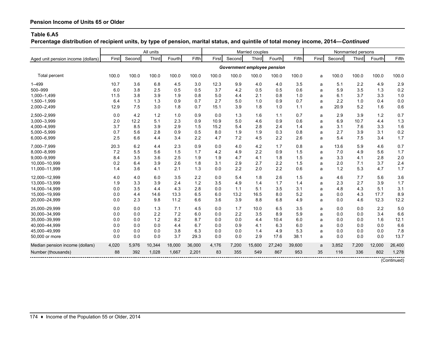**Percentage distribution of recipient units, by type of pension, marital status, and quintile of total money income, 2014—***Continued*

|                                    |       |            | All units |                     |        |                    |                             | Married couples |        |        |       |          | Nonmarried persons |        |             |
|------------------------------------|-------|------------|-----------|---------------------|--------|--------------------|-----------------------------|-----------------|--------|--------|-------|----------|--------------------|--------|-------------|
| Aged unit pension income (dollars) | First | Second     | Third     | Fourth              | Fifth  | First              | Second                      | Third           | Fourth | Fifth  | First | Second   | <b>Third</b>       | Fourth | Fifth       |
|                                    |       |            |           |                     |        |                    | Government employee pension |                 |        |        |       |          |                    |        |             |
| Total percent                      | 100.0 | 100.0      | 100.0     | 100.0               | 100.0  | 100.0              | 100.0                       | 100.0           | 100.0  | 100.0  | a     | 100.0    | 100.0              | 100.0  | 100.0       |
| $1 - 499$                          | 10.7  | 3.6        | 6.8       | 4.5                 | 3.0    | 12.3               | 9.9                         | 4.0             | 4.0    | 3.5    | a     | 5.1      | 2.2                | 4.9    | 2.9         |
| 500-999                            | 6.0   | 3.8        | 2.5       | 0.5                 | 0.5    | 3.7                | 4.2                         | 0.5             | 0.5    | 0.6    | a     | 5.9      | 3.5                | 1.3    | 0.2         |
| 1,000-1,499                        | 11.5  | 3.8        | 3.9       | 1.9                 | 0.8    | 5.0                | 4.4                         | 2.1             | 0.8    | 1.0    | a     | 6.1      | 3.7                | 3.3    | 1.0         |
| 1,500-1,999                        | 6.4   | 1.3        | 1.3       | 0.9                 | 0.7    | 2.7                | 5.0                         | 1.0             | 0.9    | 0.7    | a     | 2.2      | 1.0                | 0.4    | 0.0         |
| 2,000-2,499                        | 12.9  | 7.5        | 3.0       | 1.8                 | 0.7    | 15.1               | 3.9                         | 1.8             | 1.0    | 1.1    | a     | 20.9     | 5.2                | 1.6    | 0.6         |
| 2,500-2,999                        | 0.0   | 4.2        | 1.2       | 1.0                 | 0.9    | 0.0                | 1.3                         | 1.6             | 1.1    | 0.7    | a     | 2.9      | 3.9                | 1.2    | 0.7         |
| 3,000-3,999                        | 2.0   | 12.2       | 5.1       | 2.3                 | 0.9    | 10.9               | 5.0                         | 4.6             | 0.9    | 0.6    | a     | 6.9      | 10.7               | 4.4    | 1.3         |
| 4,000-4,999                        | 3.7   | 8.5        | 3.9       | 2.9                 | 1.5    | 15.2               | 5.4                         | 2.8             | 2.4    | 1.4    | a     | 3.1      | 7.6                | 3.3    | 1.6         |
| 5,000-5,999                        | 0.7   | 5.6        | 2.8       | 0.9                 | 0.5    | 8.0                | 1.9                         | 1.9             | 0.3    | 0.8    | a     | 2.7      | 3.9                | 3.1    | 0.2         |
| 6,000-6,999                        | 2.5   | 6.6        | 4.4       | 3.4                 | 2.2    | 4.7                | 7.2                         | 4.5             | 2.2    | 2.6    | a     | 5.4      | 7.5                | 3.4    | 1.7         |
| 7,000-7,999                        | 20.3  | 6.2        | 4.4       | 2.3                 | 0.9    | 0.0                | 4.0                         | 4.2             | 1.7    | 0.8    | a     | 13.6     | 5.9                | 4.6    | 0.7         |
| 8,000-8,999                        | 7.2   | 5.5        | 5.6       | 1.5                 | 1.7    | 4.2                | 4.9                         | 2.2             | 0.9    | 1.5    | a     | 7.0      | 4.9                | 5.6    | 1.7         |
| 9,000-9,999                        | 8.4   | 3.5        | 3.6       | 2.5                 | 1.9    | 1.9                | 4.7                         | 4.1             | 1.8    | 1.5    | a     | 3.3      | 4.1                | 2.8    | 2.0         |
| 10.000-10.999                      | 0.2   | 6.4        | 3.9       | 2.6                 | 1.8    | 3.1                | 2.9                         | 2.7             | 2.2    | 1.5    | a     | 2.0      | 7.1                | 3.7    | 2.4         |
| 11,000-11,999                      | 1.4   | 3.6        | 4.1       | 2.1                 | 1.3    | 0.0                | 2.2                         | 2.0             | 2.2    | 0.6    | a     | 1.2      | 5.3                | 4.7    | 1.7         |
| 12,000-12,999                      | 4.0   | 4.0        | 6.0       | 3.5                 | 2.2    | 0.0                | 5.4                         | 1.8             | 2.6    | 1.5    | a     | 4.6      | 7.7                | 5.6    | 3.6         |
| 13,000-13,999                      | 1.9   | 3.3        | 3.9       | 2.4                 | 1.2    | 3.5                | 4.9                         | 1.4             | 1.7    | 1.4    | a     | 2.3      | 2.7                | 3.9    | 1.7         |
| 14,000-14,999                      | 0.0   | 3.5        | 4.4       | 4.3                 | 2.8    | 0.0                | 1.1                         | 5.1             | 3.5    | 3.1    | a     | 4.8      | 4.3                | 5.1    | 3.1         |
| 15,000-19,999                      | 0.0   | 4.4        | 14.6      | 13.3                | 6.5    | 6.0                | 13.2                        | 16.5            | 8.0    | 5.2    | a     | 0.0      | 4.3                | 17.7   | 8.9         |
| 20,000-24,999                      | 0.0   | 2.3        | 9.8       | 11.2                | 6.6    | 3.6                | 3.9                         | 8.8             | 6.8    | 4.9    | a     | 0.0      | 4.6                | 12.3   | 12.2        |
| 25,000-29,999                      | 0.0   | 0.0        | 1.3       | 7.1                 | 4.5    | 0.0                | 1.7                         | 10.0            | 6.5    | 3.5    | a     | 0.0      | 0.0                | 2.2    | 5.0         |
| 30,000-34,999                      | 0.0   | 0.0        | 2.2       | 7.2                 | 6.0    | 0.0                | 2.2                         | 3.5             | 8.9    | 5.9    | a     | 0.0      | 0.0                | 3.4    | 6.6         |
| 35,000-39,999                      | 0.0   | 0.0        | 1.2       | 8.2                 | 8.7    | 0.0                | 0.0                         | 4.4             | 10.4   | 6.0    | a     | 0.0      | 0.0                | 1.6    | 12.1        |
| 40,000-44,999                      | 0.0   | 0.0        | 0.0       | 4.4                 | 6.7    | 0.0                | 0.9                         | 4.1             | 6.3    | 6.0    | a     | 0.0      | 0.0                | 0.0    | 6.6         |
| 45,000-49,999                      | 0.0   | 0.0        | 0.0       | 3.8                 | 6.3    | 0.0                | 0.0                         | 1.4             | 4.9    | 5.3    | a     | 0.0      | 0.0                | 0.0    | 7.8         |
| 50,000 or more                     | 0.0   | 0.0        | 0.0       | 3.7                 | 29.3   | 0.0                | 0.0                         | 2.9             | 17.6   | 38.1   | a     | 0.0      | 0.0                | 0.0    | 13.7        |
| Median pension income (dollars)    | 4,020 | 5,976      | 10,344    | 18,000              | 36,000 | 4,176              | 7,200                       | 15,600          | 27,240 | 39,600 | a     | 3,852    | 7,200              | 12,000 | 26,400      |
| Number (thousands)                 | 88    | 392        | 1,028     | 1,667               | 2,201  | 83                 | 355                         | 549             | 867    | 953    | 35    | 116      | 336                | 802    | 1,278       |
|                                    |       | ---------- |           | ------------------- |        | ------------------ |                             |                 |        |        |       | -------- |                    |        | (Continued) |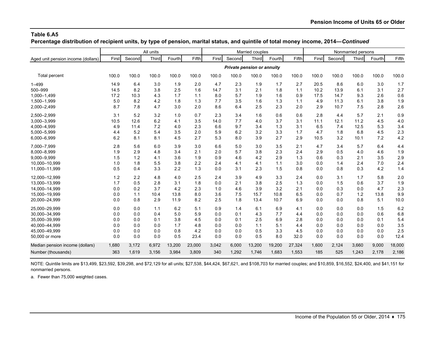**Percentage distribution of recipient units, by type of pension, marital status, and quintile of total money income, 2014—***Continued*

|                                    |       |        | All units |        |        |       |                                   | Married couples |        |        |       |        | Nonmarried persons |        |        |
|------------------------------------|-------|--------|-----------|--------|--------|-------|-----------------------------------|-----------------|--------|--------|-------|--------|--------------------|--------|--------|
| Aged unit pension income (dollars) | First | Second | Third     | Fourth | Fifth  | First | Second                            | Third           | Fourth | Fifth  | First | Second | Third              | Fourth | Fifth  |
|                                    |       |        |           |        |        |       | <b>Private pension or annuity</b> |                 |        |        |       |        |                    |        |        |
| Total percent                      | 100.0 | 100.0  | 100.0     | 100.0  | 100.0  | 100.0 | 100.0                             | 100.0           | 100.0  | 100.0  | 100.0 | 100.0  | 100.0              | 100.0  | 100.0  |
| $1 - 499$                          | 14.9  | 6.4    | 3.0       | 1.9    | 2.0    | 4.7   | 2.3                               | 1.9             | 1.7    | 2.7    | 20.5  | 8.6    | 6.0                | 3.0    | 1.7    |
| 500-999                            | 14.5  | 8.2    | 3.8       | 2.5    | 1.6    | 14.7  | 3.1                               | 2.1             | 1.8    | 1.1    | 10.2  | 13.9   | 6.1                | 3.1    | 2.7    |
| 1,000-1,499                        | 17.2  | 10.3   | 4.3       | 1.7    | 1.1    | 8.0   | 5.7                               | 1.9             | 1.6    | 0.9    | 17.5  | 14.7   | 9.3                | 2.6    | 0.6    |
| 1,500-1,999                        | 5.0   | 8.2    | 4.2       | 1.8    | 1.3    | 7.7   | 3.5                               | 1.6             | 1.3    | 1.1    | 4.9   | 11.3   | 6.1                | 3.8    | 1.9    |
| 2,000-2,499                        | 8.7   | 7.8    | 4.7       | 3.0    | 2.0    | 8.6   | 6.4                               | 2.5             | 2.3    | 2.0    | 2.9   | 10.7   | 7.5                | 2.8    | 2.6    |
| 2,500-2,999                        | 3.1   | 5.2    | 3.2       | 1.0    | 0.7    | 2.3   | 3.4                               | 1.6             | 0.6    | 0.6    | 2.8   | 4.4    | 5.7                | 2.1    | 0.9    |
| 3,000-3,999                        | 10.5  | 12.6   | 6.2       | 4.1    | 3.5    | 14.0  | 7.7                               | 4.0             | 3.7    | 3.1    | 11.1  | 12.1   | 11.2               | 4.5    | 4.0    |
| 4,000-4,999                        | 4.9   | 11.4   | 7.2       | 4.0    | 2.3    | 6.6   | 9.7                               | 3.4             | 1.3    | 3.1    | 6.5   | 7.4    | 12.5               | 5.3    | 3.4    |
| 5,000-5,999                        | 4.4   | 5.2    | 5.4       | 3.5    | 2.0    | 5.9   | 6.2                               | 3.2             | 3.3    | 1.7    | 4.7   | 1.8    | 6.8                | 4.5    | 2.3    |
| 6,000-6,999                        | 6.2   | 8.1    | 8.1       | 4.5    | 2.7    | 5.3   | 8.0                               | 3.9             | 2.7    | 2.9    | 10.5  | 3.2    | 10.1               | 7.2    | 4.2    |
| 7,000-7,999                        | 2.8   | 5.6    | 6.0       | 3.9    | 3.0    | 6.6   | 5.0                               | 3.0             | 3.5    | 2.1    | 4.7   | 3.4    | 5.7                | 6.4    | 4.4    |
| 8,000-8,999                        | 1.9   | 2.9    | 4.8       | 3.4    | 2.1    | 2.0   | 5.7                               | 3.8             | 2.3    | 2.4    | 2.9   | 0.5    | 4.0                | 4.6    | 1.9    |
| 9,000-9,999                        | 1.5   | 1.2    | 4.1       | 3.6    | 1.9    | 0.9   | 4.6                               | 4.2             | 2.9    | 1.3    | 0.6   | 0.3    | 2.1                | 3.5    | 2.9    |
| 10,000-10,999                      | 1.0   | 1.8    | 5.5       | 3.8    | 2.2    | 2.4   | 4.1                               | 4.1             | 1.1    | 3.0    | 0.0   | 1.4    | 2.4                | 7.0    | 2.4    |
| 11,000-11,999                      | 0.5   | 0.4    | 3.3       | 2.2    | 1.3    | 0.0   | 3.1                               | 2.3             | 1.5    | 0.8    | 0.0   | 0.8    | 0.3                | 4.2    | 1.4    |
| 12,000-12,999                      | 1.2   | 2.2    | 4.8       | 4.0    | 2.5    | 2.4   | 3.9                               | 4.9             | 3.3    | 2.4    | 0.0   | 3.1    | 1.7                | 5.8    | 2.0    |
| 13,000-13,999                      | 1.7   | 0.5    | 2.8       | 3.1    | 1.8    | 0.0   | 2.1                               | 3.8             | 2.5    | 1.3    | 0.0   | 1.5    | 0.6                | 3.7    | 1.9    |
| 14,000-14,999                      | 0.0   | 0.2    | 3.7       | 4.2    | 2.3    | 1.0   | 4.6                               | 3.9             | 3.2    | 2.1    | 0.0   | 0.3    | 0.0                | 4.7    | 2.3    |
| 15,000-19,999                      | 0.0   | 1.1    | 10.4      | 13.8   | 8.0    | 3.6   | 7.5                               | 15.7            | 10.8   | 6.5    | 0.0   | 0.7    | 1.2                | 13.8   | 9.9    |
| 20,000-24,999                      | 0.0   | 0.8    | 2.9       | 11.9   | 8.2    | 2.5   | 1.8                               | 13.4            | 10.7   | 6.9    | 0.0   | 0.0    | 0.8                | 5.1    | 10.0   |
| 25,000-29,999                      | 0.0   | 0.0    | 1.1       | 6.2    | 5.1    | 0.9   | 1.4                               | 6.1             | 6.9    | 4.1    | 0.0   | 0.0    | 0.0                | 1.5    | 6.2    |
| 30,000-34,999                      | 0.0   | 0.0    | 0.4       | 5.0    | 5.9    | 0.0   | 0.1                               | 4.3             | 7.7    | 4.4    | 0.0   | 0.0    | 0.0                | 0.6    | 6.8    |
| 35,000-39,999                      | 0.0   | 0.0    | 0.1       | 3.8    | 4.5    | 0.0   | 0.1                               | 2.5             | 6.9    | 2.8    | 0.0   | 0.0    | 0.0                | 0.1    | 5.4    |
| 40,000-44,999                      | 0.0   | 0.0    | 0.0       | 1.7    | 4.8    | 0.0   | 0.0                               | 1.1             | 5.1    | 4.4    | 0.0   | 0.0    | 0.0                | 0.0    | 3.5    |
| 45,000-49,999                      | 0.0   | 0.0    | 0.0       | 0.8    | 4.2    | 0.0   | 0.0                               | 0.5             | 3.3    | 4.5    | 0.0   | 0.0    | 0.0                | 0.0    | 2.5    |
| 50,000 or more                     | 0.0   | 0.0    | 0.0       | 0.5    | 23.4   | 0.0   | 0.0                               | 0.5             | 8.0    | 32.0   | 0.0   | 0.0    | 0.0                | 0.0    | 12.4   |
| Median pension income (dollars)    | 1,680 | 3,172  | 6,972     | 13,200 | 23,000 | 3,042 | 6,000                             | 13,200          | 19,200 | 27,324 | 1,600 | 2,124  | 3,660              | 9,000  | 18,000 |
| Number (thousands)                 | 363   | 1,619  | 3,156     | 3,984  | 3,809  | 340   | 1,292                             | 1,746           | 1,683  | 1,553  | 185   | 525    | 1,243              | 2,178  | 2,186  |

NOTE: Quintile limits are \$13,499, \$23,592, \$39,298, and \$72,129 for all units; \$27,538, \$44,424, \$67,621, and \$108,703 for married couples; and \$10,859, \$16,552, \$24,400, and \$41,151 for nonmarried persons.

a. Fewer than 75,000 weighted cases.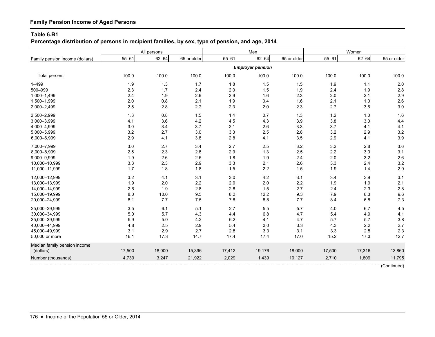# **Family Pension Income of Aged Persons**

#### **Table 6.B1**

**Percentage distribution of persons in recipient families, by sex, type of pension, and age, 2014**

|                                 |           | All persons |             |           | Men                     |             |           | Women     |             |
|---------------------------------|-----------|-------------|-------------|-----------|-------------------------|-------------|-----------|-----------|-------------|
| Family pension income (dollars) | $55 - 61$ | $62 - 64$   | 65 or older | $55 - 61$ | $62 - 64$               | 65 or older | $55 - 61$ | $62 - 64$ | 65 or older |
|                                 |           |             |             |           | <b>Employer pension</b> |             |           |           |             |
| Total percent                   | 100.0     | 100.0       | 100.0       | 100.0     | 100.0                   | 100.0       | 100.0     | 100.0     | 100.0       |
| $1 - 499$                       | 1.9       | 1.3         | 1.7         | 1.8       | 1.5                     | 1.5         | 1.9       | 1.1       | 2.0         |
| 500-999                         | 2.3       | 1.7         | 2.4         | 2.0       | 1.5                     | 1.9         | 2.4       | 1.9       | 2.8         |
| 1,000-1,499                     | 2.4       | 1.9         | 2.6         | 2.9       | 1.6                     | 2.3         | 2.0       | 2.1       | 2.9         |
| 1,500-1,999                     | 2.0       | 0.8         | 2.1         | 1.9       | 0.4                     | 1.6         | 2.1       | 1.0       | 2.6         |
| 2,000-2,499                     | 2.5       | 2.8         | 2.7         | 2.3       | 2.0                     | 2.3         | 2.7       | 3.6       | 3.0         |
| 2,500-2,999                     | 1.3       | 0.8         | 1.5         | 1.4       | 0.7                     | 1.3         | 1.2       | 1.0       | 1.6         |
| 3,000-3,999                     | 4.1       | 3.6         | 4.2         | 4.5       | 4.3                     | 3.9         | 3.8       | 3.0       | 4.4         |
| 4,000-4,999                     | 3.0       | 3.4         | 3.7         | 2.1       | 2.6                     | 3.3         | 3.7       | 4.1       | 4.1         |
| 5,000-5,999                     | 3.2       | 2.7         | 3.0         | 3.3       | 2.5                     | 2.8         | 3.2       | 2.9       | 3.2         |
| 6,000-6,999                     | 2.9       | 4.1         | 3.8         | 2.8       | 4.1                     | 3.5         | 2.9       | 4.1       | 3.9         |
| 7,000-7,999                     | 3.0       | 2.7         | 3.4         | 2.7       | 2.5                     | 3.2         | 3.2       | 2.8       | 3.6         |
| 8,000-8,999                     | 2.5       | 2.3         | 2.8         | 2.9       | 1.3                     | 2.5         | 2.2       | 3.0       | 3.1         |
| 9,000-9,999                     | 1.9       | 2.6         | 2.5         | 1.8       | 1.9                     | 2.4         | 2.0       | 3.2       | 2.6         |
| 10,000-10,999                   | 3.3       | 2.3         | 2.9         | 3.3       | 2.1                     | 2.6         | 3.3       | 2.4       | 3.2         |
| 11,000-11,999                   | 1.7       | 1.8         | 1.8         | 1.5       | 2.2                     | 1.5         | 1.9       | 1.4       | 2.0         |
| 12,000-12,999                   | 3.2       | 4.1         | 3.1         | 3.0       | 4.2                     | 3.1         | 3.4       | 3.9       | 3.1         |
| 13,000-13,999                   | 1.9       | 2.0         | $2.2\,$     | 2.0       | 2.0                     | 2.2         | 1.9       | 1.9       | 2.1         |
| 14,000-14,999                   | 2.6       | 1.9         | 2.8         | 2.8       | 1.5                     | 2.7         | 2.4       | 2.3       | 2.8         |
| 15,000-19,999                   | 8.0       | 10.0        | 9.5         | 8.2       | 12.2                    | 9.3         | 7.9       | 8.3       | 9.6         |
| 20,000-24,999                   | 8.1       | 7.7         | $7.5\,$     | 7.8       | 8.8                     | 7.7         | 8.4       | 6.8       | 7.3         |
| 25,000-29,999                   | 3.5       | 6.1         | 5.1         | 2.7       | 5.5                     | 5.7         | 4.0       | 6.7       | 4.5         |
| 30,000-34,999                   | $5.0\,$   | 5.7         | 4.3         | 4.4       | 6.8                     | 4.7         | 5.4       | 4.9       | 4.1         |
| 35,000-39,999                   | 5.9       | 5.0         | 4.2         | $6.2\,$   | 4.1                     | 4.7         | 5.7       | 5.7       | 3.8         |
| 40,000-44,999                   | 4.8       | 2.5         | 2.9         | 5.4       | 3.0                     | 3.3         | 4.3       | 2.2       | 2.7         |
| 45,000-49,999                   | 3.1       | 2.9         | 2.7         | 2.8       | 3.3                     | 3.1         | 3.3       | 2.5       | 2.3         |
| 50,000 or more                  | 16.1      | 17.3        | 14.7        | 17.4      | 17.4                    | 17.0        | 15.2      | 17.3      | 12.7        |
| Median family pension income    |           |             |             |           |                         |             |           |           |             |
| (dollars)                       | 17,500    | 18,000      | 15,396      | 17,412    | 19,176                  | 18,000      | 17,500    | 17,316    | 13,860      |
| Number (thousands)              | 4,739     | 3,247       | 21,922      | 2,029     | 1,439                   | 10,127      | 2,710     | 1,809     | 11,795      |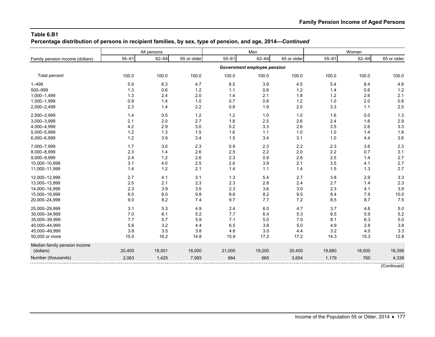**Percentage distribution of persons in recipient families, by sex, type of pension, and age, 2014—***Continued*

|                                 |           | All persons |             |           | Men                         |             |           | Women     |             |
|---------------------------------|-----------|-------------|-------------|-----------|-----------------------------|-------------|-----------|-----------|-------------|
| Family pension income (dollars) | $55 - 61$ | $62 - 64$   | 65 or older | $55 - 61$ | $62 - 64$                   | 65 or older | $55 - 61$ | $62 - 64$ | 65 or older |
|                                 |           |             |             |           | Government employee pension |             |           |           |             |
| Total percent                   | 100.0     | 100.0       | 100.0       | 100.0     | 100.0                       | 100.0       | 100.0     | 100.0     | 100.0       |
| $1 - 499$                       | 5.9       | 6.3         | 4.7         | 6.5       | 3.9                         | 4.5         | 5.4       | 8.4       | 4.8         |
| 500-999                         | 1.3       | 0.6         | 1.2         | 1.1       | 0.6                         | 1.2         | 1.4       | 0.6       | $1.2$       |
| 1,000-1,499                     | 1.3       | 2.4         | 2.0         | 1.4       | 2.1                         | 1.8         | 1.2       | 2.6       | 2.1         |
| 1,500-1,999                     | 0.9       | 1.4         | 1.0         | 0.7       | 0.8                         | 1.2         | 1.0       | 2.0       | 0.8         |
| 2,000-2,499                     | 2.3       | 1.4         | 2.2         | 0.9       | 1.9                         | 2.0         | 3.3       | 1.1       | 2.5         |
| 2,500-2,999                     | 1.4       | 0.5         | $1.2$       | $1.2$     | 1.0                         | 1.0         | 1.6       | 0.0       | 1.3         |
| 3,000-3,999                     | 2.1       | 2.0         | 2.7         | 1.8       | 2.5                         | 2.6         | 2.4       | 1.6       | 2.9         |
| 4,000-4,999                     | 4.2       | 2.9         | 3.0         | 5.2       | 3.3                         | 2.6         | 3.5       | 2.6       | 3.3         |
| 5,000-5,999                     | $1.2$     | 1.3         | 1.5         | 1.6       | 1.1                         | 1.0         | 1.0       | 1.4       | 1.8         |
| 6,000-6,999                     | 1.2       | 3.9         | 3.4         | 1.5       | 3.4                         | 3.1         | 1.0       | 4.4       | 3.6         |
| 7,000-7,999                     | 1.7       | 3.0         | 2.3         | 0.9       | 2.3                         | 2.2         | 2.3       | 3.6       | 2.3         |
| 8,000-8,999                     | 2.3       | 1.4         | 2.6         | 2.5       | 2.2                         | 2.0         | 2.2       | 0.7       | 3.1         |
| 9,000-9,999                     | 2.4       | 1.2         | 2.6         | 2.3       | 0.9                         | 2.6         | 2.5       | 1.4       | 2.7         |
| 10,000-10,999                   | 3.1       | 4.0         | 2.5         | 2.6       | 3.9                         | 2.1         | 3.5       | 4.1       | 2.7         |
| 11,000-11,999                   | 1.4       | $1.2$       | 2.1         | 1.4       | 1.1                         | 1.4         | 1.5       | 1.3       | 2.7         |
| 12,000-12,999                   | 2.7       | 4.1         | 3.1         | 1.3       | 5.4                         | 2.7         | 3.8       | 2.9       | 3.3         |
| 13,000-13,999                   | 2.5       | 2.1         | 2.3         | 2.3       | 2.8                         | 2.4         | 2.7       | 1.4       | 2.3         |
| 14,000-14,999                   | 2.3       | 3.9         | 3.5         | 2.3       | 3.6                         | 3.0         | 2.3       | 4.1       | 3.9         |
| 15,000-19,999                   | 8.5       | 8.0         | 9.8         | 8.6       | 8.2                         | 9.5         | 8.4       | 7.9       | 10.0        |
| 20,000-24,999                   | 9.0       | 8.2         | 7.4         | 9.7       | 7.7                         | 7.2         | 8.5       | 8.7       | 7.5         |
| 25,000-29,999                   | 3.1       | 5.3         | 4.9         | 2.4       | 6.0                         | 4.7         | 3.7       | 4.6       | 5.0         |
| 30,000-34,999                   | 7.0       | 6.1         | 5.2         | 7.7       | 6.4                         | 5.3         | 6.5       | 5.9       | 5.2         |
| 35,000-39,999                   | 7.7       | 5.7         | 5.9         | 7.1       | 5.0                         | 7.0         | 8.1       | 6.3       | $5.0$       |
| 40,000-44,999                   | 5.6       | 3.2         | 4.4         | 6.5       | 3.8                         | 5.0         | 4.9       | 2.8       | 3.8         |
| 45,000-49,999                   | 3.8       | 3.5         | 3.8         | 4.6       | 3.0                         | 4.4         | 3.2       | 4.0       | 3.3         |
| 50,000 or more                  | 15.0      | 16.2        | 14.8        | 15.9      | 17.2                        | 17.2        | 14.3      | 15.3      | 12.8        |
| Median family pension income    |           |             |             |           |                             |             |           |           |             |
| (dollars)                       | 20,400    | 18,001      | 18,000      | 21,000    | 19,200                      | 20,400      | 19,680    | 18,000    | 16,356      |
| Number (thousands)              | 2,063     | 1,425       | 7,993       | 884       | 665                         | 3,654       | 1,179     | 760       | 4,338       |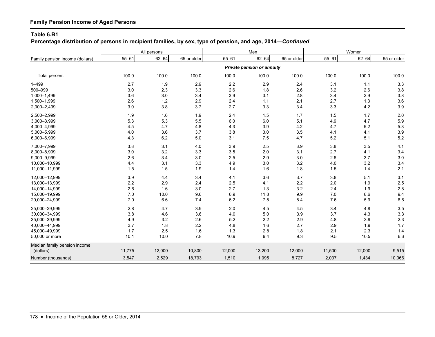# **Family Pension Income of Aged Persons**

#### **Table 6.B1**

**Percentage distribution of persons in recipient families, by sex, type of pension, and age, 2014—***Continued*

|                                 |           | All persons |             |           | Men                               |             |           | Women     |             |
|---------------------------------|-----------|-------------|-------------|-----------|-----------------------------------|-------------|-----------|-----------|-------------|
| Family pension income (dollars) | $55 - 61$ | $62 - 64$   | 65 or older | $55 - 61$ | $62 - 64$                         | 65 or older | $55 - 61$ | $62 - 64$ | 65 or older |
|                                 |           |             |             |           | <b>Private pension or annuity</b> |             |           |           |             |
| Total percent                   | 100.0     | 100.0       | 100.0       | 100.0     | 100.0                             | 100.0       | 100.0     | 100.0     | 100.0       |
| 1-499                           | 2.7       | 1.9         | 2.9         | 2.2       | 2.9                               | 2.4         | 3.1       | 1.1       | 3.3         |
| 500-999                         | 3.0       | 2.3         | 3.3         | 2.6       | 1.8                               | 2.6         | 3.2       | 2.6       | 3.8         |
| 1,000-1,499                     | 3.6       | 3.0         | 3.4         | 3.9       | 3.1                               | $2.8\,$     | 3.4       | 2.9       | 3.8         |
| 1,500-1,999                     | 2.6       | $1.2$       | 2.9         | 2.4       | 1.1                               | 2.1         | 2.7       | 1.3       | 3.6         |
| 2,000-2,499                     | 3.0       | 3.8         | 3.7         | 2.7       | 3.3                               | 3.4         | 3.3       | 4.2       | 3.9         |
| 2,500-2,999                     | 1.9       | 1.6         | 1.9         | 2.4       | 1.5                               | 1.7         | 1.5       | 1.7       | 2.0         |
| 3,000-3,999                     | 5.3       | 5.3         | 5.5         | 6.0       | 6.0                               | 5.1         | 4.9       | 4.7       | 5.9         |
| 4,000-4,999                     | 4.5       | 4.7         | 4.8         | 4.3       | 3.9                               | 4.2         | 4.7       | 5.2       | 5.3         |
| 5,000-5,999                     | 4.0       | 3.6         | 3.7         | 3.8       | 3.0                               | 3.5         | 4.1       | 4.1       | 3.9         |
| 6,000-6,999                     | 4.3       | 6.2         | 5.0         | 3.1       | 7.5                               | 4.7         | 5.2       | 5.1       | 5.2         |
| 7,000-7,999                     | 3.8       | 3.1         | 4.0         | 3.9       | 2.5                               | $3.9\,$     | 3.8       | 3.5       | 4.1         |
| 8,000-8,999                     | 3.0       | 3.2         | 3.3         | 3.5       | 2.0                               | 3.1         | 2.7       | 4.1       | 3.4         |
| 9,000-9,999                     | 2.6       | 3.4         | 3.0         | 2.5       | 2.9                               | 3.0         | 2.6       | 3.7       | 3.0         |
| 10,000-10,999                   | 4.4       | 3.1         | 3.3         | 4.9       | 3.0                               | $3.2\,$     | 4.0       | 3.2       | 3.4         |
| 11,000-11,999                   | 1.5       | 1.5         | 1.9         | 1.4       | 1.6                               | 1.8         | 1.5       | 1.4       | 2.1         |
| 12,000-12,999                   | 3.9       | 4.4         | 3.4         | 4.1       | 3.6                               | 3.7         | 3.8       | 5.1       | 3.1         |
| 13,000-13,999                   | 2.2       | 2.9         | 2.4         | 2.5       | 4.1                               | 2.2         | 2.0       | 1.9       | 2.5         |
| 14,000-14,999                   | 2.6       | 1.6         | 3.0         | 2.7       | 1.3                               | $3.2\,$     | 2.4       | 1.9       | 2.8         |
| 15,000-19,999                   | 7.0       | 10.0        | 9.6         | 6.9       | 11.8                              | 9.9         | 7.0       | 8.6       | 9.4         |
| 20,000-24,999                   | 7.0       | 6.6         | 7.4         | 6.2       | 7.5                               | 8.4         | 7.6       | 5.9       | 6.6         |
| 25,000-29,999                   | 2.8       | 4.7         | 3.9         | 2.0       | 4.5                               | 4.5         | 3.4       | 4.8       | 3.5         |
| 30,000-34,999                   | 3.8       | 4.6         | 3.6         | 4.0       | 5.0                               | 3.9         | 3.7       | 4.3       | 3.3         |
| 35,000-39,999                   | 4.9       | 3.2         | 2.6         | 5.2       | 2.2                               | 2.9         | 4.8       | 3.9       | 2.3         |
| 40,000-44,999                   | 3.7       | 1.8         | $2.2\,$     | 4.8       | 1.6                               | 2.7         | 2.9       | 1.9       | 1.7         |
| 45,000-49,999                   | 1.7       | 2.5         | 1.6         | 1.3       | 2.8                               | 1.8         | 2.1       | 2.3       | 1.4         |
| 50,000 or more                  | 10.1      | 10.0        | 7.8         | 10.9      | 9.4                               | 9.3         | 9.5       | 10.5      | 6.6         |
| Median family pension income    |           |             |             |           |                                   |             |           |           |             |
| (dollars)                       | 11,775    | 12,000      | 10,800      | 12,000    | 13,200                            | 12,000      | 11,500    | 12,000    | 9,515       |
| Number (thousands)              | 3,547     | 2,529       | 18,793      | 1,510     | 1,095                             | 8,727       | 2,037     | 1,434     | 10,066      |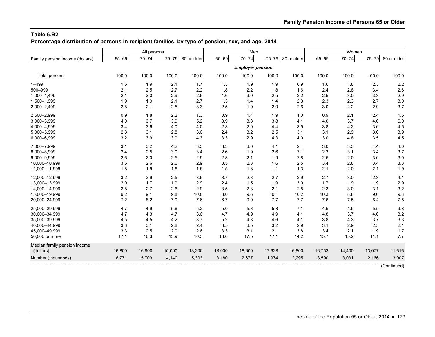**Percentage distribution of persons in recipient families, by type of pension, sex, and age, 2014**

|                                 |        | All persons |        |             |        | Men                     |        |             |        | Women     |        |             |
|---------------------------------|--------|-------------|--------|-------------|--------|-------------------------|--------|-------------|--------|-----------|--------|-------------|
| Family pension income (dollars) | 65-69  | $70 - 74$   | 75-79  | 80 or older | 65-69  | $70 - 74$               | 75-79  | 80 or older | 65-69  | $70 - 74$ | 75-79  | 80 or older |
|                                 |        |             |        |             |        | <b>Employer pension</b> |        |             |        |           |        |             |
| Total percent                   | 100.0  | 100.0       | 100.0  | 100.0       | 100.0  | 100.0                   | 100.0  | 100.0       | 100.0  | 100.0     | 100.0  | 100.0       |
| $1 - 499$                       | 1.5    | 1.9         | 2.1    | 1.7         | 1.3    | 1.9                     | 1.9    | 0.9         | 1.6    | 1.8       | 2.3    | 2.2         |
| 500-999                         | 2.1    | 2.5         | 2.7    | 2.2         | 1.8    | 2.2                     | 1.8    | 1.6         | 2.4    | 2.8       | 3.4    | 2.6         |
| 1,000-1,499                     | 2.1    | 3.0         | 2.9    | 2.6         | 1.6    | 3.0                     | 2.5    | 2.2         | 2.5    | 3.0       | 3.3    | 2.9         |
| 1,500-1,999                     | 1.9    | 1.9         | 2.1    | 2.7         | 1.3    | 1.4                     | 1.4    | 2.3         | 2.3    | 2.3       | 2.7    | 3.0         |
| 2,000-2,499                     | 2.8    | 2.1         | 2.5    | 3.3         | 2.5    | 1.9                     | 2.0    | 2.6         | 3.0    | 2.2       | 2.9    | 3.7         |
| 2,500-2,999                     | 0.9    | 1.8         | 2.2    | 1.3         | 0.9    | 1.4                     | 1.9    | 1.0         | 0.9    | 2.1       | 2.4    | 1.5         |
| 3,000-3,999                     | 4.0    | 3.7         | 3.9    | 5.2         | 3.9    | 3.8                     | 3.8    | 4.1         | 4.0    | 3.7       | 4.0    | 6.0         |
| 4,000-4,999                     | 3.4    | 3.6         | 4.0    | 4.0         | 2.8    | 2.9                     | 4.4    | 3.5         | 3.8    | 4.2       | 3.6    | 4.5         |
| 5,000-5,999                     | 2.8    | 3.1         | 2.8    | 3.6         | 2.4    | 3.2                     | 2.5    | 3.1         | 3.1    | 2.9       | 3.0    | 3.9         |
| 6,000-6,999                     | 3.2    | 3.9         | 3.9    | 4.3         | 3.3    | 2.9                     | 4.3    | 4.0         | 3.0    | 4.8       | 3.5    | 4.5         |
| 7,000-7,999                     | 3.1    | 3.2         | 4.2    | 3.3         | 3.3    | 3.0                     | 4.1    | 2.4         | 3.0    | 3.3       | 4.4    | 4.0         |
| 8,000-8,999                     | 2.4    | 2.5         | 3.0    | 3.4         | 2.6    | 1.9                     | 2.6    | 3.1         | 2.3    | 3.1       | 3.4    | 3.7         |
| 9,000-9,999                     | 2.6    | 2.0         | 2.5    | 2.9         | 2.8    | 2.1                     | 1.9    | 2.8         | 2.5    | 2.0       | 3.0    | 3.0         |
| 10,000-10,999                   | 3.5    | 2.6         | 2.6    | 2.9         | 3.5    | 2.3                     | 1.6    | 2.5         | 3.4    | 2.8       | 3.4    | 3.3         |
| 11,000-11,999                   | 1.8    | 1.9         | 1.6    | 1.6         | 1.5    | 1.8                     | $1.1$  | 1.3         | 2.1    | 2.0       | 2.1    | 1.9         |
| 12,000-12,999                   | 3.2    | 2.9         | 2.5    | 3.6         | 3.7    | 2.8                     | 2.7    | 2.9         | 2.7    | 3.0       | 2.3    | 4.1         |
| 13,000-13,999                   | 2.0    | 1.7         | 1.9    | 2.9         | 2.4    | 1.5                     | 1.9    | 3.0         | 1.7    | 1.9       | 1.9    | 2.9         |
| 14,000-14,999                   | 2.8    | 2.7         | 2.6    | 2.9         | 3.5    | 2.3                     | 2.1    | 2.5         | 2.3    | 3.0       | 3.1    | 3.2         |
| 15,000-19,999                   | 9.2    | 9.1         | 9.8    | 10.0        | 8.0    | 9.6                     | 10.1   | 10.2        | 10.3   | 8.8       | 9.6    | 9.8         |
| 20,000-24,999                   | 7.2    | 8.2         | 7.0    | 7.6         | 6.7    | 9.0                     | 7.7    | 7.7         | 7.6    | 7.5       | 6.4    | 7.5         |
| 25,000-29,999                   | 4.7    | 4.9         | 5.6    | 5.2         | 5.0    | 5.3                     | 5.8    | 7.1         | 4.5    | 4.5       | 5.5    | 3.8         |
| 30,000-34,999                   | 4.7    | 4.3         | 4.7    | 3.6         | 4.7    | 4.9                     | 4.9    | 4.1         | 4.8    | 3.7       | 4.6    | 3.2         |
| 35,000-39,999                   | 4.5    | 4.5         | 4.2    | 3.7         | 5.2    | 4.8                     | 4.6    | 4.1         | 3.8    | 4.3       | 3.7    | 3.3         |
| 40,000-44,999                   | 3.3    | 3.1         | 2.8    | 2.4         | 3.5    | 3.5                     | 3.2    | 2.9         | 3.1    | 2.9       | 2.5    | 2.1         |
| 45,000-49,999                   | 3.3    | 2.5         | 2.0    | 2.6         | 3.3    | 3.1                     | 2.1    | 3.8         | 3.4    | 2.1       | 1.9    | 1.7         |
| 50,000 or more                  | 17.1   | 16.3        | 13.9   | 10.5        | 18.6   | 17.5                    | 17.1   | 14.2        | 15.7   | 15.2      | 11.1   | 7.7         |
| Median family pension income    |        |             |        |             |        |                         |        |             |        |           |        |             |
| (dollars)                       | 16,800 | 16,800      | 15,000 | 13,200      | 18,000 | 18,600                  | 17,628 | 16,800      | 16,752 | 14,400    | 13,077 | 11,616      |
| Number (thousands)              | 6,771  | 5,709       | 4,140  | 5,303       | 3,180  | 2,677                   | 1,974  | 2,295       | 3,590  | 3,031     | 2,166  | 3,007       |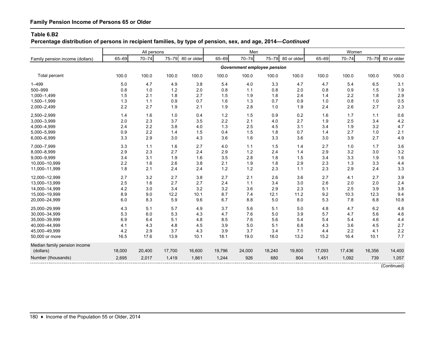**Percentage distribution of persons in recipient families, by type of pension, sex, and age, 2014—***Continued*

|                                 |        | All persons |        |             |        | Men                         |        |             |        | Women     |        |             |
|---------------------------------|--------|-------------|--------|-------------|--------|-----------------------------|--------|-------------|--------|-----------|--------|-------------|
| Family pension income (dollars) | 65-69  | $70 - 74$   | 75-79  | 80 or older | 65-69  | $70 - 74$                   | 75-79  | 80 or older | 65-69  | $70 - 74$ | 75-79  | 80 or older |
|                                 |        |             |        |             |        | Government employee pension |        |             |        |           |        |             |
| Total percent                   | 100.0  | 100.0       | 100.0  | 100.0       | 100.0  | 100.0                       | 100.0  | 100.0       | 100.0  | 100.0     | 100.0  | 100.0       |
| $1 - 499$                       | 5.0    | 4.7         | 4.9    | 3.8         | 5.4    | 4.0                         | 3.3    | 4.7         | 4.7    | 5.4       | 6.5    | 3.1         |
| 500-999                         | 0.8    | 1.0         | 1.2    | 2.0         | 0.8    | 1.1                         | 0.8    | 2.0         | 0.8    | 0.9       | 1.5    | 1.9         |
| 1,000-1,499                     | 1.5    | 2.1         | 1.8    | 2.7         | 1.5    | 1.9                         | 1.8    | 2.4         | 1.4    | 2.2       | 1.8    | 2.9         |
| 1,500-1,999                     | 1.3    | 1.1         | 0.9    | 0.7         | 1.6    | 1.3                         | 0.7    | 0.9         | 1.0    | 0.8       | 1.0    | 0.5         |
| 2,000-2,499                     | 2.2    | 2.7         | 1.9    | 2.1         | 1.9    | 2.8                         | 1.0    | 1.9         | 2.4    | 2.6       | 2.7    | 2.3         |
| 2,500-2,999                     | 1.4    | 1.6         | 1.0    | 0.4         | 1.2    | 1.5                         | 0.9    | 0.2         | 1.6    | 1.7       | 1.1    | 0.6         |
| 3,000-3,999                     | 2.0    | 2.3         | 3.7    | 3.5         | 2.2    | 2.1                         | 4.0    | 2.7         | 1.9    | 2.5       | 3.4    | 4.2         |
| 4,000-4,999                     | 2.4    | 2.2         | 3.8    | 4.0         | 1.3    | 2.5                         | 4.5    | 3.1         | 3.4    | 1.9       | 3.2    | 4.7         |
| 5,000-5,999                     | 0.9    | 2.2         | 1.4    | 1.5         | 0.4    | 1.5                         | 1.8    | 0.7         | 1.4    | 2.7       | 1.0    | 2.1         |
| 6,000-6,999                     | 3.3    | 2.9         | 3.0    | 4.3         | 3.6    | 1.6                         | 3.3    | 3.6         | 3.0    | 3.9       | 2.7    | 4.9         |
| 7,000-7,999                     | 3.3    | 1.1         | 1.6    | 2.7         | 4.0    | 1.1                         | 1.5    | 1.4         | 2.7    | 1.0       | 1.7    | 3.6         |
| 8,000-8,999                     | 2.9    | 2.3         | 2.7    | 2.4         | 2.9    | 1.2                         | 2.4    | 1.4         | 2.9    | 3.2       | 3.0    | 3.2         |
| 9,000-9,999                     | 3.4    | 3.1         | 1.9    | 1.6         | 3.5    | 2.8                         | 1.8    | 1.5         | 3.4    | 3.3       | 1.9    | 1.6         |
| 10,000-10,999                   | 2.2    | 1.6         | 2.6    | 3.8         | 2.1    | 1.9                         | 1.8    | 2.9         | 2.3    | 1.3       | 3.3    | 4.4         |
| 11,000-11,999                   | 1.8    | 2.1         | 2.4    | 2.4         | $1.2$  | $1.2$                       | 2.3    | 1.1         | 2.3    | 2.9       | 2.4    | 3.3         |
| 12,000-12,999                   | 2.7    | 3.2         | 2.7    | 3.8         | 2.7    | 2.1                         | 2.6    | 3.6         | 2.7    | 4.1       | 2.7    | 3.9         |
| 13,000-13,999                   | 2.5    | 1.6         | 2.7    | 2.7         | 2.4    | 1.1                         | 3.4    | 3.0         | 2.6    | 2.0       | 2.0    | 2.4         |
| 14,000-14,999                   | 4.2    | 3.0         | 3.4    | 3.2         | 3.2    | 3.6                         | 2.9    | 2.3         | 5.1    | 2.5       | 3.9    | 3.8         |
| 15,000-19,999                   | 8.9    | 9.0         | 12.2   | 10.1        | 8.7    | 7.4                         | 12.1   | 11.2        | 9.2    | 10.3      | 12.3   | 9.4         |
| 20,000-24,999                   | 6.0    | 8.3         | 5.9    | 9.6         | 6.7    | 8.8                         | 5.0    | 8.0         | 5.3    | 7.8       | 6.8    | 10.8        |
| 25,000-29,999                   | 4.3    | 5.1         | 5.7    | 4.9         | 3.7    | 5.6                         | 5.1    | 5.0         | 4.8    | 4.7       | 6.2    | 4.8         |
| 30,000-34,999                   | 5.3    | 6.0         | 5.3    | 4.3         | 4.7    | 7.6                         | 5.0    | 3.9         | 5.7    | 4.7       | 5.6    | 4.6         |
| 35,000-39,999                   | 6.9    | 6.4         | 5.1    | 4.8         | 8.5    | 7.6                         | 5.6    | 5.4         | 5.4    | 5.4       | 4.6    | 4.4         |
| 40,000-44,999                   | 4.1    | 4.3         | 4.8    | 4.5         | 3.9    | 5.0                         | 5.1    | 6.8         | 4.3    | 3.6       | 4.5    | 2.7         |
| 45,000-49,999                   | 4.2    | 2.9         | 3.7    | 4.3         | 3.9    | 3.7                         | 3.4    | 7.1         | 4.4    | 2.2       | 4.1    | 2.2         |
| 50,000 or more                  | 16.5   | 17.6        | 13.9   | 10.1        | 18.1   | 19.0                        | 18.0   | 13.2        | 15.2   | 16.4      | 10.1   | 7.7         |
| Median family pension income    |        |             |        |             |        |                             |        |             |        |           |        |             |
| (dollars)                       | 18,000 | 20,400      | 17,700 | 16,600      | 19,796 | 24,000                      | 18,240 | 19,800      | 17,093 | 17,436    | 16,356 | 14,400      |
| Number (thousands)              | 2,695  | 2,017       | 1,419  | 1,861       | 1,244  | 926                         | 680    | 804         | 1,451  | 1,092     | 739    | 1,057       |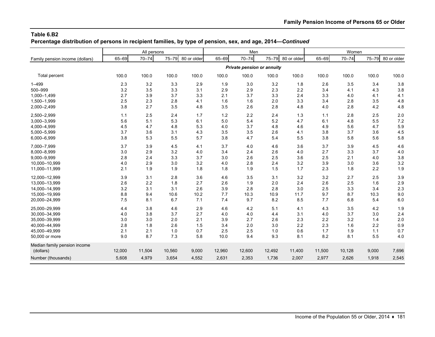**Percentage distribution of persons in recipient families, by type of pension, sex, and age, 2014—***Continued*

|                                 |        | All persons |        |             |        | Men                        |           |             |        | Women     |           |             |
|---------------------------------|--------|-------------|--------|-------------|--------|----------------------------|-----------|-------------|--------|-----------|-----------|-------------|
| Family pension income (dollars) | 65-69  | $70 - 74$   | 75-79  | 80 or older | 65-69  | $70 - 74$                  | $75 - 79$ | 80 or older | 65-69  | $70 - 74$ | $75 - 79$ | 80 or older |
|                                 |        |             |        |             |        | Private pension or annuity |           |             |        |           |           |             |
| Total percent                   | 100.0  | 100.0       | 100.0  | 100.0       | 100.0  | 100.0                      | 100.0     | 100.0       | 100.0  | 100.0     | 100.0     | 100.0       |
| $1 - 499$                       | 2.3    | 3.2         | 3.3    | 2.9         | 1.9    | 3.0                        | 3.2       | 1.8         | 2.6    | 3.5       | 3.4       | 3.8         |
| 500-999                         | 3.2    | 3.5         | 3.3    | 3.1         | 2.9    | 2.9                        | 2.3       | 2.2         | 3.4    | 4.1       | 4.3       | 3.8         |
| 1,000-1,499                     | 2.7    | 3.9         | 3.7    | 3.3         | 2.1    | 3.7                        | 3.3       | 2.4         | 3.3    | 4.0       | 4.1       | 4.1         |
| 1,500-1,999                     | 2.5    | 2.3         | 2.8    | 4.1         | 1.6    | 1.6                        | 2.0       | 3.3         | 3.4    | 2.8       | 3.5       | 4.8         |
| 2,000-2,499                     | 3.8    | 2.7         | 3.5    | 4.8         | 3.5    | 2.6                        | 2.8       | 4.8         | 4.0    | 2.8       | 4.2       | 4.8         |
| 2,500-2,999                     | 1.1    | 2.5         | 2.4    | 1.7         | 1.2    | 2.2                        | 2.4       | 1.3         | 1.1    | 2.8       | 2.5       | 2.0         |
| 3,000-3,999                     | 5.6    | 5.1         | 5.3    | 6.1         | 5.0    | 5.4                        | 5.2       | 4.7         | 6.1    | 4.8       | 5.5       | 7.2         |
| 4,000-4,999                     | 4.5    | 4.7         | 4.8    | 5.3         | 4.0    | 3.7                        | 4.8       | 4.6         | 4.9    | 5.6       | 4.7       | 5.9         |
| 5,000-5,999                     | 3.7    | 3.6         | 3.1    | 4.3         | 3.5    | 3.5                        | 2.6       | 4.1         | 3.8    | 3.7       | 3.6       | 4.5         |
| 6,000-6,999                     | 3.8    | 5.3         | 5.5    | 5.7         | 3.8    | 4.7                        | 5.4       | 5.5         | 3.8    | 5.8       | 5.6       | 5.8         |
| 7,000-7,999                     | 3.7    | 3.9         | 4.5    | 4.1         | 3.7    | 4.0                        | 4.6       | 3.6         | 3.7    | 3.9       | 4.5       | 4.6         |
| 8,000-8,999                     | 3.0    | 2.9         | 3.2    | 4.0         | 3.4    | 2.4                        | 2.6       | 4.0         | 2.7    | 3.3       | 3.7       | 4.0         |
| 9,000-9,999                     | 2.8    | 2.4         | 3.3    | 3.7         | 3.0    | 2.6                        | 2.5       | 3.6         | 2.5    | 2.1       | 4.0       | 3.8         |
| 10,000-10,999                   | 4.0    | 2.9         | 3.0    | 3.2         | 4.0    | 2.8                        | 2.4       | 3.2         | 3.9    | 3.0       | 3.6       | 3.2         |
| 11,000-11,999                   | 2.1    | 1.9         | 1.9    | 1.8         | 1.8    | 1.9                        | 1.5       | 1.7         | 2.3    | 1.8       | 2.2       | 1.9         |
| 12.000-12.999                   | 3.9    | 3.1         | 2.8    | 3.6         | 4.6    | 3.5                        | 3.1       | 3.2         | 3.2    | 2.7       | 2.5       | 3.9         |
| 13,000-13,999                   | 2.6    | 2.2         | 1.8    | 2.7         | 2.6    | 1.9                        | 2.0       | 2.4         | 2.6    | 2.5       | 1.6       | 2.9         |
| 14,000-14,999                   | 3.2    | 3.1         | 3.1    | 2.6         | 3.9    | 2.8                        | 2.8       | 3.0         | 2.5    | 3.3       | 3.4       | 2.3         |
| 15,000-19,999                   | 8.8    | 9.4         | 10.6   | 10.2        | 7.7    | 10.3                       | 10.9      | 11.7        | 9.7    | 8.7       | 10.3      | 9.0         |
| 20,000-24,999                   | 7.5    | 8.1         | 6.7    | 7.1         | 7.4    | 9.7                        | 8.2       | 8.5         | 7.7    | 6.8       | 5.4       | 6.0         |
| 25,000-29,999                   | 4.4    | 3.8         | 4.6    | 2.9         | 4.6    | 4.2                        | 5.1       | 4.1         | 4.3    | 3.5       | 4.2       | 1.9         |
| 30,000-34,999                   | 4.0    | 3.8         | 3.7    | 2.7         | 4.0    | 4.0                        | 4.4       | 3.1         | 4.0    | 3.7       | 3.0       | 2.4         |
| 35,000-39,999                   | 3.0    | 3.0         | 2.0    | 2.1         | 3.9    | 2.7                        | 2.6       | 2.3         | 2.2    | 3.2       | 1.4       | 2.0         |
| 40,000-44,999                   | 2.8    | 1.8         | 2.6    | 1.5         | 3.4    | 2.0                        | 3.0       | 2.2         | 2.3    | 1.6       | 2.2       | 0.9         |
| 45,000-49,999                   | 2.1    | 2.1         | 1.0    | 0.7         | 2.5    | 2.5                        | 1.0       | 0.6         | 1.7    | 1.9       | 1.1       | 0.7         |
| 50,000 or more                  | 9.0    | 8.7         | 7.3    | 5.8         | 10.0   | 9.4                        | 9.3       | 8.1         | 8.2    | 8.1       | 5.5       | 4.0         |
| Median family pension income    |        |             |        |             |        |                            |           |             |        |           |           |             |
| (dollars)                       | 12,000 | 11,504      | 10,560 | 9,000       | 12,960 | 12,600                     | 12,492    | 11,400      | 11,500 | 10,128    | 9,000     | 7,696       |
| Number (thousands)              | 5,608  | 4,979       | 3,654  | 4,552       | 2,631  | 2,353                      | 1,736     | 2,007       | 2,977  | 2,626     | 1,918     | 2,545       |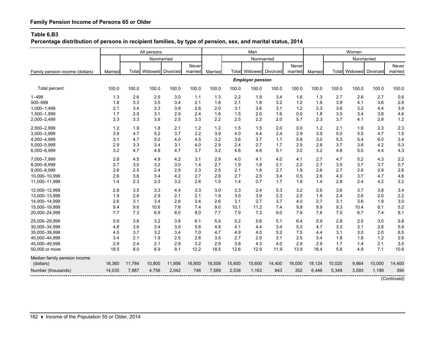**Percentage distribution of persons in recipient families, by type of pension, sex, and marital status, 2014**

|                                 |         |        | All persons      |        |         |         |        | Men                           |        |         |         |        | Women         |            |             |
|---------------------------------|---------|--------|------------------|--------|---------|---------|--------|-------------------------------|--------|---------|---------|--------|---------------|------------|-------------|
|                                 |         |        | Nonmarried       |        |         |         |        | Nonmarried                    |        |         |         |        |               | Nonmarried |             |
|                                 |         |        |                  |        | Never   |         |        |                               |        | Never   |         |        |               |            | Never       |
| Family pension income (dollars) | Married | Total  | Widowed Divorced |        | married | Married |        | <b>Total Widowed Divorced</b> |        | married | Married |        | Total Widowed | Divorced   | married     |
|                                 |         |        |                  |        |         |         |        | <b>Employer pension</b>       |        |         |         |        |               |            |             |
| Total percent                   | 100.0   | 100.0  | 100.0            | 100.0  | 100.0   | 100.0   | 100.0  | 100.0                         | 100.0  | 100.0   | 100.0   | 100.0  | 100.0         | 100.0      | 100.0       |
| $1 - 499$                       | 1.3     | 2.6    | 2.5              | 3.0    | 1.1     | 1.3     | 2.2    | 1.9                           | 3.4    | 1.6     | 1.3     | 2.7    | 2.6           | 2.7        | 0.6         |
| 500-999                         | 1.8     | 3.3    | 3.5              | 3.4    | 2.1     | 1.8     | 2.1    | 1.8                           | 3.2    | 1.2     | 1.8     | 3.9    | 4.1           | 3.6        | 2.8         |
| 1.000-1.499                     | 2.1     | 3.4    | 3.3              | 3.9    | 2.6     | 2.0     | 3.1    | 3.6                           | 3.1    | 1.2     | 2.3     | 3.6    | 3.2           | 4.4        | 3.9         |
| 1,500-1,999                     | 1.7     | 2.9    | 3.1              | 2.9    | 2.4     | 1.6     | 1.5    | 2.0                           | 1.6    | 0.0     | 1.8     | 3.5    | 3.4           | 3.8        | 4.6         |
| 2,000-2,499                     | 2.3     | 3.3    | 3.6              | 2.5    | 3.3     | 2.2     | 2.5    | 2.2                           | 2.0    | 5.7     | 2.3     | 3.7    | 4.1           | 2.8        | 1.2         |
| 2,500-2,999                     | 1.2     | 1.9    | 1.8              | 2.1    | 1.2     | 1.2     | 1.5    | 1.5                           | 2.0    | 0.0     | 1.2     | 2.1    | 1.9           | 2.3        | 2.3         |
| 3,000-3,999                     | 3.9     | 4.7    | 5.2              | 3.7    | 2.2     | 3.9     | 4.0    | 4.4                           | 2.4    | 2.9     | 3.9     | 5.0    | 5.5           | 4.7        | 1.5         |
| 4,000-4,999                     | 3.1     | 4.7    | 5.0              | 4.0    | 4.5     | 3.2     | 3.6    | 3.7                           | 1.1    | 5.8     | 3.0     | 5.3    | 5.4           | 6.0        | 3.4         |
| 5,000-5,999                     | 2.9     | 3.3    | 3.4              | 3.1    | 4.0     | 2.9     | 2.4    | 2.7                           | 1.7    | 2.5     | 2.8     | 3.7    | 3.6           | 4.2        | 5.3         |
| 6,000-6,999                     | 3.2     | 4.7    | 4.9              | 4.7    | 3.7     | 3.2     | 4.6    | 4.6                           | 5.1    | 3.0     | 3.2     | 4.8    | $5.0\,$       | 4.4        | 4.3         |
| 7,000-7,999                     | 2.8     | 4.5    | 4.9              | 4.2    | 3.1     | 2.9     | 4.0    | 4.1                           | 4.0    | 4.1     | 2.7     | 4.7    | 5.2           | 4.3        | 2.2         |
| 8,000-8,999                     | 2.7     | 3.0    | 3.2              | 3.0    | 1.4     | 2.7     | 1.9    | 1.8                           | 2.1    | 2.2     | 2.7     | 3.5    | 3.7           | 3.7        | 0.7         |
| 9,000-9,999                     | 2.6     | 2.5    | 2.4              | 2.9    | 2.3     | 2.5     | 2.1    | 1.8                           | 2.7    | 1.9     | 2.6     | 2.7    | 2.6           | 2.9        | 2.6         |
| 10.000-10.999                   | 2.6     | 3.6    | 3.4              | 4.2    | 2.7     | 2.6     | 2.7    | 2.5                           | 3.4    | 0.5     | 2.6     | 4.0    | 3.7           | 4.7        | 4.6         |
| 11,000-11,999                   | 1.4     | 2.3    | 2.0              | 3.2    | 2.6     | 1.5     | 1.4    | 0.7                           | 1.7    | 1.9     | 1.4     | 2.8    | 2.4           | 4.2        | 3.2         |
| 12,000-12,999                   | 2.8     | 3.5    | 3.3              | 4.4    | 3.3     | 3.0     | 3.3    | 2.4                           | 5.3    | 3.2     | 2.6     | 3.6    | 3.7           | 3.8        | 3.4         |
| 13,000-13,999                   | 1.9     | 2.6    | 2.9              | 2.1    | 2.1     | 1.9     | 3.0    | 3.9                           | 2.3    | 2.0     | 1.9     | 2.4    | 2.6           | 2.0        | 2.2         |
| 14,000-14,999                   | 2.6     | 3.1    | 3.4              | 2.6    | 3.4     | 2.6     | 3.1    | 2.7                           | 3.7    | 4.0     | 2.7     | 3.1    | 3.6           | 1.9        | 3.0         |
| 15,000-19,999                   | 9.4     | 9.6    | 10.6             | 7.8    | 7.4     | 9.0     | 10.1   | 11.2                          | 7.4    | 9.9     | 9.9     | 9.3    | 10.4          | 8.1        | 5.2         |
| 20,000-24,999                   | 7.7     | 7.3    | 6.9              | 8.0    | 8.0     | 7.7     | 7.9    | 7.3                           | 9.0    | 7.9     | 7.6     | 7.0    | 6.7           | 7.4        | 8.1         |
| 25,000-29,999                   | 5.9     | 3.6    | 3.2              | 3.8    | 6.1     | 5.9     | 5.2    | 5.6                           | 5.1    | 6.4     | 5.9     | 2.8    | 2.5           | 3.0        | 5.8         |
| 30,000-34,999                   | 4.8     | 3.6    | 3.4              | 3.0    | 5.6     | 4.8     | 4.1    | 4.4                           | 3.4    | 5.3     | 4.7     | 3.3    | 3.1           | 2.8        | 5.9         |
| 35,000-39,999                   | 4.5     | 3.7    | 3.2              | 3.4    | 7.0     | 4.7     | 4.9    | 4.0                           | 5.2    | 7.5     | 4.4     | 3.1    | 3.0           | 2.0        | 6.5         |
| 40,000-44,999                   | 3.4     | 2.1    | 1.9              | 2.0    | 2.6     | 3.5     | 2.7    | 2.0                           | 3.1    | 2.5     | 3.4     | 1.8    | 1.8           | 1.2        | 2.6         |
| 45,000-49,999                   | 2.9     | 2.4    | 2.1              | 2.9    | 3.2     | 2.9     | 3.8    | 4.3                           | 4.0    | 2.9     | 2.9     | 1.7    | 1.4           | 2.1        | 3.5         |
| 50,000 or more                  | 18.5    | 8.0    | 6.9              | 9.1    | 12.2    | 18.5    | 12.6   | 12.9                          | 11.9   | 13.9    | 18.4    | 5.8    | 4.9           | 7.1        | 10.6        |
| Median family pension income    |         |        |                  |        |         |         |        |                               |        |         |         |        |               |            |             |
| (dollars)                       | 18,360  | 11,784 | 10,800           | 11,856 | 16,800  | 18,508  | 15,600 | 15,600                        | 14,400 | 18,000  | 18,124  | 10,020 | 9,864         | 10,000     | 14,400      |
| Number (thousands)              | 14,035  | 7,887  | 4,756            | 2,042  | 746     | 7,589   | 2,538  | 1,163                         | 843    | 352     | 6,446   | 5,349  | 3,593         | 1,199      | 394         |
|                                 |         |        |                  |        |         |         |        |                               |        |         |         |        |               |            | (Continued) |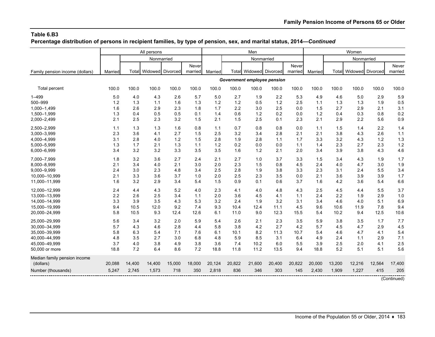**Percentage distribution of persons in recipient families, by type of pension, sex, and marital status, 2014—***Continued*

|                                 |         |        | All persons            |        |         |         |        | Men                                |        |         |         |        | Women                  |        |             |
|---------------------------------|---------|--------|------------------------|--------|---------|---------|--------|------------------------------------|--------|---------|---------|--------|------------------------|--------|-------------|
|                                 |         |        | Nonmarried             |        |         |         |        | Nonmarried                         |        |         |         |        | Nonmarried             |        |             |
|                                 |         |        |                        |        | Never   |         |        |                                    |        | Never   |         |        |                        |        | Never       |
| Family pension income (dollars) | Married |        | Total Widowed Divorced |        | married | Married |        | Total Widowed Divorced             |        | married | Married |        | Total Widowed Divorced |        | married     |
|                                 |         |        |                        |        |         |         |        | <b>Government employee pension</b> |        |         |         |        |                        |        |             |
| Total percent                   | 100.0   | 100.0  | 100.0                  | 100.0  | 100.0   | 100.0   | 100.0  | 100.0                              | 100.0  | 100.0   | 100.0   | 100.0  | 100.0                  | 100.0  | 100.0       |
| $1 - 499$                       | 5.0     | 4.0    | 4.3                    | 2.6    | 5.7     | 5.0     | 2.7    | 1.9                                | 2.2    | 5.3     | 4.9     | 4.6    | 5.0                    | 2.9    | 5.9         |
| 500-999                         | 1.2     | 1.3    | 1.1                    | 1.6    | 1.3     | 1.2     | 1.2    | 0.5                                | 1.2    | 2.5     | 1.1     | 1.3    | 1.3                    | 1.9    | 0.5         |
| 1,000-1,499                     | 1.6     | 2.6    | 2.9                    | 2.3    | 1.8     | 1.7     | 2.2    | 3.0                                | 2.5    | 0.0     | 1.5     | 2.7    | 2.9                    | 2.1    | 3.1         |
| 1,500-1,999                     | 1.3     | 0.4    | 0.5                    | 0.5    | 0.1     | 1.4     | 0.6    | 1.2                                | 0.2    | 0.0     | 1.2     | 0.4    | 0.3                    | 0.8    | 0.2         |
| 2,000-2,499                     | 2.1     | 2.5    | 2.3                    | 3.2    | 1.5     | 2.1     | 1.5    | 2.5                                | 0.1    | 2.3     | 2.1     | 2.9    | 2.2                    | 5.6    | 0.9         |
| 2,500-2,999                     | 1.1     | 1.3    | 1.3                    | 1.6    | 0.8     | 1.1     | 0.7    | 0.8                                | 0.8    | 0.0     | 1.1     | 1.5    | 1.4                    | 2.2    | 1.4         |
| 3,000-3,999                     | 2.3     | 3.6    | 4.1                    | 2.7    | 1.5     | 2.5     | 3.2    | 3.4                                | 2.8    | 2.1     | 2.1     | 3.8    | 4.3                    | 2.6    | 1.1         |
| 4,000-4,999                     | 3.1     | 2.8    | 4.0                    | 1.2    | 1.5     | 2.8     | 1.9    | 2.8                                | 1.1    | 1.7     | 3.3     | 3.2    | 4.3                    | 1.2    | 1.3         |
| 5,000-5,999                     | 1.3     | 1.7    | 2.1                    | 1.3    | 1.1     | 1.2     | 0.2    | 0.0                                | 0.0    | 1.1     | 1.4     | 2.3    | 2.7                    | 2.3    | 1.2         |
| 6,000-6,999                     | 3.4     | 3.2    | 3.2                    | 3.3    | 3.5     | 3.5     | 1.6    | 1.2                                | 2.1    | 2.0     | 3.4     | 3.9    | 3.8                    | 4.3    | 4.6         |
| 7,000-7,999                     | 1.8     | 3.2    | 3.6                    | 2.7    | 2.4     | 2.1     | 2.7    | 1.0                                | 3.7    | 3.3     | 1.5     | 3.4    | 4.3                    | 1.9    | 1.7         |
| 8,000-8,999                     | 2.1     | 3.4    | 4.0                    | 2.1    | 3.0     | 2.0     | 2.3    | 1.5                                | 0.8    | 4.5     | 2.4     | 4.0    | 4.7                    | 3.0    | 1.9         |
| 9.000-9.999                     | 2.4     | 3.0    | 2.3                    | 4.8    | 3.4     | 2.5     | 2.8    | 1.9                                | 3.8    | 3.3     | 2.3     | 3.1    | 2.4                    | 5.5    | 3.4         |
| 10,000-10,999                   | 2.1     | 3.3    | 3.6                    | 3.7    | 1.0     | 2.0     | 2.5    | 2.3                                | 3.5    | 0.0     | 2.1     | 3.6    | 3.9                    | 3.9    | 1.7         |
| 11,000-11,999                   | 1.6     | 3.2    | 2.9                    | 3.4    | 5.4     | 1.5     | 0.9    | 0.1                                | 0.6    | 3.7     | 1.6     | 4.2    | 3.6                    | 5.4    | 6.6         |
| 12,000-12,999                   | 2.4     | 4.4    | 4.3                    | 5.2    | 4.0     | 2.3     | 4.1    | 4.0                                | 4.8    | 4.3     | 2.5     | 4.5    | 4.4                    | 5.5    | 3.7         |
| 13,000-13,999                   | 2.2     | 2.6    | 2.5                    | 3.4    | 1.1     | 2.0     | 3.6    | 4.5                                | 4.1    | 1.1     | 2.4     | 2.2    | 1.9                    | 2.9    | 1.0         |
| 14,000-14,999                   | 3.3     | 3.9    | 3.5                    | 4.3    | 5.3     | 3.2     | 2.4    | 1.9                                | 3.2    | 3.1     | 3.4     | 4.6    | 4.0                    | 5.1    | 6.9         |
| 15,000-19,999                   | 9.4     | 10.5   | 12.0                   | 9.2    | 7.4     | 9.3     | 10.4   | 12.4                               | 11.1   | 4.5     | 9.6     | 10.6   | 11.9                   | 7.8    | 9.4         |
| 20,000-24,999                   | 5.8     | 10.5   | 9.3                    | 12.4   | 12.6    | 6.1     | 11.0   | 9.0                                | 12.3   | 15.5    | 5.4     | 10.2   | 9.4                    | 12.5   | 10.6        |
| 25.000-29.999                   | 5.6     | 3.4    | 3.2                    | 2.0    | 5.9     | 5.4     | 2.6    | 2.1                                | 2.3    | 3.5     | 5.9     | 3.8    | 3.5                    | 1.7    | 7.7         |
| 30,000-34,999                   | 5.7     | 4.3    | 4.6                    | 2.8    | 4.4     | 5.8     | 3.8    | 4.2                                | 2.7    | 4.2     | 5.7     | 4.5    | 4.7                    | 2.9    | 4.5         |
| 35,000-39,999                   | 5.8     | 6.3    | 5.4                    | 7.1    | 7.6     | 6.1     | 10.1   | 8.2                                | 11.3   | 10.7    | 5.4     | 4.6    | 4.7                    | 4.1    | 5.4         |
| 40,000-44,999                   | 4.8     | 3.5    | 2.7                    | 3.0    | 6.8     | 4.8     | 5.9    | 8.5                                | 3.1    | 6.4     | 4.9     | 2.4    | 1.1                    | 2.9    | 7.1         |
| 45,000-49,999                   | 3.7     | 4.0    | 3.8                    | 4.9    | 3.8     | 3.6     | 7.4    | 10.2                               | 6.0    | 5.5     | 3.9     | 2.5    | 2.0                    | 4.1    | 2.5         |
| 50,000 or more                  | 18.8    | 7.2    | 6.4                    | 8.6    | 7.2     | 18.8    | 11.8   | 11.2                               | 13.5   | 9.4     | 18.8    | 5.2    | 5.1                    | 5.1    | 5.6         |
| Median family pension income    |         |        |                        |        |         |         |        |                                    |        |         |         |        |                        |        |             |
| (dollars)                       | 20,088  | 14,400 | 14,400                 | 15,000 | 18,000  | 20,124  | 20,822 | 21,600                             | 20,400 | 20,822  | 20,000  | 13,200 | 12,216                 | 12,564 | 17,400      |
| Number (thousands)              | 5,247   | 2,745  | 1,573                  | 718    | 350     | 2,818   | 836    | 346                                | 303    | 145     | 2,430   | 1,909  | 1,227                  | 415    | 205         |
|                                 |         |        |                        |        |         |         |        |                                    |        |         |         |        |                        |        | (Continued) |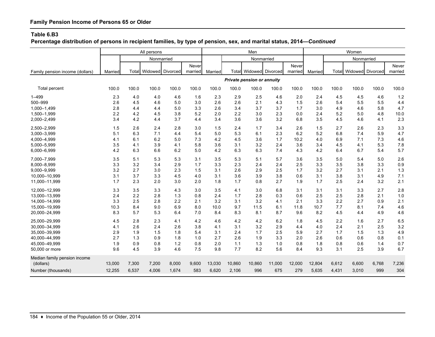**Percentage distribution of persons in recipient families, by type of pension, sex, and marital status, 2014—***Continued*

|                                 |         |       | All persons            |       |         |         |        | Men                               |        |         |         |       | Women            |       |         |
|---------------------------------|---------|-------|------------------------|-------|---------|---------|--------|-----------------------------------|--------|---------|---------|-------|------------------|-------|---------|
|                                 |         |       | Nonmarried             |       |         |         |        | Nonmarried                        |        |         |         |       | Nonmarried       |       |         |
|                                 |         |       |                        |       | Never   |         |        |                                   |        | Never   |         |       |                  |       | Never   |
| Family pension income (dollars) | Married |       | Total Widowed Divorced |       | married | Married |        | <b>Total Widowed Divorced</b>     |        | married | Married | Total | Widowed Divorced |       | married |
|                                 |         |       |                        |       |         |         |        | <b>Private pension or annuity</b> |        |         |         |       |                  |       |         |
| <b>Total percent</b>            | 100.0   | 100.0 | 100.0                  | 100.0 | 100.0   | 100.0   | 100.0  | 100.0                             | 100.0  | 100.0   | 100.0   | 100.0 | 100.0            | 100.0 | 100.0   |
| $1 - 499$                       | 2.3     | 4.0   | 4.0                    | 4.6   | 1.6     | 2.3     | 2.9    | 2.5                               | 4.6    | 2.0     | 2.4     | 4.5   | 4.5              | 4.6   | 1.2     |
| 500-999                         | 2.6     | 4.5   | 4.6                    | 5.0   | 3.0     | 2.6     | 2.6    | 2.1                               | 4.3    | 1.5     | 2.6     | 5.4   | 5.5              | 5.5   | 4.4     |
| 1,000-1,499                     | 2.8     | 4.4   | 4.4                    | 5.0   | 3.3     | 2.6     | 3.4    | 3.7                               | 3.7    | 1.7     | 3.0     | 4.9   | 4.6              | 5.8   | 4.7     |
| 1,500-1,999                     | 2.2     | 4.2   | 4.5                    | 3.8   | 5.2     | 2.0     | 2.2    | 3.0                               | 2.3    | 0.0     | 2.4     | 5.2   | 5.0              | 4.8   | 10.0    |
| 2,000-2,499                     | 3.4     | 4.2   | 4.4                    | 3.7   | 4.4     | 3.4     | 3.6    | 3.6                               | 3.2    | 6.8     | 3.5     | 4.5   | 4.6              | 4.1   | 2.3     |
| 2,500-2,999                     | 1.5     | 2.6   | 2.4                    | 2.8   | 3.0     | 1.5     | 2.4    | 1.7                               | 3.4    | 2.6     | 1.5     | 2.7   | 2.6              | 2.3   | 3.3     |
| 3,000-3,999                     | 5.1     | 6.3   | 7.1                    | 4.4   | 5.4     | 5.0     | 5.3    | 6.1                               | 2.3    | 6.2     | 5.2     | 6.8   | 7.4              | 5.9   | 4.7     |
| 4,000-4,999                     | 4.1     | 6.1   | 6.2                    | 5.0   | 7.3     | 4.2     | 4.5    | 3.6                               | 1.7    | 10.2    | 4.0     | 6.9   | 7.1              | 7.3   | 4.6     |
| 5,000-5,999                     | 3.5     | 4.1   | 3.9                    | 4.1   | 5.8     | 3.6     | 3.1    | 3.2                               | 2.4    | 3.6     | 3.4     | 4.5   | 4.1              | 5.3   | 7.8     |
| 6,000-6,999                     | 4.2     | 6.3   | 6.6                    | 6.2   | 5.0     | 4.2     | 6.3    | 6.3                               | 7.4    | 4.3     | 4.2     | 6.4   | 6.7              | 5.4   | 5.7     |
| 7.000-7.999                     | 3.5     | 5.1   | 5.3                    | 5.3   | 3.1     | 3.5     | 5.3    | 5.1                               | 5.7    | 3.6     | 3.5     | 5.0   | 5.4              | 5.0   | 2.6     |
| 8,000-8,999                     | 3.3     | 3.2   | 3.4                    | 2.9   | 1.7     | 3.3     | 2.3    | 2.4                               | 2.4    | 2.5     | 3.3     | 3.5   | 3.8              | 3.3   | 0.9     |
| 9,000-9,999                     | 3.2     | 2.7   | 3.0                    | 2.3   | 1.5     | 3.1     | 2.6    | 2.9                               | 2.5    | 1.7     | 3.2     | 2.7   | 3.1              | 2.1   | 1.3     |
| 10.000-10.999                   | 3.1     | 3.7   | 3.3                    | 4.5   | 4.0     | 3.1     | 3.6    | 3.9                               | 3.8    | 0.6     | 3.1     | 3.8   | 3.1              | 4.9   | 7.1     |
| 11,000-11,999                   | 1.7     | 2.3   | 2.0                    | 3.0   | 2.0     | 1.8     | 1.7    | 0.8                               | 2.7    | 1.9     | 1.7     | 2.5   | 2.4              | 3.2   | 2.1     |
| 12,000-12,999                   | 3.3     | 3.5   | 3.3                    | 4.3   | 3.0     | 3.5     | 4.1    | 3.0                               | 6.8    | 3.1     | 3.1     | 3.1   | 3.3              | 2.7   | 2.8     |
| 13,000-13,999                   | 2.4     | 2.2   | 2.8                    | 1.3   | 0.8     | 2.4     | 1.7    | 2.8                               | 0.3    | 0.6     | 2.5     | 2.5   | 2.8              | 2.1   | 1.0     |
| 14,000-14,999                   | 3.3     | 2.5   | 2.8                    | 2.2   | 2.1     | 3.2     | 3.1    | 3.2                               | 4.1    | 2.1     | 3.3     | 2.2   | 2.7              | 0.9   | 2.1     |
| 15.000-19.999                   | 10.3    | 8.4   | 9.0                    | 6.9   | 8.0     | 10.0    | 9.7    | 11.5                              | 6.1    | 11.8    | 10.7    | 7.7   | 8.1              | 7.4   | 4.6     |
| 20,000-24,999                   | 8.3     | 5.7   | 5.3                    | 6.4   | 7.0     | 8.4     | 8.3    | 8.1                               | 8.7    | 9.6     | 8.2     | 4.5   | 4.4              | 4.9   | 4.6     |
| 25,000-29,999                   | 4.5     | 2.8   | 2.3                    | 4.1   | 4.2     | 4.6     | 4.2    | 4.2                               | 6.2    | 1.8     | 4.5     | 2.2   | 1.6              | 2.7   | 6.5     |
| 30,000-34,999                   | 4.1     | 2.6   | 2.4                    | 2.6   | 3.8     | 4.1     | 3.1    | 3.2                               | 2.9    | 4.4     | 4.0     | 2.4   | 2.1              | 2.5   | 3.2     |
| 35,000-39,999                   | 2.9     | 1.9   | 1.5                    | 1.8   | 5.4     | 3.1     | 2.4    | 1.7                               | 2.5    | 5.9     | 2.7     | 1.7   | 1.5              | 1.3   | 4.9     |
| 40,000-44,999                   | 2.7     | 1.3   | 0.9                    | 1.8   | 1.0     | 2.7     | 2.6    | 1.9                               | 3.3    | 2.0     | 2.6     | 0.6   | 0.6              | 0.8   | 0.1     |
| 45,000-49,999                   | 1.9     | 0.9   | 0.8                    | 1.2   | 0.8     | 2.0     | 1.1    | 1.3                               | 1.0    | 0.8     | 1.8     | 0.8   | 0.6              | 1.4   | 0.7     |
| 50,000 or more                  | 9.6     | 4.5   | 3.9                    | 4.6   | 7.5     | 9.8     | 7.7    | 8.2                               | 5.6    | 8.4     | 9.3     | 3.1   | 2.5              | 3.9   | 6.7     |
| Median family pension income    |         |       |                        |       |         |         |        |                                   |        |         |         |       |                  |       |         |
| (dollars)                       | 13,000  | 7,300 | 7,200                  | 8,000 | 9,600   | 13,030  | 10,860 | 10,860                            | 11,000 | 12,000  | 12,804  | 6,612 | 6,600            | 6,768 | 7,236   |
| Number (thousands)              | 12,255  | 6,537 | 4,006                  | 1,674 | 583     | 6,620   | 2,106  | 996                               | 675    | 279     | 5,635   | 4,431 | 3,010            | 999   | 304     |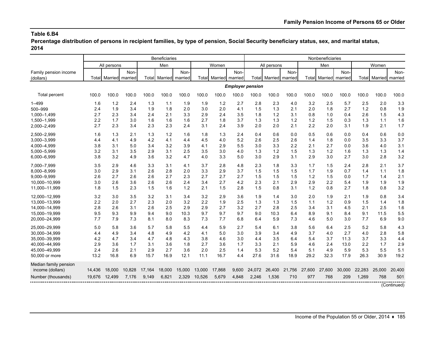**Percentage distribution of persons in recipient families, by type of pension, Social Security beneficiary status, sex, and marital status, 2014**

|                       |        | <b>Beneficiaries</b>         |        |        |                 |        |        | Nonbeneficiaries      |       |                         |                       |        |        |                 |        |        |                       |             |
|-----------------------|--------|------------------------------|--------|--------|-----------------|--------|--------|-----------------------|-------|-------------------------|-----------------------|--------|--------|-----------------|--------|--------|-----------------------|-------------|
|                       |        | All persons                  |        |        | Men             |        |        | Women                 |       |                         | All persons           |        |        | Men             |        |        | Women                 |             |
| Family pension income |        |                              | Non-   |        |                 | Non-   |        |                       | Non-  |                         |                       | Non-   |        |                 | Non-   |        |                       | Non-        |
| (dollars)             |        | <b>Total Married married</b> |        | Totall | Married married |        |        | Total Married married |       |                         | Total Married married |        | Total  | Married married |        |        | Total Married married |             |
|                       |        |                              |        |        |                 |        |        |                       |       | <b>Employer pension</b> |                       |        |        |                 |        |        |                       |             |
| Total percent         | 100.0  | 100.0                        | 100.0  | 100.0  | 100.0           | 100.0  | 100.0  | 100.0                 | 100.0 | 100.0                   | 100.0                 | 100.0  | 100.0  | 100.0           | 100.0  | 100.0  | 100.0                 | 100.0       |
| $1 - 499$             | 1.6    | 1.2                          | 2.4    | 1.3    | 1.1             | 1.9    | 1.9    | 1.2                   | 2.7   | 2.8                     | 2.3                   | 4.0    | 3.2    | 2.5             | 5.7    | 2.5    | 2.0                   | 3.3         |
| 500-999               | 2.4    | 1.9                          | 3.4    | 1.9    | 1.8             | 2.0    | 3.0    | 2.0                   | 4.1   | 1.5                     | 1.3                   | 2.1    | 2.0    | 1.8             | 2.7    | 1.2    | 0.8                   | 1.9         |
| 1,000-1,499           | 2.7    | 2.3                          | 3.4    | 2.4    | 2.1             | 3.3    | 2.9    | 2.4                   | 3.5   | 1.8                     | 1.2                   | 3.1    | 0.8    | 1.0             | 0.4    | 2.6    | 1.5                   | 4.3         |
| 1,500-1,999           | 2.2    | 1.7                          | 3.0    | 1.6    | 1.6             | 1.6    | 2.7    | 1.8                   | 3.7   | 1.3                     | 1.3                   | 1.2    | 1.2    | 1.5             | 0.3    | 1.3    | 1.1                   | 1.6         |
| 2,000-2,499           | 2.7    | 2.3                          | 3.4    | 2.3    | 2.3             | 2.4    | 3.1    | 2.4                   | 3.9   | 2.0                     | 2.0                   | 2.1    | 2.2    | 2.0             | 3.1    | 1.9    | 2.1                   | 1.7         |
| 2,500-2,999           | 1.6    | 1.3                          | 2.1    | 1.3    | 1.2             | 1.6    | 1.8    | 1.3                   | 2.4   | 0.4                     | 0.6                   | 0.0    | 0.5    | 0.6             | 0.0    | 0.4    | 0.6                   | 0.0         |
| 3,000-3,999           | 4.4    | 4.1                          | 4.9    | 4.2    | 4.1             | 4.4    | 4.5    | 4.0                   | 5.2   | 2.6                     | 2.5                   | 2.6    | 1.4    | 1.8             | 0.0    | 3.5    | 3.3                   | 3.7         |
| 4,000-4,999           | 3.8    | 3.1                          | 5.0    | 3.4    | 3.2             | 3.9    | 4.1    | 2.9                   | 5.5   | 3.0                     | 3.3                   | 2.2    | 2.1    | 2.7             | 0.0    | 3.6    | 4.0                   | 3.1         |
| 5,000-5,999           | 3.2    | 3.1                          | 3.5    | 2.9    | 3.1             | 2.5    | 3.5    | 3.0                   | 4.0   | 1.3                     | 1.2                   | 1.5    | 1.3    | 1.2             | 1.6    | 1.3    | 1.3                   | 1.4         |
| 6,000-6,999           | 3.8    | 3.2                          | 4.9    | 3.6    | 3.2             | 4.7    | 4.0    | 3.3                   | 5.0   | 3.0                     | 2.9                   | 3.1    | 2.9    | 3.0             | 2.7    | 3.0    | 2.8                   | 3.2         |
| 7,000-7,999           | 3.5    | 2.9                          | 4.6    | 3.3    | 3.1             | 4.1    | 3.7    | 2.8                   | 4.8   | 2.3                     | 1.8                   | 3.3    | 1.7    | 1.5             | 2.4    | 2.8    | 2.1                   | 3.7         |
| 8,000-8,999           | 3.0    | 2.9                          | 3.1    | 2.6    | 2.8             | 2.0    | 3.3    | 2.9                   | 3.7   | 1.5                     | 1.5                   | 1.5    | 1.7    | 1.9             | 0.7    | 1.4    | 1.1                   | 1.8         |
| 9,000-9,999           | 2.6    | 2.7                          | 2.6    | 2.6    | 2.7             | 2.3    | 2.7    | 2.7                   | 2.7   | 1.5                     | 1.5                   | 1.5    | 1.2    | 1.5             | 0.0    | 1.7    | 1.4                   | 2.1         |
| 10,000-10,999         | 3.0    | 2.6                          | 3.6    | 2.6    | 2.6             | 2.4    | 3.4    | 2.7                   | 4.2   | 2.3                     | 2.1                   | 2.9    | 2.9    | 2.2             | 5.4    | 1.9    | 1.9                   | 1.9         |
| 11,000-11,999         | 1.8    | 1.5                          | 2.3    | 1.5    | 1.6             | 1.2    | 2.1    | 1.5                   | 2.8   | 1.5                     | 0.8                   | 3.1    | 1.2    | 0.8             | 2.7    | 1.8    | 0.8                   | 3.2         |
| 12,000-12,999         | 3.2    | 3.0                          | 3.5    | 3.2    | 3.1             | 3.4    | 3.2    | 2.9                   | 3.6   | 1.9                     | 1.4                   | 3.0    | 2.0    | 1.9             | 2.1    | 1.9    | 0.8                   | 3.4         |
| 13.000-13.999         | 2.2    | 2.0                          | 2.7    | 2.3    | 2.0             | 3.2    | 2.2    | 1.9                   | 2.5   | 1.3                     | 1.3                   | 1.5    | 1.1    | 1.2             | 0.9    | 1.5    | 1.4                   | 1.8         |
| 14,000-14,999         | 2.8    | 2.6                          | 3.1    | 2.6    | 2.5             | 2.9    | 2.9    | 2.7                   | 3.2   | 2.7                     | 2.8                   | 2.5    | 3.4    | 3.1             | 4.5    | 2.1    | 2.5                   | 1.6         |
| 15,000-19,999         | 9.5    | 9.3                          | 9.9    | 9.4    | 9.0             | 10.3   | 9.7    | 9.7                   | 9.7   | 9.0                     | 10.3                  | 6.4    | 8.9    | 9.1             | 8.4    | 9.1    | 11.5                  | 5.5         |
| 20,000-24,999         | 7.7    | 7.9                          | 7.3    | 8.1    | 8.0             | 8.3    | 7.3    | 7.7                   | 6.8   | 6.4                     | 5.9                   | 7.3    | 4.6    | 5.0             | 3.0    | 7.7    | 6.9                   | 9.0         |
| 25,000-29,999         | 5.0    | 5.8                          | 3.6    | 5.7    | 5.8             | 5.5    | 4.4    | 5.9                   | 2.7   | 5.4                     | 6.1                   | 3.8    | 5.6    | 6.4             | 2.5    | 5.2    | 5.8                   | 4.3         |
| 30,000-34,999         | 4.4    | 4.9                          | 3.4    | 4.8    | 4.9             | 4.2    | 4.1    | 5.0                   | 3.0   | 3.9                     | 3.4                   | 4.9    | 3.7    | 4.0             | 2.7    | 4.0    | 2.8                   | 5.8         |
| 35,000-39,999         | 4.2    | 4.7                          | 3.4    | 4.7    | 4.8             | 4.3    | 3.8    | 4.6                   | 3.0   | 4.4                     | 3.5                   | 6.4    | 5.4    | 3.7             | 11.3   | 3.7    | 3.3                   | 4.4         |
| 40,000-44,999         | 2.9    | 3.6                          | 1.7    | 3.1    | 3.6             | 1.8    | 2.7    | 3.6                   | 1.7   | 3.3                     | 2.1                   | 5.9    | 4.6    | 2.4             | 13.0   | 2.2    | 1.7                   | 2.9         |
| 45,000-49,999         | 2.4    | 2.6                          | 2.1    | 2.9    | 2.7             | 3.6    | 2.0    | 2.5                   | 1.4   | 5.3                     | 5.2                   | 5.4    | 5.1    | 4.9             | 5.9    | 5.3    | 5.5                   | 5.1         |
| 50,000 or more        | 13.2   | 16.8                         | 6.9    | 15.7   | 16.9            | 12.1   | 11.1   | 16.7                  | 4.4   | 27.6                    | 31.6                  | 18.9   | 29.2   | 32.3            | 17.9   | 26.3   | 30.9                  | 19.2        |
| Median family pension |        |                              |        |        |                 |        |        |                       |       |                         |                       |        |        |                 |        |        |                       |             |
| income (dollars)      | 14.436 | 18,000                       | 10.828 | 17.164 | 18,000          | 15,000 | 13,000 | 17,868                | 9,600 | 24,072                  | 26,400                | 21.756 | 27.600 | 27.600          | 30,000 | 22.283 | 25,000                | 20,400      |
| Number (thousands)    |        | 19,676 12,499                | 7,176  | 9,149  | 6,821           | 2,329  | 10,526 | 5,679                 | 4,848 | 2,246                   | 1,536                 | 710    | 977    | 768             | 209    | 1,269  | 768                   | 501         |
|                       |        |                              |        |        |                 |        |        |                       |       |                         |                       |        |        |                 |        |        |                       | (Continued) |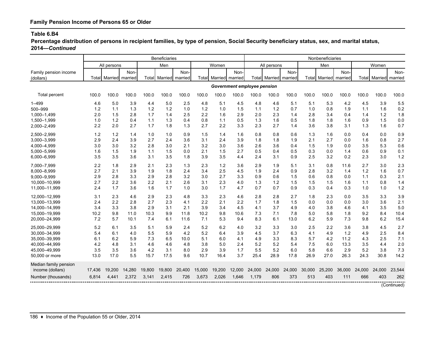**Percentage distribution of persons in recipient families, by type of pension, Social Security beneficiary status, sex, and marital status, 2014—***Continued*

|                       |        | <b>Beneficiaries</b> |        |        |                 |        |        |                 | Nonbeneficiaries            |        |                       |        |        |        |                       |        |                       |             |
|-----------------------|--------|----------------------|--------|--------|-----------------|--------|--------|-----------------|-----------------------------|--------|-----------------------|--------|--------|--------|-----------------------|--------|-----------------------|-------------|
|                       |        | All persons          |        |        | Men             |        |        | Women           |                             |        | All persons           |        |        | Men    |                       |        | Women                 |             |
| Family pension income |        |                      | Non-   |        |                 | Non-   |        |                 | Non-                        |        |                       | Non-   |        |        | Non-                  |        |                       | Non-        |
| (dollars)             | Total  | Married married      |        | Totall | Married married |        | Total  | Married married |                             |        | Total Married married |        |        |        | Total Married married |        | Total Married married |             |
|                       |        |                      |        |        |                 |        |        |                 | Government employee pension |        |                       |        |        |        |                       |        |                       |             |
| Total percent         | 100.0  | 100.0                | 100.0  | 100.0  | 100.0           | 100.0  | 100.0  | 100.0           | 100.0                       | 100.0  | 100.0                 | 100.0  | 100.0  | 100.0  | 100.0                 | 100.0  | 100.0                 | 100.0       |
| $1 - 499$             | 4.6    | 5.0                  | 3.9    | 4.4    | 5.0             | 2.5    | 4.8    | 5.1             | 4.5                         | 4.8    | 4.6                   | 5.1    | 5.1    | 5.3    | 4.2                   | 4.5    | 3.9                   | 5.5         |
| 500-999               | 1.2    | 1.1                  | 1.3    | 1.2    | 1.2             | 1.0    | 1.2    | 1.0             | 1.5                         | 1.1    | 1.2                   | 0.7    | 1.0    | 0.8    | 1.9                   | 1.1    | 1.6                   | 0.2         |
| 1,000-1,499           | 2.0    | 1.5                  | 2.8    | 1.7    | 1.4             | 2.5    | 2.2    | 1.6             | 2.9                         | 2.0    | 2.3                   | 1.4    | 2.8    | 3.4    | 0.4                   | 1.4    | 1.2                   | 1.8         |
| 1,500-1,999           | 1.0    | 1.2                  | 0.4    | 1.1    | 1.3             | 0.4    | 0.8    | 1.1             | 0.5                         | 1.3    | 1.6                   | 0.5    | 1.8    | 1.8    | 1.6                   | 0.9    | 1.5                   | 0.0         |
| 2,000-2,499           | 2.2    | 2.0                  | 2.7    | 1.7    | 1.8             | 1.3    | 2.7    | 2.2             | 3.3                         | 2.3    | 2.7                   | 1.4    | 3.6    | 3.8    | 3.1                   | 1.3    | 1.6                   | 0.7         |
| 2,500-2,999           | 1.2    | 1.2                  | 1.4    | 1.0    | 1.0             | 0.9    | 1.5    | 1.4             | 1.6                         | 0.8    | 0.8                   | 0.6    | 1.3    | 1.6    | 0.0                   | 0.4    | 0.0                   | 0.9         |
| 3,000-3,999           | 2.9    | 2.4                  | 3.9    | 2.7    | 2.4             | 3.6    | 3.1    | 2.4             | 3.9                         | 1.8    | 1.8                   | 1.9    | 2.1    | 2.7    | 0.0                   | 1.6    | 0.8                   | 2.7         |
| 4,000-4,999           | 3.0    | 3.0                  | 3.2    | 2.8    | 3.0             | 2.1    | 3.2    | 3.0             | 3.6                         | 2.6    | 3.6                   | 0.4    | 1.5    | 1.9    | 0.0                   | 3.5    | 5.3                   | 0.6         |
| 5,000-5,999           | 1.6    | 1.5                  | 1.9    | 1.1    | 1.5             | 0.0    | 2.1    | 1.5             | 2.7                         | 0.5    | 0.4                   | 0.5    | 0.3    | 0.0    | 1.4                   | 0.6    | 0.9                   | 0.1         |
| 6,000-6,999           | 3.5    | 3.5                  | 3.6    | 3.1    | 3.5             | 1.8    | 3.9    | 3.5             | 4.4                         | 2.4    | 3.1                   | 0.9    | 2.5    | 3.2    | 0.2                   | 2.3    | 3.0                   | 1.2         |
| 7.000-7.999           | 2.2    | 1.8                  | 2.9    | 2.1    | 2.3             | 1.3    | 2.3    | 1.2             | 3.6                         | 2.9    | 1.9                   | 5.1    | 3.1    | 0.8    | 11.6                  | 2.7    | 3.0                   | 2.3         |
| 8,000-8,999           | 2.7    | 2.1                  | 3.9    | 1.9    | 1.8             | 2.4    | 3.4    | 2.5             | 4.5                         | 1.9    | 2.4                   | 0.9    | 2.8    | 3.2    | 1.4                   | 1.2    | 1.6                   | 0.7         |
| 9,000-9,999           | 2.9    | 2.8                  | 3.3    | 2.9    | 2.8             | 3.2    | 3.0    | 2.7             | 3.3                         | 0.9    | 0.6                   | 1.5    | 0.6    | 0.8    | 0.0                   | 1.1    | 0.3                   | 2.1         |
| 10,000-10,999         | 2.7    | 2.2                  | 3.6    | 2.2    | 2.1             | 2.6    | 3.1    | 2.3             | 4.0                         | 1.3    | 1.2                   | 1.5    | 1.5    | 1.5    | 1.6                   | 1.1    | 0.8                   | 1.4         |
| 11,000-11,999         | 2.4    | 1.7                  | 3.6    | 1.6    | 1.7             | 1.0    | 3.0    | 1.7             | 4.7                         | 0.7    | 0.7                   | 0.9    | 0.3    | 0.4    | 0.3                   | 1.0    | 1.0                   | 1.2         |
| 12,000-12,999         | 3.1    | 2.3                  | 4.6    | 2.9    | 2.3             | 4.8    | 3.3    | 2.3             | 4.6                         | 2.8    | 2.8                   | 2.7    | 1.8    | 2.3    | 0.0                   | 3.5    | 3.3                   | 3.9         |
| 13,000-13,999         | 2.4    | 2.2                  | 2.8    | 2.7    | 2.3             | 4.1    | 2.2    | 2.1             | 2.2                         | 1.7    | 1.8                   | 1.5    | 0.0    | 0.0    | 0.0                   | 3.0    | 3.6                   | 2.1         |
| 14,000-14,999         | 3.4    | 3.3                  | 3.8    | 2.9    | 3.1             | 2.1    | 3.9    | 3.4             | 4.5                         | 4.1    | 3.7                   | 4.9    | 4.0    | 3.8    | 4.6                   | 4.1    | 3.5                   | 5.0         |
| 15,000-19,999         | 10.2   | 9.8                  | 11.0   | 10.3   | 9.9             | 11.8   | 10.2   | 9.8             | 10.6                        | 7.3    | 7.1                   | 7.8    | 5.0    | 5.8    | 1.8                   | 9.2    | 8.4                   | 10.4        |
| 20,000-24,999         | 7.2    | 5.7                  | 10.1   | 7.4    | 6.1             | 11.6   | 7.1    | 5.3             | 9.4                         | 8.3    | 6.1                   | 13.0   | 6.2    | 5.9    | 7.3                   | 9.8    | 6.2                   | 15.4        |
| 25,000-29,999         | 5.2    | 6.1                  | 3.5    | 5.1    | 5.9             | 2.4    | 5.2    | 6.2             | 4.0                         | 3.2    | 3.3                   | 3.0    | 2.5    | 2.2    | 3.6                   | 3.8    | 4.5                   | 2.7         |
| 30.000-34.999         | 5.4    | 6.1                  | 4.0    | 5.5    | 5.9             | 4.2    | 5.2    | 6.4             | 3.9                         | 4.5    | 3.7                   | 6.3    | 4.1    | 4.9    | 1.2                   | 4.9    | 2.5                   | 8.4         |
| 35,000-39,999         | 6.1    | 6.2                  | 5.9    | 7.3    | 6.5             | 10.0   | 5.1    | 6.0             | 4.1                         | 4.9    | 3.3                   | 8.3    | 5.7    | 4.2    | 11.2                  | 4.3    | 2.5                   | 7.1         |
| 40,000-44,999         | 4.2    | 4.8                  | 3.1    | 4.6    | 4.6             | 4.8    | 3.8    | 5.0             | 2.4                         | 5.2    | 5.2                   | 5.4    | 7.5    | 6.0    | 13.3                  | 3.5    | 4.4                   | 2.0         |
| 45,000-49,999         | 3.5    | 3.5                  | 3.6    | 4.2    | 3.1             | 8.0    | 2.9    | 3.9             | 1.7                         | 5.5    | 5.2                   | 6.0    | 5.8    | 6.6    | 2.9                   | 5.2    | 3.8                   | 7.3         |
| 50,000 or more        | 13.0   | 17.0                 | 5.5    | 15.7   | 17.5            | 9.6    | 10.7   | 16.4            | 3.7                         | 25.4   | 28.9                  | 17.8   | 26.9   | 27.0   | 26.3                  | 24.3   | 30.8                  | 14.2        |
| Median family pension |        |                      |        |        |                 |        |        |                 |                             |        |                       |        |        |        |                       |        |                       |             |
| income (dollars)      | 17.436 | 19,200               | 14,280 | 19,800 | 19,800          | 20,400 | 15,000 | 19,200          | 12,000                      | 24,000 | 24,000                | 24,000 | 30.000 | 25,200 | 36.000                | 24.000 | 24,000                | 23,544      |
| Number (thousands)    | 6,814  | 4,441                | 2,372  | 3,141  | 2,415           | 726    | 3,673  | 2,026           | 1,646                       | 1,179  | 806                   | 373    | 513    | 403    | 111                   | 666    | 403                   | 262         |
|                       |        |                      |        |        |                 |        |        |                 |                             |        |                       |        |        |        |                       |        |                       | (Continued) |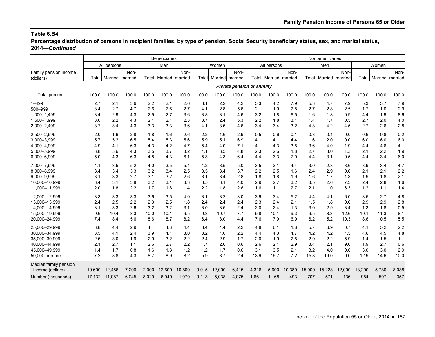**Percentage distribution of persons in recipient families, by type of pension, Social Security beneficiary status, sex, and marital status, 2014—***Continued*

|                       |        | <b>Beneficiaries</b>  |       |        |                 |        |        |         | Nonbeneficiaries                  |        |                       |        |        |                      |         |        |                       |       |
|-----------------------|--------|-----------------------|-------|--------|-----------------|--------|--------|---------|-----------------------------------|--------|-----------------------|--------|--------|----------------------|---------|--------|-----------------------|-------|
|                       |        | All persons           |       |        | Men             |        |        | Women   |                                   |        | All persons           |        |        | Men                  |         |        | Women                 |       |
| Family pension income |        |                       | Non-  |        |                 | Non-   |        |         | Non-                              |        |                       | Non-   |        |                      | Non-    |        |                       | Non-  |
| (dollars)             |        | Total Married married |       | Totall | Married married |        | Totall | Married | married                           |        | Total Married married |        |        | <b>Total</b> Married | married |        | Total Married married |       |
|                       |        |                       |       |        |                 |        |        |         | <b>Private pension or annuity</b> |        |                       |        |        |                      |         |        |                       |       |
| Total percent         | 100.0  | 100.0                 | 100.0 | 100.0  | 100.0           | 100.0  | 100.0  | 100.0   | 100.0                             | 100.0  | 100.0                 | 100.0  | 100.0  | 100.0                | 100.0   | 100.0  | 100.0                 | 100.0 |
| $1 - 499$             | 2.7    | 2.1                   | 3.6   | 2.2    | 2.1             | 2.6    | 3.1    | 2.2     | 4.2                               | 5.3    | 4.2                   | 7.9    | 5.3    | 4.7                  | 7.9     | 5.3    | 3.7                   | 7.9   |
| 500-999               | 3.4    | 2.7                   | 4.7   | 2.6    | 2.6             | 2.7    | 4.1    | 2.8     | 5.6                               | 2.1    | 1.9                   | 2.8    | 2.7    | 2.8                  | 2.5     | 1.7    | 1.0                   | 2.9   |
| 1,000-1,499           | 3.4    | 2.9                   | 4.3   | 2.9    | 2.7             | 3.6    | 3.8    | 3.1     | 4.6                               | 3.2    | 1.8                   | 6.5    | 1.6    | 1.8                  | 0.9     | 4.4    | 1.9                   | 8.6   |
| 1,500-1,999           | 3.0    | 2.2                   | 4.3   | 2.1    | 2.1             | 2.3    | 3.7    | 2.4     | 5.3                               | 2.2    | 1.8                   | 3.1    | 1.4    | 1.7                  | 0.5     | 2.7    | 2.0                   | 4.0   |
| 2,000-2,499           | 3.7    | 3.4                   | 4.3   | 3.3    | 3.3             | 3.6    | 4.1    | 3.6     | 4.6                               | 3.4    | 3.4                   | 3.2    | 4.3    | 4.2                  | 4.5     | 2.7    | 2.6                   | 2.8   |
| 2,500-2,999           | 2.0    | 1.6                   | 2.8   | 1.8    | 1.6             | 2.6    | 2.2    | 1.6     | 2.9                               | 0.5    | 0.6                   | 0.1    | 0.3    | 0.4                  | 0.0     | 0.6    | 0.8                   | 0.2   |
| 3,000-3,999           | 5.7    | 5.2                   | 6.5   | 5.4    | 5.3             | 5.6    | 5.9    | 5.1     | 6.9                               | 4.1    | 4.1                   | 4.4    | 1.6    | 2.0                  | 0.0     | 6.0    | 6.0                   | 6.0   |
| 4,000-4,999           | 4.9    | 4.1                   | 6.3   | 4.3    | 4.2             | 4.7    | 5.4    | 4.0     | 7.1                               | 4.1    | 4.3                   | 3.5    | 3.6    | 4.0                  | 1.9     | 4.4    | 4.6                   | 4.1   |
| 5,000-5,999           | 3.8    | 3.6                   | 4.3   | 3.5    | 3.7             | 3.2    | 4.1    | 3.5     | 4.8                               | 2.3    | 2.6                   | 1.8    | 2.7    | 3.0                  | 1.3     | 2.1    | 2.2                   | 1.9   |
| 6,000-6,999           | 5.0    | 4.3                   | 6.3   | 4.8    | 4.3             | 6.1    | 5.3    | 4.3     | 6.4                               | 4.4    | 3.3                   | 7.0    | 4.4    | 3.1                  | 9.5     | 4.4    | 3.4                   | 6.0   |
| 7,000-7,999           | 4.1    | 3.5                   | 5.2   | 4.0    | 3.5             | 5.4    | 4.2    | 3.5     | 5.0                               | 3.5    | 3.1                   | 4.4    | 3.0    | 2.8                  | 3.6     | 3.9    | 3.4                   | 4.7   |
| 8,000-8,999           | 3.4    | 3.4                   | 3.3   | 3.2    | 3.4             | 2.5    | 3.5    | 3.4     | 3.7                               | 2.2    | 2.5                   | 1.6    | 2.4    | 2.9                  | 0.0     | 2.1    | 2.1                   | 2.2   |
| 9,000-9,999           | 3.1    | 3.3                   | 2.7   | 3.1    | 3.2             | 2.6    | 3.1    | 3.4     | 2.8                               | 1.8    | 1.8                   | 1.9    | 1.6    | 1.7                  | 1.3     | 1.9    | 1.8                   | 2.1   |
| 10,000-10,999         | 3.4    | 3.1                   | 3.8   | 3.2    | 3.1             | 3.3    | 3.5    | 3.1     | 4.0                               | 2.9    | 2.7                   | 3.2    | 3.5    | 2.6                  | 7.3     | 2.4    | 2.8                   | 1.6   |
| 11,000-11,999         | 2.0    | 1.8                   | 2.2   | 1.7    | 1.8             | 1.4    | 2.2    | 1.8     | 2.6                               | 1.6    | 1.1                   | 2.7    | 2.1    | 1.0                  | 6.3     | 1.2    | 1.1                   | 1.4   |
| 12,000-12,999         | 3.3    | 3.3                   | 3.3   | 3.6    | 3.5             | 4.0    | 3.1    | 3.2     | 3.0                               | 3.9    | 3.4                   | 5.2    | 4.4    | 4.1                  | 6.0     | 3.5    | 2.7                   | 4.8   |
| 13,000-13,999         | 2.4    | 2.5                   | 2.2   | 2.3    | 2.5             | 1.8    | 2.4    | 2.4     | 2.4                               | 2.3    | 2.4                   | 2.1    | 1.5    | 1.8                  | 0.0     | 2.9    | 2.9                   | 2.8   |
| 14,000-14,999         | 3.1    | 3.3                   | 2.6   | 3.2    | 3.2             | 3.1    | 3.0    | 3.5     | 2.4                               | 2.0    | 2.4                   | 1.3    | 3.0    | 2.9                  | 3.4     | 1.3    | 1.8                   | 0.5   |
| 15,000-19,999         | 9.6    | 10.4                  | 8.3   | 10.0   | 10.1            | 9.5    | 9.3    | 10.7    | 7.7                               | 9.8    | 10.1                  | 9.3    | 9.5    | 8.8                  | 12.6    | 10.1   | 11.3                  | 8.1   |
| 20,000-24,999         | 7.4    | 8.4                   | 5.6   | 8.6    | 8.7             | 8.2    | 6.4    | 8.0     | 4.4                               | 7.6    | 7.9                   | 6.9    | 6.2    | 5.2                  | 10.3    | 8.6    | 10.5                  | 5.5   |
| 25,000-29,999         | 3.8    | 4.4                   | 2.9   | 4.4    | 4.3             | 4.4    | 3.4    | 4.4     | 2.2                               | 4.8    | 6.1                   | 1.8    | 5.7    | 6.9                  | 0.7     | 4.1    | 5.2                   | 2.2   |
| 30,000-34,999         | 3.5    | 4.1                   | 2.4   | 3.9    | 4.1             | 3.0    | 3.2    | 4.0     | 2.2                               | 4.4    | 4.3                   | 4.7    | 4.2    | 4.2                  | 4.5     | 4.6    | 4.5                   | 4.8   |
| 35.000-39.999         | 2.6    | 3.0                   | 1.9   | 2.9    | 3.2             | 2.2    | 2.4    | 2.9     | 1.7                               | 2.0    | 1.9                   | 2.5    | 2.9    | 2.2                  | 5.9     | 1.4    | 1.5                   | 1.1   |
| 40,000-44,999         | 2.1    | 2.7                   | 1.1   | 2.6    | 2.7             | 2.2    | 1.7    | 2.6     | 0.6                               | 2.6    | 2.4                   | 2.9    | 3.4    | 2.1                  | 9.0     | 1.9    | 2.7                   | 0.6   |
| 45,000-49,999         | 1.4    | 1.7                   | 0.8   | 1.6    | 1.8             | 1.2    | 1.2    | 1.7     | 0.6                               | 3.1    | 3.5                   | 2.1    | 3.2    | 4.0                  | 0.0     | 3.0    | 3.0                   | 2.9   |
| 50,000 or more        | 7.2    | 8.8                   | 4.3   | 8.7    | 8.9             | 8.2    | 5.9    | 8.7     | 2.4                               | 13.9   | 16.7                  | 7.2    | 15.3   | 19.0                 | 0.0     | 12.9   | 14.6                  | 10.0  |
| Median family pension |        |                       |       |        |                 |        |        |         |                                   |        |                       |        |        |                      |         |        |                       |       |
| income (dollars)      | 10,600 | 12,456                | 7,200 | 12.000 | 12,600          | 10,800 | 9,015  | 12,000  | 6,415                             | 14,316 | 15,600                | 10,380 | 15,000 | 15.228               | 12,000  | 13,200 | 15,780                | 8,088 |
| Number (thousands)    | 17,132 | 11,087                | 6,045 | 8,020  | 6,049           | 1,970  | 9,113  | 5.038   | 4,075                             | 1,661  | 1,168                 | 493    | 707    | 571                  | 136     | 954    | 597                   | 357   |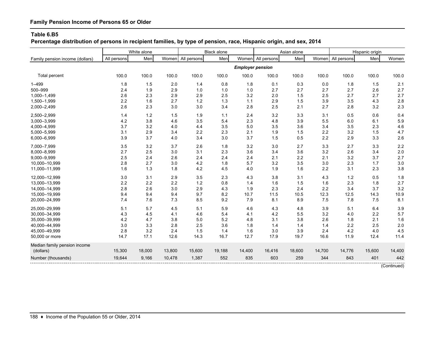# **Family Pension Income of Persons 65 or Older**

#### **Table 6.B5**

**Percentage distribution of persons in recipient families, by type of pension, race, Hispanic origin, and sex, 2014**

|                                 | White alone |        |        | Black alone       |        |                         | Asian alone |         |        | Hispanic origin |        |        |
|---------------------------------|-------------|--------|--------|-------------------|--------|-------------------------|-------------|---------|--------|-----------------|--------|--------|
| Family pension income (dollars) | All persons | Men    |        | Women All persons | Men    | Women                   | All persons | Men     | Women  | All persons     | Men    | Women  |
|                                 |             |        |        |                   |        | <b>Employer pension</b> |             |         |        |                 |        |        |
| <b>Total percent</b>            | 100.0       | 100.0  | 100.0  | 100.0             | 100.0  | 100.0                   | 100.0       | 100.0   | 100.0  | 100.0           | 100.0  | 100.0  |
| $1 - 499$                       | 1.8         | 1.5    | 2.0    | 1.4               | 0.8    | 1.8                     | 0.1         | 0.3     | 0.0    | 1.8             | 1.5    | 2.1    |
| 500-999                         | 2.4         | 1.9    | 2.9    | 1.0               | 1.0    | 1.0                     | 2.7         | 2.7     | 2.7    | 2.7             | 2.6    | 2.7    |
| 1,000-1,499                     | 2.6         | 2.3    | 2.9    | 2.9               | 2.5    | 3.2                     | 2.0         | 1.5     | 2.5    | 2.7             | 2.7    | 2.7    |
| 1,500-1,999                     | 2.2         | 1.6    | 2.7    | 1.2               | 1.3    | $1.1$                   | 2.9         | 1.5     | 3.9    | 3.5             | 4.3    | 2.8    |
| 2,000-2,499                     | 2.6         | 2.3    | 3.0    | 3.0               | 3.4    | 2.8                     | 2.5         | 2.1     | 2.7    | 2.8             | 3.2    | 2.3    |
| 2,500-2,999                     | 1.4         | 1.2    | 1.5    | 1.9               | $1.1$  | 2.4                     | 3.2         | 3.3     | 3.1    | 0.5             | 0.6    | 0.4    |
| 3,000-3,999                     | 4.2         | 3.8    | 4.6    | 3.5               | 5.4    | 2.3                     | 4.8         | 3.9     | 5.5    | 6.0             | 6.1    | 5.9    |
| 4,000-4,999                     | 3.7         | 3.2    | 4.0    | 4.4               | 3.5    | 5.0                     | 3.5         | 3.6     | 3.4    | 3.5             | 2.3    | 4.6    |
| 5,000-5,999                     | 3.1         | 2.9    | 3.4    | 2.2               | 2.3    | 2.1                     | 1.9         | 1.5     | 2.2    | 3.2             | 1.5    | 4.7    |
| 6,000-6,999                     | 3.9         | 3.7    | 4.0    | 3.4               | 3.0    | 3.7                     | 1.5         | 0.5     | 2.2    | 2.9             | 3.3    | 2.6    |
| 7,000-7,999                     | 3.5         | 3.2    | 3.7    | 2.6               | 1.8    | 3.2                     | 3.0         | 2.7     | 3.3    | 2.7             | 3.3    | 2.2    |
| 8,000-8,999                     | 2.7         | 2.5    | 3.0    | 3.1               | 2.3    | 3.6                     | 3.4         | 3.6     | 3.2    | 2.6             | 3.4    | 2.0    |
| 9,000-9,999                     | 2.5         | 2.4    | 2.6    | 2.4               | 2.4    | 2.4                     | 2.1         | $2.2\,$ | 2.1    | 3.2             | 3.7    | 2.7    |
| 10,000-10,999                   | 2.8         | 2.7    | 3.0    | 4.2               | 1.8    | 5.7                     | 3.2         | 3.5     | 3.0    | 2.3             | 1.7    | 3.0    |
| 11,000-11,999                   | 1.6         | 1.3    | 1.8    | 4.2               | 4.5    | 4.0                     | 1.9         | 1.6     | 2.2    | 3.1             | 2.3    | 3.8    |
| 12,000-12,999                   | 3.0         | 3.1    | 2.9    | 3.5               | 2.3    | 4.3                     | 3.8         | 3.1     | 4.3    | $1.2$           | 0.5    | 1.8    |
| 13,000-13,999                   | 2.2         | 2.2    | 2.2    | $1.2$             | 0.8    | 1.4                     | 1.6         | 1.5     | 1.6    | 2.3             | 1.8    | 2.7    |
| 14,000-14,999                   | 2.8         | 2.6    | 3.0    | 2.9               | 4.3    | 1.9                     | 2.3         | 2.4     | 2.2    | 3.4             | 3.7    | 3.2    |
| 15,000-19,999                   | 9.4         | 9.4    | 9.4    | 9.7               | 8.2    | 10.7                    | 11.5        | 10.5    | 12.3   | 12.5            | 14.3   | 10.9   |
| 20,000-24,999                   | 7.4         | 7.6    | 7.3    | 8.5               | 9.2    | 7.9                     | 8.1         | 8.9     | 7.5    | 7.8             | 7.5    | 8.1    |
| 25,000-29,999                   | 5.1         | 5.7    | 4.5    | 5.1               | 5.9    | 4.6                     | 4.3         | 4.8     | 3.9    | 5.1             | 6.4    | 3.9    |
| 30,000-34,999                   | 4.3         | 4.5    | 4.1    | 4.6               | 5.4    | 4.1                     | 4.2         | 5.5     | 3.2    | 4.0             | 2.2    | 5.7    |
| 35,000-39,999                   | 4.2         | 4.7    | 3.8    | 5.0               | 5.2    | 4.8                     | 3.1         | 3.8     | 2.6    | 1.8             | 2.1    | 1.6    |
| 40,000-44,999                   | 3.0         | 3.3    | 2.8    | 2.5               | 3.6    | 1.8                     | 1.4         | 1.4     | 1.4    | 2.2             | 2.5    | 2.0    |
| 45,000-49,999                   | 2.8         | 3.2    | 2.4    | 1.5               | 1.4    | 1.6                     | 3.0         | 3.9     | 2.4    | 4.2             | 4.0    | 4.5    |
| 50,000 or more                  | 14.7        | 17.1   | 12.6   | 14.3              | 16.7   | 12.7                    | 17.9        | 19.7    | 16.6   | 11.9            | 12.4   | 11.4   |
| Median family pension income    |             |        |        |                   |        |                         |             |         |        |                 |        |        |
| (dollars)                       | 15,300      | 18,000 | 13,800 | 15,600            | 19,188 | 14,400                  | 16,416      | 18,600  | 14,700 | 14,776          | 15,600 | 14,400 |
| Number (thousands)              | 19,644      | 9,166  | 10,478 | 1,387             | 552    | 835                     | 603         | 259     | 344    | 843             | 401    | 442    |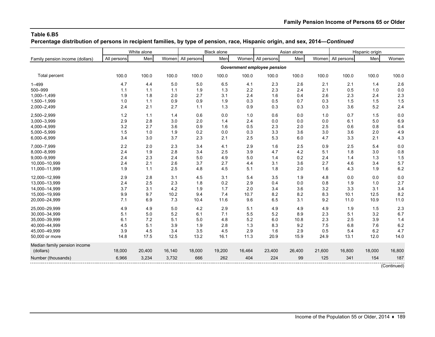**Percentage distribution of persons in recipient families, by type of pension, race, Hispanic origin, and sex, 2014—***Continued*

|                                 | White alone |        |        | <b>Black alone</b> |        | Asian alone |                             |        | Hispanic origin |                   |        |        |
|---------------------------------|-------------|--------|--------|--------------------|--------|-------------|-----------------------------|--------|-----------------|-------------------|--------|--------|
| Family pension income (dollars) | All persons | Men    |        | Women All persons  | Men    |             | Women All persons           | Men    |                 | Women All persons | Men    | Women  |
|                                 |             |        |        |                    |        |             | Government employee pension |        |                 |                   |        |        |
| <b>Total percent</b>            | 100.0       | 100.0  | 100.0  | 100.0              | 100.0  | 100.0       | 100.0                       | 100.0  | 100.0           | 100.0             | 100.0  | 100.0  |
| $1 - 499$                       | 4.7         | 4.4    | 5.0    | 5.0                | 6.5    | 4.1         | 2.3                         | 2.6    | 2.1             | 2.1               | 1.4    | 2.6    |
| 500-999                         | 1.1         | 1.1    | 1.1    | 1.9                | 1.3    | 2.2         | 2.3                         | 2.4    | 2.1             | 0.5               | 1.0    | 0.0    |
| 1,000-1,499                     | 1.9         | 1.8    | 2.0    | 2.7                | 3.1    | 2.4         | 1.6                         | 0.4    | 2.6             | 2.3               | 2.4    | 2.3    |
| 1,500-1,999                     | 1.0         | 1.1    | 0.9    | 0.9                | 1.9    | 0.3         | 0.5                         | 0.7    | 0.3             | 1.5               | 1.5    | 1.5    |
| 2,000-2,499                     | 2.4         | 2.1    | 2.7    | 1.1                | 1.3    | 0.9         | 0.3                         | 0.3    | 0.3             | 3.6               | 5.2    | 2.4    |
| 2,500-2,999                     | 1.2         | 1.1    | 1.4    | 0.6                | 0.0    | 1.0         | 0.6                         | 0.0    | 1.0             | 0.7               | 1.5    | 0.0    |
| 3,000-3,999                     | 2.9         | 2.8    | 3.0    | 2.0                | 1.4    | 2.4         | 0.0                         | 0.0    | 0.0             | 6.1               | 5.0    | 6.9    |
| 4,000-4,999                     | 3.2         | 2.7    | 3.6    | 0.9                | 1.6    | 0.5         | 2.3                         | 2.0    | 2.5             | 0.6               | 0.8    | 0.4    |
| 5,000-5,999                     | 1.5         | 1.0    | 1.9    | 0.2                | 0.0    | 0.3         | 3.3                         | 3.6    | 3.0             | 3.6               | 2.0    | 4.9    |
| 6,000-6,999                     | 3.4         | 3.0    | 3.7    | 2.3                | 2.1    | 2.5         | 5.3                         | 6.0    | 4.7             | 3.3               | 2.1    | 4.3    |
| 7,000-7,999                     | 2.2         | 2.0    | 2.3    | 3.4                | 4.1    | 2.9         | 1.6                         | 2.5    | 0.9             | 2.5               | 5.4    | 0.0    |
| 8,000-8,999                     | 2.4         | 1.9    | 2.8    | 3.4                | 2.5    | 3.9         | 4.7                         | 4.2    | 5.1             | 1.8               | 3.0    | 0.8    |
| 9,000-9,999                     | 2.4         | 2.3    | 2.4    | 5.0                | 4.9    | 5.0         | 1.4                         | 0.2    | 2.4             | 1.4               | 1.3    | 1.5    |
| 10,000-10,999                   | 2.4         | 2.1    | 2.6    | 3.7                | 2.7    | 4.4         | 3.1                         | 3.6    | 2.7             | 4.6               | 3.4    | 5.7    |
| 11,000-11,999                   | 1.9         | 1.1    | 2.5    | 4.8                | 4.5    | 5.1         | 1.8                         | 2.0    | 1.6             | 4.3               | 1.9    | 6.2    |
| 12.000-12.999                   | 2.9         | 2.8    | 3.1    | 4.5                | 3.1    | 5.4         | 3.5                         | 1.9    | 4.8             | 0.0               | 0.0    | 0.0    |
| 13,000-13,999                   | 2.4         | 2.5    | 2.3    | 1.8                | 0.2    | 2.9         | 0.4                         | 0.0    | 0.8             | 1.9               | 1.0    | 2.7    |
| 14,000-14,999                   | 3.7         | 3.1    | 4.2    | 1.9                | 1.7    | 2.0         | 3.4                         | 3.6    | 3.2             | 3.3               | 3.1    | 3.4    |
| 15,000-19,999                   | 9.9         | 9.7    | 10.2   | 9.4                | 7.4    | 10.7        | 8.2                         | 8.2    | 8.3             | 10.1              | 12.5   | 8.2    |
| 20,000-24,999                   | 7.1         | 6.9    | 7.3    | 10.4               | 11.6   | 9.6         | 6.5                         | 3.1    | 9.2             | 11.0              | 10.9   | 11.0   |
| 25,000-29,999                   | 4.9         | 4.9    | 5.0    | 4.2                | 2.9    | 5.1         | 4.9                         | 4.9    | 4.9             | 1.9               | 1.5    | 2.3    |
| 30,000-34,999                   | 5.1         | 5.0    | 5.2    | 6.1                | 7.1    | 5.5         | 5.2                         | 8.9    | 2.3             | 5.1               | 3.2    | 6.7    |
| 35,000-39,999                   | 6.1         | 7.2    | 5.1    | 5.0                | 4.8    | 5.2         | 6.0                         | 10.8   | 2.3             | 2.5               | 3.9    | 1.4    |
| 40,000-44,999                   | 4.5         | 5.1    | 3.9    | 1.9                | 2.8    | 1.3         | 8.3                         | 9.2    | 7.5             | 6.8               | 7.6    | 6.2    |
| 45,000-49,999                   | 3.9         | 4.5    | 3.4    | 3.5                | 4.5    | 2.9         | 1.6                         | 2.9    | 0.5             | 5.4               | 6.2    | 4.7    |
| 50,000 or more                  | 14.8        | 17.5   | 12.5   | 13.2               | 16.1   | 11.3        | 20.9                        | 15.9   | 24.9            | 13.1              | 12.0   | 14.0   |
| Median family pension income    |             |        |        |                    |        |             |                             |        |                 |                   |        |        |
| (dollars)                       | 18,000      | 20,400 | 16,140 | 18,000             | 19,200 | 16,464      | 23,400                      | 26,400 | 21,600          | 16,800            | 18,000 | 16,800 |
| Number (thousands)              | 6,966       | 3,234  | 3,732  | 666                | 262    | 404         | 224                         | 99     | 125             | 341               | 154    | 187    |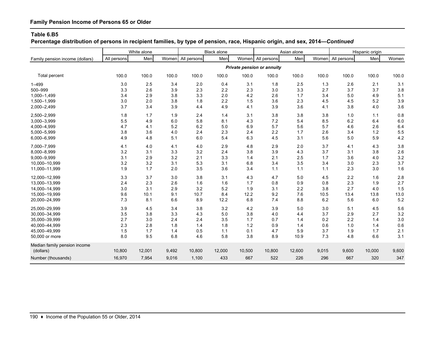# **Family Pension Income of Persons 65 or Older**

#### **Table 6.B5**

**Percentage distribution of persons in recipient families, by type of pension, race, Hispanic origin, and sex, 2014—***Continued*

|                                 |             | White alone |       | <b>Black alone</b> |        | Asian alone |                            |        | Hispanic origin |                   |        |       |
|---------------------------------|-------------|-------------|-------|--------------------|--------|-------------|----------------------------|--------|-----------------|-------------------|--------|-------|
| Family pension income (dollars) | All persons | Men         |       | Women All persons  | Men    |             | Women All persons          | Men    |                 | Women All persons | Men    | Women |
|                                 |             |             |       |                    |        |             | Private pension or annuity |        |                 |                   |        |       |
| Total percent                   | 100.0       | 100.0       | 100.0 | 100.0              | 100.0  | 100.0       | 100.0                      | 100.0  | 100.0           | 100.0             | 100.0  | 100.0 |
| $1 - 499$                       | 3.0         | 2.5         | 3.4   | 2.0                | 0.4    | 3.1         | 1.8                        | 2.5    | 1.3             | 2.6               | 2.1    | 3.1   |
| 500-999                         | 3.3         | 2.6         | 3.9   | 2.3                | 2.2    | 2.3         | 3.0                        | 3.3    | 2.7             | 3.7               | 3.7    | 3.8   |
| 1,000-1,499                     | 3.4         | 2.9         | 3.8   | 3.3                | 2.0    | 4.2         | 2.6                        | 1.7    | 3.4             | 5.0               | 4.9    | 5.1   |
| 1,500-1,999                     | 3.0         | 2.0         | 3.8   | 1.8                | 2.2    | 1.5         | 3.6                        | 2.3    | 4.5             | 4.5               | 5.2    | 3.9   |
| 2,000-2,499                     | 3.7         | 3.4         | 3.9   | 4.4                | 4.9    | 4.1         | 3.9                        | 3.6    | 4.1             | 3.8               | 4.0    | 3.6   |
| 2,500-2,999                     | 1.8         | 1.7         | 1.9   | 2.4                | 1.4    | 3.1         | 3.8                        | 3.8    | 3.8             | 1.0               | 1.1    | 0.8   |
| 3,000-3,999                     | 5.5         | 4.9         | 6.0   | 5.8                | 8.1    | 4.3         | 7.2                        | 5.4    | 8.5             | 6.2               | 6.4    | 6.0   |
| 4,000-4,999                     | 4.7         | 4.1         | 5.2   | 6.2                | 5.0    | 6.9         | 5.7                        | 5.6    | 5.7             | 4.6               | 2.6    | 6.4   |
| 5,000-5,999                     | 3.8         | 3.6         | 4.0   | 2.4                | 2.3    | 2.4         | 2.2                        | 1.7    | 2.6             | 3.4               | 1.2    | 5.5   |
| 6,000-6,999                     | 4.9         | 4.8         | 5.1   | 6.0                | 5.4    | 6.3         | 4.5                        | 3.1    | 5.6             | 5.0               | 5.9    | 4.2   |
| 7,000-7,999                     | 4.1         | 4.0         | 4.1   | 4.0                | 2.9    | 4.8         | 2.9                        | 2.0    | 3.7             | 4.1               | 4.3    | 3.8   |
| 8,000-8,999                     | 3.2         | 3.1         | 3.3   | 3.2                | 2.4    | 3.8         | 3.9                        | 4.3    | 3.7             | 3.1               | 3.8    | 2.6   |
| 9,000-9,999                     | 3.1         | 2.9         | 3.2   | 2.1                | 3.3    | 1.4         | 2.1                        | 2.5    | 1.7             | 3.6               | 4.0    | 3.2   |
| 10,000-10,999                   | 3.2         | 3.2         | 3.1   | 5.3                | 3.1    | 6.8         | 3.4                        | 3.5    | 3.4             | 3.0               | 2.3    | 3.7   |
| 11,000-11,999                   | 1.9         | 1.7         | 2.0   | 3.5                | 3.6    | 3.4         | 1.1                        | 1.1    | 1.1             | 2.3               | 3.0    | 1.6   |
| 12,000-12,999                   | 3.3         | 3.7         | 3.0   | 3.8                | 3.1    | 4.3         | 4.7                        | 5.0    | 4.5             | 2.2               | 1.6    | 2.8   |
| 13,000-13,999                   | 2.4         | 2.3         | 2.6   | 1.6                | 1.6    | 1.7         | 0.8                        | 0.9    | 0.8             | 2.3               | 1.9    | 2.7   |
| 14,000-14,999                   | 3.0         | 3.1         | 2.9   | 3.2                | 5.2    | 1.9         | 3.1                        | 2.2    | 3.8             | 2.7               | 4.0    | 1.5   |
| 15,000-19,999                   | 9.6         | 10.1        | 9.1   | 10.7               | 8.4    | 12.2        | 9.2                        | 7.6    | 10.5            | 13.4              | 13.8   | 13.0  |
| 20,000-24,999                   | 7.3         | 8.1         | 6.6   | 8.9                | 12.2   | 6.8         | 7.4                        | 8.8    | 6.2             | 5.6               | 6.0    | 5.2   |
| 25,000-29,999                   | 3.9         | 4.5         | 3.4   | 3.8                | 3.2    | 4.2         | 3.9                        | 5.0    | 3.0             | 5.1               | 4.5    | 5.6   |
| 30,000-34,999                   | 3.5         | 3.8         | 3.3   | 4.3                | 5.0    | 3.8         | 4.0                        | 4.4    | 3.7             | 2.9               | 2.7    | 3.2   |
| 35.000-39.999                   | 2.7         | 3.0         | 2.4   | 2.4                | 3.5    | 1.7         | 0.7                        | 1.4    | 0.2             | 2.2               | 1.4    | 3.0   |
| 40.000-44.999                   | 2.3         | 2.8         | 1.8   | 1.4                | 1.8    | $1.2$       | 0.9                        | 1.4    | 0.6             | 1.0               | 1.4    | 0.6   |
| 45,000-49,999                   | 1.5         | 1.7         | 1.4   | 0.5                | 1.1    | 0.1         | 4.7                        | 5.9    | 3.7             | 1.9               | 1.7    | 2.1   |
| 50,000 or more                  | 8.0         | 9.5         | 6.8   | 4.6                | 5.8    | 3.8         | 8.9                        | 10.9   | 7.3             | 4.8               | 6.6    | 3.1   |
| Median family pension income    |             |             |       |                    |        |             |                            |        |                 |                   |        |       |
| (dollars)                       | 10,800      | 12,001      | 9,492 | 10,800             | 12,000 | 10,500      | 10,800                     | 12,600 | 9,015           | 9,600             | 10,000 | 9,600 |
| Number (thousands)              | 16,970      | 7,954       | 9,016 | 1,100              | 433    | 667         | 522                        | 226    | 296             | 667               | 320    | 347   |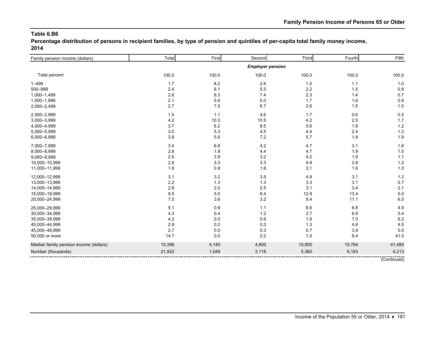**Percentage distribution of persons in recipient families, by type of pension and quintiles of per-capita total family money income, 2014**

| Family pension income (dollars)        | Total   | First | Second                  | Third  | Fourth | Fifth  |
|----------------------------------------|---------|-------|-------------------------|--------|--------|--------|
|                                        |         |       | <b>Employer pension</b> |        |        |        |
| Total percent                          | 100.0   | 100.0 | 100.0                   | 100.0  | 100.0  | 100.0  |
| $1 - 499$                              | 1.7     | 8.2   | 2.6                     | 1.5    | 1.1    | 1.0    |
| 500-999                                | 2.4     | 8.1   | 5.5                     | 2.2    | 1.5    | 0.8    |
| 1,000-1,499                            | 2.6     | 8.3   | 7.4                     | 2.3    | 1.4    | 0.7    |
| 1,500-1,999                            | 2.1     | 5.9   | 5.0                     | 1.7    | 1.6    | 0.9    |
| 2,000-2,499                            | 2.7     | 7.5   | 6.7                     | 2.6    | 1.5    | 1.0    |
| 2,500-2,999                            | 1.5     | 1.1   | 4.6                     | 1.7    | 0.6    | 0.5    |
| 3,000-3,999                            | 4.2     | 10.3  | 10.5                    | 4.2    | 2.5    | 1.7    |
| 4,000-4,999                            | 3.7     | 6.2   | 8.5                     | 5.6    | 1.6    | 1.2    |
| 5,000-5,999                            | 3.0     | 5.3   | 4.5                     | 4.4    | 2.4    | $1.3$  |
| 6,000-6,999                            | 3.8     | 5.6   | 7.2                     | 5.7    | 1.8    | 1.9    |
| 7,000-7,999                            | 3.4     | 6.8   | 4.2                     | 4.7    | 3.1    | 1.6    |
| 8,000-8,999                            | 2.8     | 1.8   | 4.4                     | 4.7    | 1.9    | 1.5    |
| 9,000-9,999                            | 2.5     | 3.9   | 3.2                     | 4.2    | 1.9    | 1.1    |
| 10,000-10,999                          | $2.9\,$ | 3.3   | 3.3                     | 4.9    | 2.8    | 1.2    |
| 11,000-11,999                          | 1.8     | 0.9   | 1.6                     | 3.1    | 1.6    | 1.0    |
| 12,000-12,999                          | 3.1     | 3.2   | 3.5                     | 4.9    | 3.1    | $1.2$  |
| 13,000-13,999                          | 2.2     | 1.3   | 1.3                     | 3.3    | 3.1    | 0.7    |
| 14,000-14,999                          | 2.8     | 2.0   | 2.5                     | 3.1    | 3.4    | 2.1    |
| 15,000-19,999                          | 9.5     | 5.0   | 6.4                     | 12.9   | 13.4   | 5.0    |
| 20,000-24,999                          | $7.5\,$ | 3.6   | 3.2                     | 8.4    | 11.1   | 6.0    |
| 25,000-29,999                          | 5.1     | 0.9   | 1.1                     | 6.6    | 6.8    | 4.8    |
| 30,000-34,999                          | 4.3     | 0.4   | 1.2                     | 2.7    | 6.9    | 5.4    |
| 35,000-39,999                          | 4.2     | 0.0   | 0.6                     | 1.6    | 7.0    | 6.2    |
| 40,000-44,999                          | 2.9     | 0.2   | 0.3                     | 1.3    | 4.6    | 4.5    |
| 45,000-49,999                          | 2.7     | 0.0   | 0.3                     | 0.7    | 3.9    | 5.0    |
| 50,000 or more                         | 14.7    | 0.0   | 0.2                     | 1.0    | 9.4    | 41.5   |
| Median family pension income (dollars) | 15,396  | 4,140 | 4,800                   | 10,800 | 19,764 | 41,480 |
| Number (thousands)                     | 21,922  | 1,049 | 3,116                   | 5,360  | 6,183  | 6,213  |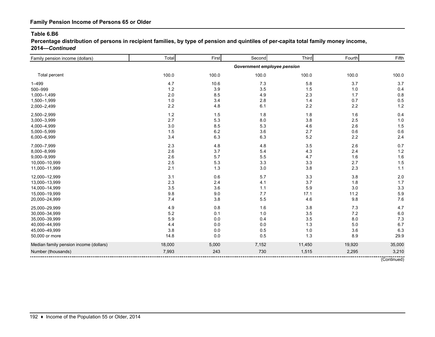**Percentage distribution of persons in recipient families, by type of pension and quintiles of per-capita total family money income, 2014—***Continued*

| Family pension income (dollars)        | Total   | First | Second                      | Third   | Fourth | Fifth  |
|----------------------------------------|---------|-------|-----------------------------|---------|--------|--------|
|                                        |         |       | Government employee pension |         |        |        |
| Total percent                          | 100.0   | 100.0 | 100.0                       | 100.0   | 100.0  | 100.0  |
| $1 - 499$                              | 4.7     | 10.6  | 7.3                         | 5.8     | 3.7    | 3.7    |
| 500-999                                | 1.2     | 3.9   | 3.5                         | 1.5     | 1.0    | 0.4    |
| 1,000-1,499                            | 2.0     | 8.5   | 4.9                         | 2.3     | 1.7    | 0.8    |
| 1,500-1,999                            | 1.0     | 3.4   | 2.8                         | 1.4     | 0.7    | 0.5    |
| 2,000-2,499                            | $2.2\,$ | 4.8   | 6.1                         | $2.2\,$ | 2.2    | 1.2    |
| 2,500-2,999                            | $1.2$   | 1.5   | 1.8                         | 1.8     | 1.6    | 0.4    |
| 3,000-3,999                            | 2.7     | 5.3   | 8.0                         | 3.8     | 2.5    | 1.0    |
| 4,000-4,999                            | 3.0     | 8.5   | 5.3                         | 4.6     | 2.6    | 1.5    |
| 5,000-5,999                            | 1.5     | 6.2   | 3.6                         | 2.7     | 0.6    | 0.6    |
| 6,000-6,999                            | 3.4     | 6.3   | 6.3                         | 5.2     | 2.2    | 2.4    |
| 7,000-7,999                            | 2.3     | 4.8   | 4.8                         | 3.5     | 2.6    | 0.7    |
| 8,000-8,999                            | 2.6     | 3.7   | 5.4                         | 4.3     | 2.4    | 1.2    |
| 9,000-9,999                            | 2.6     | 5.7   | 5.5                         | 4.7     | 1.6    | 1.6    |
| 10,000-10,999                          | 2.5     | 5.3   | 3.3                         | 3.3     | 2.7    | 1.5    |
| 11,000-11,999                          | 2.1     | 1.3   | 3.0                         | 3.8     | 2.3    | 1.1    |
| 12,000-12,999                          | 3.1     | 0.6   | 5.7                         | 3.3     | 3.8    | 2.0    |
| 13,000-13,999                          | $2.3\,$ | 2.4   | 4.1                         | 3.7     | 1.8    | 1.7    |
| 14,000-14,999                          | 3.5     | 3.6   | 1.1                         | 5.9     | 3.0    | 3.3    |
| 15,000-19,999                          | $9.8\,$ | 9.0   | 7.7                         | 17.1    | 11.2   | 5.9    |
| 20,000-24,999                          | 7.4     | 3.8   | 5.5                         | 4.6     | 9.8    | 7.6    |
| 25,000-29,999                          | 4.9     | 0.8   | 1.6                         | $3.8\,$ | 7.3    | 4.7    |
| 30,000-34,999                          | 5.2     | 0.1   | 1.0                         | 3.5     | 7.2    | 6.0    |
| 35,000-39,999                          | 5.9     | 0.0   | 0.4                         | 3.5     | 8.0    | 7.3    |
| 40,000-44,999                          | 4.4     | 0.0   | 0.0                         | 1.3     | 5.0    | 6.7    |
| 45,000-49,999                          | 3.8     | 0.0   | 0.5                         | 1.0     | 3.6    | 6.3    |
| 50,000 or more                         | 14.8    | 0.0   | 0.5                         | 1.3     | 8.9    | 29.9   |
| Median family pension income (dollars) | 18,000  | 5,000 | 7,152                       | 11,450  | 19,920 | 35,000 |
| Number (thousands)                     | 7,993   | 243   | 730                         | 1,515   | 2,295  | 3,210  |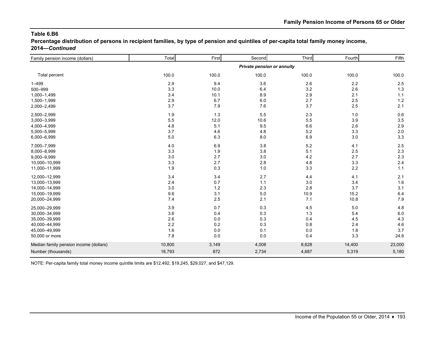**Percentage distribution of persons in recipient families, by type of pension and quintiles of per-capita total family money income, 2014—***Continued*

| Family pension income (dollars)        | Total  | First | Second                     | Third   | Fourth | Fifth  |
|----------------------------------------|--------|-------|----------------------------|---------|--------|--------|
|                                        |        |       | Private pension or annuity |         |        |        |
| Total percent                          | 100.0  | 100.0 | 100.0                      | 100.0   | 100.0  | 100.0  |
| $1 - 499$                              | 2.9    | 9.4   | 3.6                        | 2.6     | 2.2    | 2.5    |
| 500-999                                | 3.3    | 10.0  | 6.4                        | 3.2     | 2.6    | 1.3    |
| 1,000-1,499                            | 3.4    | 10.1  | 8.9                        | 2.9     | 2.1    | 1.1    |
| 1,500-1,999                            | 2.9    | 6.7   | 6.0                        | 2.7     | 2.5    | 1.2    |
| 2,000-2,499                            | 3.7    | 7.9   | 7.6                        | 3.7     | 2.5    | 2.1    |
| 2,500-2,999                            | 1.9    | 1.3   | 5.5                        | 2.3     | 1.0    | 0.6    |
| 3,000-3,999                            | 5.5    | 12.0  | 10.6                       | 5.5     | 3.9    | 3.5    |
| 4,000-4,999                            | 4.8    | 5.1   | 9.5                        | 6.6     | 2.6    | 2.9    |
| 5,000-5,999                            | 3.7    | 4.6   | 4.8                        | 5.2     | 3.3    | 2.0    |
| 6,000-6,999                            | 5.0    | 6.3   | 8.0                        | 6.9     | 3.0    | 3.3    |
| 7,000-7,999                            | 4.0    | 6.9   | 3.8                        | 5.2     | 4.1    | 2.5    |
| 8,000-8,999                            | 3.3    | 1.9   | 3.8                        | 5.1     | 2.5    | 2.3    |
| 9,000-9,999                            | 3.0    | 2.7   | 3.0                        | 4.2     | 2.7    | 2.3    |
| 10,000-10,999                          | 3.3    | 2.7   | 2.8                        | 4.8     | 3.3    | 2.4    |
| 11,000-11,999                          | 1.9    | 0.3   | 1.0                        | 3.3     | 2.2    | 1.1    |
| 12,000-12,999                          | 3.4    | 3.4   | 2.7                        | 4.4     | 4.1    | 2.1    |
| 13,000-13,999                          | 2.4    | 0.7   | 1.1                        | 3.0     | 3.4    | 1.6    |
| 14,000-14,999                          | 3.0    | 1.2   | 2.3                        | 2.8     | 3.7    | 3.1    |
| 15,000-19,999                          | 9.6    | 3.1   | 5.0                        | 10.9    | 15.2   | 6.4    |
| 20,000-24,999                          | 7.4    | 2.5   | 2.1                        | 7.1     | 10.8   | 7.9    |
| 25,000-29,999                          | 3.9    | 0.7   | 0.3                        | 4.5     | 5.0    | 4.8    |
| 30,000-34,999                          | 3.6    | 0.4   | 0.3                        | 1.3     | 5.4    | 6.0    |
| 35,000-39,999                          | 2.6    | 0.0   | 0.3                        | 0.4     | 4.5    | 4.3    |
| 40,000-44,999                          | 2.2    | 0.2   | 0.3                        | $0.8\,$ | 2.4    | 4.6    |
| 45,000-49,999                          | 1.6    | 0.0   | 0.1                        | $0.0\,$ | 1.8    | 3.7    |
| 50,000 or more                         | 7.8    | 0.0   | 0.0                        | 0.4     | 3.3    | 24.6   |
| Median family pension income (dollars) | 10,800 | 3,149 | 4,008                      | 8,628   | 14,400 | 23,000 |
| Number (thousands)                     | 18,793 | 872   | 2,734                      | 4,687   | 5,319  | 5,180  |
|                                        |        |       |                            |         |        |        |

NOTE: Per-capita family total money income quintile limits are \$12,492, \$19,245, \$29,027, and \$47,129.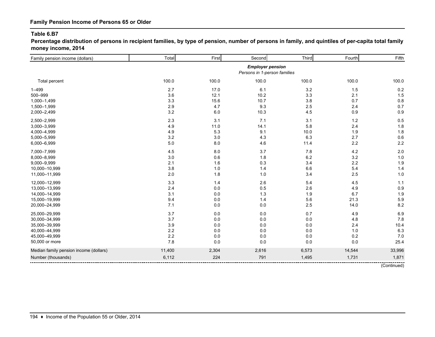**Percentage distribution of persons in recipient families, by type of pension, number of persons in family, and quintiles of per-capita total family money income, 2014**

| Family pension income (dollars)        | Total  | First | Second                                                  | Third   | Fourth | Fifth       |
|----------------------------------------|--------|-------|---------------------------------------------------------|---------|--------|-------------|
|                                        |        |       | <b>Employer pension</b><br>Persons in 1-person families |         |        |             |
| Total percent                          | 100.0  | 100.0 | 100.0                                                   | 100.0   | 100.0  | 100.0       |
| $1 - 499$                              | 2.7    | 17.0  | 6.1                                                     | 3.2     | 1.5    | 0.2         |
| 500-999                                | 3.6    | 12.1  | 10.2                                                    | 3.3     | 2.1    | 1.5         |
| 1,000-1,499                            | 3.3    | 15.6  | 10.7                                                    | 3.8     | 0.7    | 0.8         |
| 1,500-1,999                            | 2.9    | 4.7   | 9.3                                                     | 2.5     | 2.4    | 0.7         |
| 2,000-2,499                            | 3.2    | 6.0   | 10.3                                                    | 4.5     | 0.9    | 0.9         |
| 2,500-2,999                            | 2.3    | 3.1   | 7.1                                                     | 3.1     | 1.2    | 0.5         |
| 3,000-3,999                            | 4.9    | 11.0  | 14.1                                                    | 5.8     | 2.4    | 1.8         |
| 4,000-4,999                            | 4.9    | 5.3   | 9.1                                                     | 10.0    | 1.9    | 1.8         |
| 5,000-5,999                            | 3.2    | 3.0   | 4.3                                                     | 6.3     | 2.7    | 0.6         |
| 6,000-6,999                            | 5.0    | 8.0   | 4.6                                                     | 11.4    | 2.2    | 2.2         |
| 7,000-7,999                            | 4.5    | 8.0   | 3.7                                                     | 7.8     | 4.2    | 2.0         |
| 8,000-8,999                            | 3.0    | 0.6   | 1.8                                                     | 6.2     | 3.2    | 1.0         |
| 9,000-9,999                            | 2.1    | 1.6   | 0.3                                                     | 3.4     | 2.2    | 1.9         |
| 10,000-10,999                          | 3.8    | 1.0   | 1.4                                                     | 6.6     | 5.4    | 1.4         |
| 11,000-11,999                          | 2.0    | 1.8   | 1.0                                                     | 3.4     | 2.5    | 1.0         |
| 12,000-12,999                          | 3.3    | 1.4   | 2.6                                                     | 5.4     | 4.5    | 1.1         |
| 13,000-13,999                          | 2.4    | 0.0   | 0.5                                                     | 2.6     | 4.9    | 0.9         |
| 14,000-14,999                          | 3.1    | 0.0   | 1.3                                                     | 1.9     | 6.7    | 1.9         |
| 15,000-19,999                          | 9.4    | 0.0   | 1.4                                                     | 5.6     | 21.3   | 5.9         |
| 20,000-24,999                          | 7.1    | 0.0   | 0.0                                                     | 2.5     | 14.0   | 8.2         |
| 25,000-29,999                          | 3.7    | 0.0   | 0.0                                                     | 0.7     | 4.9    | 6.9         |
| 30,000-34,999                          | 3.7    | 0.0   | 0.0                                                     | $0.0\,$ | 4.8    | 7.8         |
| 35,000-39,999                          | 3.9    | 0.0   | 0.0                                                     | $0.0\,$ | 2.4    | 10.4        |
| 40,000-44,999                          | 2.2    | 0.0   | 0.0                                                     | $0.0\,$ | 1.0    | 6.3         |
| 45,000-49,999                          | 2.2    | 0.0   | 0.0                                                     | $0.0\,$ | 0.2    | 7.0         |
| 50,000 or more                         | 7.8    | 0.0   | 0.0                                                     | 0.0     | 0.0    | 25.4        |
| Median family pension income (dollars) | 11,400 | 2,304 | 2,616                                                   | 6,573   | 14,544 | 33,996      |
| Number (thousands)                     | 6,112  | 224   | 791                                                     | 1,495   | 1,731  | 1,871       |
|                                        |        |       |                                                         |         |        | (Continued) |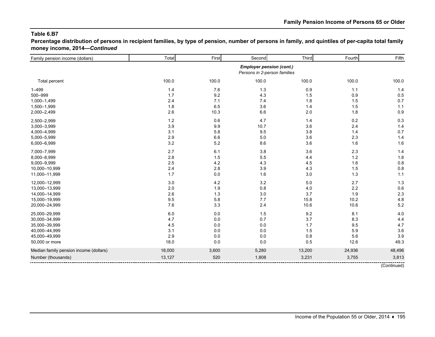**Percentage distribution of persons in recipient families, by type of pension, number of persons in family, and quintiles of per-capita total family money income, 2014—***Continued*

| Family pension income (dollars)        | Total  | First | Second                                                          | Third   | Fourth | Fifth  |
|----------------------------------------|--------|-------|-----------------------------------------------------------------|---------|--------|--------|
|                                        |        |       | <b>Employer pension (cont.)</b><br>Persons in 2-person families |         |        |        |
| Total percent                          | 100.0  | 100.0 | 100.0                                                           | 100.0   | 100.0  | 100.0  |
| $1 - 499$                              | 1.4    | 7.6   | 1.3                                                             | 0.9     | $1.1$  | 1.4    |
| 500-999                                | 1.7    | 9.2   | 4.3                                                             | 1.5     | 0.9    | 0.5    |
| 1,000-1,499                            | 2.4    | 7.1   | 7.4                                                             | 1.8     | 1.5    | 0.7    |
| 1,500-1,999                            | 1.8    | 6.5   | 3.6                                                             | 1.4     | 1.5    | 1.1    |
| 2,000-2,499                            | 2.6    | 10.3  | 6.6                                                             | 2.0     | 1.8    | 0.9    |
| 2,500-2,999                            | $1.2$  | 0.6   | 4.7                                                             | 1.4     | 0.2    | 0.3    |
| 3,000-3,999                            | 3.9    | 9.9   | 10.7                                                            | 3.6     | 2.4    | 1.4    |
| 4,000-4,999                            | 3.1    | 5.8   | 9.5                                                             | 3.8     | 1.4    | 0.7    |
| 5,000-5,999                            | 2.9    | 6.6   | $5.0\,$                                                         | 3.6     | 2.3    | 1.4    |
| 6,000-6,999                            | 3.2    | 5.2   | 8.6                                                             | 3.6     | 1.6    | 1.6    |
| 7,000-7,999                            | 2.7    | 6.1   | 3.8                                                             | 3.6     | 2.3    | 1.4    |
| 8,000-8,999                            | 2.8    | 1.5   | 5.5                                                             | 4.4     | $1.2$  | 1.8    |
| 9,000-9,999                            | 2.5    | 4.2   | 4.3                                                             | 4.5     | 1.6    | 0.8    |
| 10,000-10,999                          | 2.4    | 2.8   | 3.9                                                             | 4.3     | 1.5    | 0.8    |
| 11,000-11,999                          | 1.7    | 0.0   | 1.6                                                             | 3.0     | 1.3    | 1.1    |
| 12,000-12,999                          | 3.0    | 4.2   | 3.2                                                             | $5.0\,$ | 2.7    | 1.3    |
| 13,000-13,999                          | 2.0    | 1.9   | 0.8                                                             | $4.0\,$ | 2.2    | 0.6    |
| 14,000-14,999                          | 2.6    | 1.3   | 3.0                                                             | 3.7     | 1.9    | 2.3    |
| 15,000-19,999                          | 9.5    | 5.8   | 7.7                                                             | 15.8    | 10.2   | 4.8    |
| 20,000-24,999                          | 7.6    | 3.3   | 2.4                                                             | 10.6    | 10.6   | 5.2    |
| 25,000-29,999                          | 6.0    | 0.0   | 1.5                                                             | 9.2     | 8.1    | 4.0    |
| 30,000-34,999                          | 4.7    | 0.0   | 0.7                                                             | 3.7     | 8.3    | 4.4    |
| 35,000-39,999                          | 4.5    | 0.0   | $0.0\,$                                                         | 1.7     | 9.5    | 4.7    |
| 40,000-44,999                          | 3.1    | 0.0   | 0.0                                                             | 1.5     | 5.9    | 3.6    |
| 45,000-49,999                          | 2.9    | 0.0   | 0.0                                                             | $0.8\,$ | 5.6    | 3.9    |
| 50,000 or more                         | 18.0   | 0.0   | 0.0                                                             | 0.5     | 12.6   | 49.3   |
| Median family pension income (dollars) | 18,000 | 3,600 | 5,280                                                           | 13,200  | 24,936 | 48,496 |
| Number (thousands)                     | 13,127 | 520   | 1,808                                                           | 3,231   | 3,755  | 3,813  |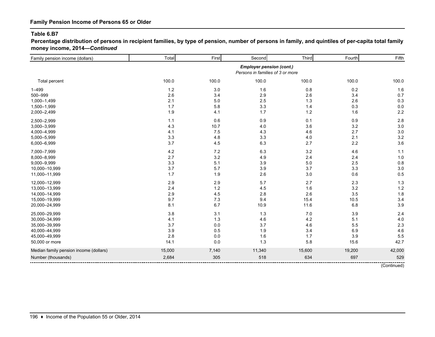**Percentage distribution of persons in recipient families, by type of pension, number of persons in family, and quintiles of per-capita total family money income, 2014—***Continued*

| Family pension income (dollars)        | Total  | First | Second                                                              | Third   | Fourth | Fifth       |
|----------------------------------------|--------|-------|---------------------------------------------------------------------|---------|--------|-------------|
|                                        |        |       | <b>Employer pension (cont.)</b><br>Persons in families of 3 or more |         |        |             |
| Total percent                          | 100.0  | 100.0 | 100.0                                                               | 100.0   | 100.0  | 100.0       |
| $1 - 499$                              | $1.2$  | 3.0   | 1.6                                                                 | 0.8     | 0.2    | 1.6         |
| 500-999                                | 2.6    | 3.4   | 2.9                                                                 | 2.6     | 3.4    | 0.7         |
| 1,000-1,499                            | 2.1    | 5.0   | 2.5                                                                 | 1.3     | 2.6    | 0.3         |
| 1,500-1,999                            | 1.7    | 5.8   | 3.3                                                                 | 1.4     | 0.3    | 0.0         |
| 2,000-2,499                            | 1.9    | 4.1   | 1.7                                                                 | $1.2$   | 1.6    | 2.2         |
| 2,500-2,999                            | $1.1$  | 0.6   | 0.9                                                                 | 0.1     | 0.9    | 2.8         |
| 3,000-3,999                            | 4.3    | 10.7  | 4.0                                                                 | 3.6     | 3.2    | 3.0         |
| 4,000-4,999                            | 4.1    | 7.5   | 4.3                                                                 | 4.6     | 2.7    | 3.0         |
| 5,000-5,999                            | 3.3    | 4.8   | 3.3                                                                 | 4.0     | 2.1    | 3.2         |
| 6,000-6,999                            | 3.7    | 4.5   | 6.3                                                                 | 2.7     | 2.2    | 3.6         |
| 7,000-7,999                            | 4.2    | 7.2   | 6.3                                                                 | 3.2     | 4.6    | 1.1         |
| 8,000-8,999                            | 2.7    | 3.2   | 4.9                                                                 | 2.4     | 2.4    | 1.0         |
| 9,000-9,999                            | 3.3    | 5.1   | 3.9                                                                 | 5.0     | 2.5    | 0.8         |
| 10,000-10,999                          | 3.7    | 5.7   | 3.9                                                                 | 3.7     | 3.3    | 3.0         |
| 11,000-11,999                          | 1.7    | 1.9   | 2.6                                                                 | $3.0\,$ | 0.6    | 0.5         |
| 12,000-12,999                          | 2.9    | 2.9   | 5.7                                                                 | 2.7     | 2.3    | 1.3         |
| 13,000-13,999                          | 2.4    | 1.2   | 4.5                                                                 | 1.6     | 3.2    | 1.2         |
| 14,000-14,999                          | 2.9    | 4.5   | 2.8                                                                 | 2.6     | 3.5    | 1.8         |
| 15,000-19,999                          | 9.7    | 7.3   | 9.4                                                                 | 15.4    | 10.5   | 3.4         |
| 20,000-24,999                          | 8.1    | 6.7   | 10.9                                                                | 11.6    | 6.8    | 3.9         |
| 25,000-29,999                          | 3.8    | 3.1   | 1.3                                                                 | 7.0     | 3.9    | 2.4         |
| 30,000-34,999                          | 4.1    | 1.3   | 4.6                                                                 | 4.2     | 5.1    | 4.0         |
| 35,000-39,999                          | 3.7    | 0.0   | 3.7                                                                 | 4.6     | 5.5    | 2.3         |
| 40,000-44,999                          | 3.9    | 0.5   | 1.9                                                                 | 3.4     | 6.9    | 4.6         |
| 45,000-49,999                          | 2.8    | 0.0   | 1.6                                                                 | 1.7     | 3.9    | 5.5         |
| 50,000 or more                         | 14.1   | 0.0   | 1.3                                                                 | 5.8     | 15.6   | 42.7        |
| Median family pension income (dollars) | 15,000 | 7,140 | 11,340                                                              | 15,600  | 19,200 | 42,000      |
| Number (thousands)                     | 2,684  | 305   | 518                                                                 | 634     | 697    | 529         |
|                                        |        |       |                                                                     |         |        | (Continued) |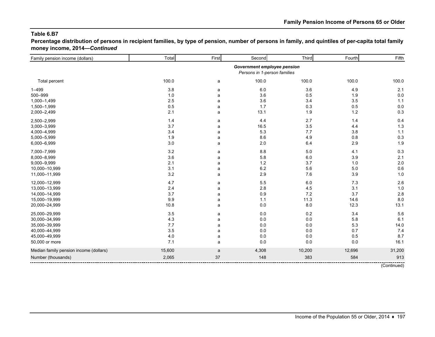**Percentage distribution of persons in recipient families, by type of pension, number of persons in family, and quintiles of per-capita total family money income, 2014—***Continued*

| Family pension income (dollars)        | Total                                                       | First | Second  | Third   | Fourth  | Fifth  |
|----------------------------------------|-------------------------------------------------------------|-------|---------|---------|---------|--------|
|                                        | Government employee pension<br>Persons in 1-person families |       |         |         |         |        |
| Total percent                          | 100.0                                                       | a     | 100.0   | 100.0   | 100.0   | 100.0  |
| $1 - 499$                              | 3.8                                                         | a     | 6.0     | 3.6     | 4.9     | 2.1    |
| 500-999                                | 1.0                                                         | a     | 3.6     | 0.5     | 1.9     | 0.0    |
| 1,000-1,499                            | 2.5                                                         | a     | 3.6     | 3.4     | 3.5     | 1.1    |
| 1,500-1,999                            | 0.5                                                         | a     | 1.7     | 0.3     | 0.5     | 0.0    |
| 2,000-2,499                            | 2.1                                                         | a     | 13.1    | 1.9     | $1.2$   | 0.3    |
| 2,500-2,999                            | 1.4                                                         | a     | 4.4     | 2.7     | 1.4     | 0.4    |
| 3,000-3,999                            | 3.7                                                         | a     | 16.5    | 3.5     | 4.4     | 1.3    |
| 4,000-4,999                            | 3.4                                                         | a     | 5.3     | 7.7     | 3.8     | 1.1    |
| 5,000-5,999                            | 1.9                                                         | a     | 8.6     | 4.9     | 0.8     | 0.3    |
| 6,000-6,999                            | 3.0                                                         | a     | 2.0     | 6.4     | 2.9     | 1.9    |
| 7,000-7,999                            | 3.2                                                         | a     | 8.8     | 5.0     | 4.1     | 0.3    |
| 8,000-8,999                            | 3.6                                                         | a     | 5.8     | 6.0     | 3.9     | 2.1    |
| 9,000-9,999                            | 2.1                                                         | a     | $1.2$   | 3.7     | $1.0$   | 2.0    |
| 10,000-10,999                          | 3.1                                                         | a     | $6.2\,$ | 5.6     | $5.0\,$ | 0.6    |
| 11,000-11,999                          | 3.2                                                         | a     | 2.9     | 7.6     | 3.9     | 1.0    |
| 12,000-12,999                          | 4.7                                                         | a     | 5.5     | $6.0\,$ | 7.3     | 2.6    |
| 13,000-13,999                          | 2.4                                                         | a     | 2.8     | 4.5     | 3.1     | 1.0    |
| 14,000-14,999                          | 3.7                                                         | a     | 0.9     | 7.2     | 3.7     | 2.8    |
| 15,000-19,999                          | 9.9                                                         | a     | 1.1     | 11.3    | 14.6    | 8.0    |
| 20,000-24,999                          | 10.8                                                        | a     | 0.0     | 8.0     | 12.3    | 13.1   |
| 25,000-29,999                          | 3.5                                                         | a     | 0.0     | 0.2     | 3.4     | 5.6    |
| 30,000-34,999                          | 4.3                                                         | a     | 0.0     | $0.0\,$ | 5.8     | 6.1    |
| 35,000-39,999                          | 7.7                                                         | a     | 0.0     | $0.0\,$ | 5.3     | 14.0   |
| 40,000-44,999                          | 3.5                                                         | a     | 0.0     | 0.0     | 0.7     | 7.4    |
| 45,000-49,999                          | $4.0$                                                       | a     | 0.0     | 0.0     | 0.5     | 8.7    |
| 50,000 or more                         | 7.1                                                         | a     | 0.0     | $0.0\,$ | 0.0     | 16.1   |
| Median family pension income (dollars) | 15,600                                                      | a     | 4,308   | 10,200  | 12,696  | 31,200 |
| Number (thousands)                     | 2,065                                                       | 37    | 148     | 383     | 584     | 913    |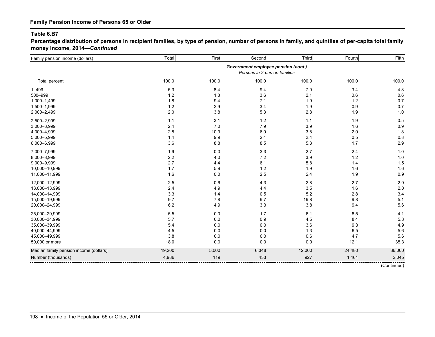**Percentage distribution of persons in recipient families, by type of pension, number of persons in family, and quintiles of per-capita total family money income, 2014—***Continued*

| Family pension income (dollars)        | Total   | First | Second                                                              | Third  | Fourth | Fifth       |
|----------------------------------------|---------|-------|---------------------------------------------------------------------|--------|--------|-------------|
|                                        |         |       | Government employee pension (cont.)<br>Persons in 2-person families |        |        |             |
| Total percent                          | 100.0   | 100.0 | 100.0                                                               | 100.0  | 100.0  | 100.0       |
| $1 - 499$                              | $5.3\,$ | 8.4   | 9.4                                                                 | 7.0    | 3.4    | 4.8         |
| 500-999                                | $1.2$   | 1.8   | 3.6                                                                 | 2.1    | 0.6    | 0.6         |
| 1,000-1,499                            | $1.8$   | 9.4   | 7.1                                                                 | 1.9    | 1.2    | 0.7         |
| 1,500-1,999                            | $1.2$   | 2.9   | 3.4                                                                 | 1.9    | 0.9    | 0.7         |
| 2,000-2,499                            | 2.0     | 3.8   | 5.3                                                                 | 2.8    | 1.9    | 1.0         |
| 2,500-2,999                            | 1.1     | 3.1   | 1.2                                                                 | 1.1    | 1.9    | 0.5         |
| 3,000-3,999                            | 2.4     | 7.0   | 7.9                                                                 | 3.9    | 1.6    | 0.9         |
| 4,000-4,999                            | 2.8     | 10.9  | 6.0                                                                 | 3.8    | 2.0    | 1.8         |
| 5,000-5,999                            | 1.4     | 9.9   | 2.4                                                                 | 2.4    | 0.5    | 0.8         |
| 6,000-6,999                            | 3.6     | 8.8   | 8.5                                                                 | 5.3    | 1.7    | 2.9         |
| 7,000-7,999                            | 1.9     | 0.0   | 3.3                                                                 | 2.7    | 2.4    | 1.0         |
| 8,000-8,999                            | $2.2\,$ | 4.0   | 7.2                                                                 | 3.9    | 1.2    | 1.0         |
| 9,000-9,999                            | 2.7     | 4.4   | 6.1                                                                 | 5.8    | 1.4    | 1.5         |
| 10,000-10,999                          | 1.7     | 5.9   | $1.2$                                                               | 1.9    | 1.6    | 1.6         |
| 11,000-11,999                          | 1.6     | 0.0   | 2.5                                                                 | 2.4    | 1.9    | 0.9         |
| 12,000-12,999                          | 2.5     | 0.6   | 4.3                                                                 | 2.8    | 2.7    | 2.0         |
| 13,000-13,999                          | 2.4     | 4.9   | 4.4                                                                 | 3.5    | 1.6    | 2.0         |
| 14,000-14,999                          | 3.3     | 1.4   | 0.5                                                                 | 5.2    | 2.8    | 3.4         |
| 15,000-19,999                          | 9.7     | 7.8   | 9.7                                                                 | 19.8   | 9.8    | 5.1         |
| 20,000-24,999                          | $6.2\,$ | 4.9   | 3.3                                                                 | 3.8    | 9.4    | 5.6         |
| 25,000-29,999                          | 5.5     | 0.0   | 1.7                                                                 | 6.1    | 8.5    | 4.1         |
| 30,000-34,999                          | 5.7     | 0.0   | 0.9                                                                 | 4.5    | 8.4    | 5.8         |
| 35,000-39,999                          | 5.4     | 0.0   | 0.0                                                                 | 3.6    | 9.3    | 4.9         |
| 40,000-44,999                          | 4.5     | 0.0   | 0.0                                                                 | 1.3    | 6.5    | 5.6         |
| 45,000-49,999                          | 3.8     | 0.0   | 0.0                                                                 | 0.6    | 4.7    | 5.6         |
| 50,000 or more                         | 18.0    | 0.0   | 0.0                                                                 | 0.0    | 12.1   | 35.3        |
| Median family pension income (dollars) | 19,200  | 5,000 | 6,348                                                               | 12,000 | 24,480 | 36,000      |
| Number (thousands)                     | 4,986   | 119   | 433                                                                 | 927    | 1,461  | 2,045       |
|                                        |         |       |                                                                     |        |        | (Continued) |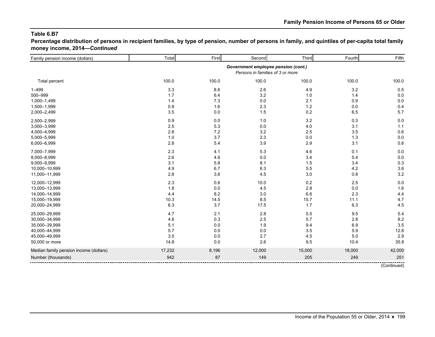**Percentage distribution of persons in recipient families, by type of pension, number of persons in family, and quintiles of per-capita total family money income, 2014—***Continued*

| Family pension income (dollars)        | Total                                                                   | First | Second | Third   | Fourth | Fifth  |
|----------------------------------------|-------------------------------------------------------------------------|-------|--------|---------|--------|--------|
|                                        | Government employee pension (cont.)<br>Persons in families of 3 or more |       |        |         |        |        |
| Total percent                          | 100.0                                                                   | 100.0 | 100.0  | 100.0   | 100.0  | 100.0  |
| $1 - 499$                              | 3.3                                                                     | 8.6   | 2.6    | 4.9     | 3.2    | 0.5    |
| 500-999                                | 1.7                                                                     | 6.4   | 3.2    | 1.0     | 1.4    | 0.0    |
| 1,000-1,499                            | 1.4                                                                     | 7.3   | 0.0    | 2.1     | 0.9    | 0.0    |
| 1,500-1,999                            | 0.9                                                                     | 1.6   | 2.3    | $1.2$   | 0.0    | 0.4    |
| 2,000-2,499                            | 3.5                                                                     | 0.0   | 1.5    | $0.2\,$ | 6.5    | 5.7    |
| 2,500-2,999                            | 0.9                                                                     | 0.0   | 1.0    | 3.2     | 0.3    | 0.0    |
| 3,000-3,999                            | 2.5                                                                     | 5.3   | 0.0    | 4.0     | 3.1    | 1.1    |
| 4,000-4,999                            | 2.8                                                                     | 7.2   | 3.2    | 2.5     | 3.5    | 0.6    |
| 5,000-5,999                            | 1.0                                                                     | 3.7   | 2.3    | 0.0     | 1.3    | 0.0    |
| 6,000-6,999                            | 2.8                                                                     | 5.4   | 3.9    | 2.9     | 3.1    | 0.8    |
| 7,000-7,999                            | 2.3                                                                     | 4.1   | 5.3    | 4.6     | 0.1    | 0.0    |
| 8,000-8,999                            | 2.6                                                                     | 4.8   | 0.0    | 3.4     | 5.4    | 0.0    |
| 9,000-9,999                            | 3.1                                                                     | 5.8   | 8.1    | 1.5     | 3.4    | 0.3    |
| 10,000-10,999                          | 4.9                                                                     | 6.7   | 6.3    | 5.5     | 4.2    | 3.6    |
| 11,000-11,999                          | 2.8                                                                     | 3.6   | 4.5    | 3.0     | 0.8    | 3.2    |
| 12,000-12,999                          | 2.3                                                                     | 0.8   | 10.0   | 0.2     | 2.5    | 0.0    |
| 13,000-13,999                          | 1.8                                                                     | 0.0   | 4.5    | 2.8     | 0.0    | 1.6    |
| 14,000-14,999                          | 4.4                                                                     | 8.2   | 3.0    | 6.6     | 2.3    | 4.4    |
| 15,000-19,999                          | 10.3                                                                    | 14.5  | 8.5    | 15.7    | 11.1   | 4.7    |
| 20,000-24,999                          | 6.3                                                                     | 3.7   | 17.5   | 1.7     | 6.3    | 4.5    |
| 25,000-29,999                          | 4.7                                                                     | 2.1   | 2.8    | 0.5     | 9.5    | 5.4    |
| 30,000-34,999                          | 4.6                                                                     | 0.3   | 2.5    | 5.7     | 2.8    | 8.2    |
| 35,000-39,999                          | 5.1                                                                     | 0.0   | 1.9    | 9.4     | 6.9    | 3.5    |
| 40,000-44,999                          | 5.7                                                                     | 0.0   | 0.0    | 3.5     | 5.9    | 12.8   |
| 45,000-49,999                          | 3.5                                                                     | 0.0   | 2.7    | 4.5     | 5.0    | 2.9    |
| 50,000 or more                         | 14.8                                                                    | 0.0   | 2.6    | 9.5     | 10.4   | 35.8   |
| Median family pension income (dollars) | 17,232                                                                  | 8,196 | 12,000 | 15,000  | 18,000 | 42,000 |
| Number (thousands)                     | 942                                                                     | 87    | 149    | 205     | 249    | 251    |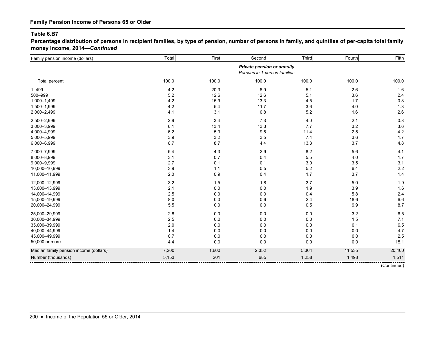**Percentage distribution of persons in recipient families, by type of pension, number of persons in family, and quintiles of per-capita total family money income, 2014—***Continued*

| Family pension income (dollars)        | Total   | First | Second                                                            | Third   | Fourth | Fifth       |
|----------------------------------------|---------|-------|-------------------------------------------------------------------|---------|--------|-------------|
|                                        |         |       | <b>Private pension or annuity</b><br>Persons in 1-person families |         |        |             |
| Total percent                          | 100.0   | 100.0 | 100.0                                                             | 100.0   | 100.0  | 100.0       |
| $1 - 499$                              | 4.2     | 20.3  | 6.9                                                               | 5.1     | 2.6    | 1.6         |
| 500-999                                | 5.2     | 12.6  | 12.6                                                              | 5.1     | 3.6    | 2.4         |
| 1,000-1,499                            | 4.2     | 15.9  | 13.3                                                              | 4.5     | 1.7    | 0.8         |
| 1,500-1,999                            | 4.2     | 5.4   | 11.7                                                              | 3.6     | 4.0    | 1.3         |
| 2,000-2,499                            | 4.1     | 3.1   | 10.8                                                              | 5.2     | 1.6    | 2.6         |
| 2,500-2,999                            | 2.9     | 3.4   | 7.3                                                               | 4.0     | 2.1    | 0.8         |
| 3,000-3,999                            | 6.1     | 13.4  | 13.3                                                              | 7.7     | 3.2    | 3.6         |
| 4,000-4,999                            | 6.2     | 5.3   | 9.5                                                               | 11.4    | 2.5    | 4.2         |
| 5,000-5,999                            | 3.9     | 3.2   | 3.5                                                               | 7.4     | 3.6    | 1.7         |
| 6,000-6,999                            | 6.7     | 8.7   | 4.4                                                               | 13.3    | 3.7    | 4.8         |
| 7,000-7,999                            | 5.4     | 4.3   | 2.9                                                               | 8.2     | 5.6    | 4.1         |
| 8,000-8,999                            | 3.1     | 0.7   | 0.4                                                               | 5.5     | 4.0    | 1.7         |
| 9,000-9,999                            | 2.7     | 0.1   | 0.1                                                               | $3.0\,$ | 3.5    | 3.1         |
| 10,000-10,999                          | 3.9     | 1.1   | 0.5                                                               | 5.2     | 6.4    | 2.2         |
| 11,000-11,999                          | 2.0     | 0.9   | 0.4                                                               | 1.7     | 3.7    | 1.4         |
| 12,000-12,999                          | 3.2     | 1.5   | 1.8                                                               | 3.7     | 5.0    | 1.9         |
| 13,000-13,999                          | 2.1     | 0.0   | 0.0                                                               | 1.9     | 3.9    | 1.6         |
| 14,000-14,999                          | $2.5\,$ | 0.0   | 0.0                                                               | 0.4     | 5.8    | 2.4         |
| 15,000-19,999                          | 8.0     | 0.0   | 0.6                                                               | 2.4     | 18.6   | $6.6\,$     |
| 20,000-24,999                          | 5.5     | 0.0   | 0.0                                                               | 0.5     | 9.9    | 8.7         |
| 25,000-29,999                          | 2.8     | 0.0   | 0.0                                                               | $0.0\,$ | 3.2    | 6.5         |
| 30,000-34,999                          | 2.5     | 0.0   | 0.0                                                               | $0.0\,$ | 1.5    | 7.1         |
| 35,000-39,999                          | 2.0     | 0.0   | 0.0                                                               | $0.0\,$ | 0.1    | 6.5         |
| 40,000-44,999                          | 1.4     | 0.0   | 0.0                                                               | $0.0\,$ | 0.0    | 4.7         |
| 45,000-49,999                          | 0.7     | 0.0   | 0.0                                                               | $0.0\,$ | 0.0    | 2.5         |
| 50,000 or more                         | 4.4     | 0.0   | 0.0                                                               | 0.0     | 0.0    | 15.1        |
| Median family pension income (dollars) | 7,200   | 1,600 | 2,352                                                             | 5,304   | 11,535 | 20,400      |
| Number (thousands)                     | 5,153   | 201   | 685                                                               | 1,258   | 1,498  | 1,511       |
|                                        |         |       |                                                                   |         |        | (Continued) |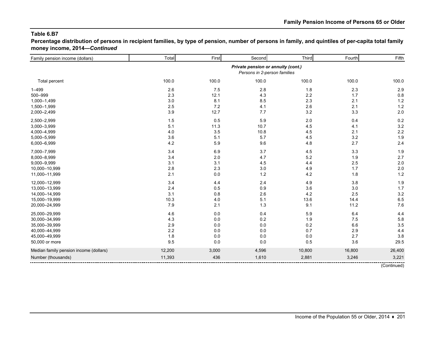**Percentage distribution of persons in recipient families, by type of pension, number of persons in family, and quintiles of per-capita total family money income, 2014—***Continued*

| Family pension income (dollars)        | Total                                                              | First | Second | Third  | Fourth  | Fifth  |
|----------------------------------------|--------------------------------------------------------------------|-------|--------|--------|---------|--------|
|                                        | Private pension or annuity (cont.)<br>Persons in 2-person families |       |        |        |         |        |
| Total percent                          | 100.0                                                              | 100.0 | 100.0  | 100.0  | 100.0   | 100.0  |
| $1 - 499$                              | 2.6                                                                | 7.5   | 2.8    | 1.8    | 2.3     | 2.9    |
| 500-999                                | 2.3                                                                | 12.1  | 4.3    | 2.2    | 1.7     | 0.8    |
| 1,000-1,499                            | 3.0                                                                | 8.1   | 8.5    | 2.3    | 2.1     | $1.2$  |
| 1,500-1,999                            | 2.5                                                                | $7.2$ | 4.1    | 2.6    | 2.1     | $1.2$  |
| 2,000-2,499                            | 3.9                                                                | 12.7  | 7.7    | 3.2    | 3.3     | 2.0    |
| 2,500-2,999                            | 1.5                                                                | 0.5   | 5.9    | 2.0    | 0.4     | 0.2    |
| 3,000-3,999                            | 5.1                                                                | 11.3  | 10.7   | 4.5    | 4.1     | 3.2    |
| 4,000-4,999                            | 4.0                                                                | 3.5   | 10.8   | 4.5    | 2.1     | 2.2    |
| 5,000-5,999                            | 3.6                                                                | 5.1   | 5.7    | 4.5    | $3.2\,$ | 1.9    |
| 6,000-6,999                            | 4.2                                                                | 5.9   | 9.6    | 4.8    | 2.7     | 2.4    |
| 7,000-7,999                            | 3.4                                                                | 6.9   | 3.7    | 4.5    | 3.3     | 1.9    |
| 8,000-8,999                            | 3.4                                                                | 2.0   | 4.7    | 5.2    | 1.9     | 2.7    |
| 9,000-9,999                            | 3.1                                                                | 3.1   | 4.5    | 4.4    | 2.5     | 2.0    |
| 10,000-10,999                          | 2.8                                                                | 2.3   | 3.0    | 4.9    | 1.7     | 2.0    |
| 11,000-11,999                          | 2.1                                                                | 0.0   | 1.2    | 4.2    | 1.8     | 1.2    |
| 12,000-12,999                          | 3.4                                                                | 4.4   | 2.4    | 4.9    | 3.8     | 1.9    |
| 13,000-13,999                          | 2.4                                                                | 0.5   | 0.9    | 3.6    | 3.0     | 1.7    |
| 14,000-14,999                          | 3.1                                                                | 0.8   | 2.6    | 4.2    | 2.5     | 3.2    |
| 15,000-19,999                          | 10.3                                                               | 4.0   | 5.1    | 13.6   | 14.4    | 6.5    |
| 20,000-24,999                          | 7.9                                                                | 2.1   | 1.3    | 9.1    | 11.2    | 7.6    |
| 25,000-29,999                          | 4.6                                                                | 0.0   | 0.4    | 5.9    | 6.4     | 4.4    |
| 30,000-34,999                          | 4.3                                                                | 0.0   | 0.2    | 1.9    | 7.5     | 5.8    |
| 35,000-39,999                          | 2.9                                                                | 0.0   | 0.0    | 0.2    | 6.6     | 3.5    |
| 40,000-44,999                          | 2.2                                                                | 0.0   | 0.0    | 0.7    | 2.9     | 4.4    |
| 45,000-49,999                          | 1.8                                                                | 0.0   | 0.0    | 0.0    | 2.7     | 3.8    |
| 50,000 or more                         | 9.5                                                                | 0.0   | 0.0    | 0.5    | 3.6     | 29.5   |
| Median family pension income (dollars) | 12,200                                                             | 3,000 | 4,596  | 10,800 | 16,800  | 26,400 |
| Number (thousands)                     | 11,393                                                             | 436   | 1,610  | 2,881  | 3,246   | 3,221  |